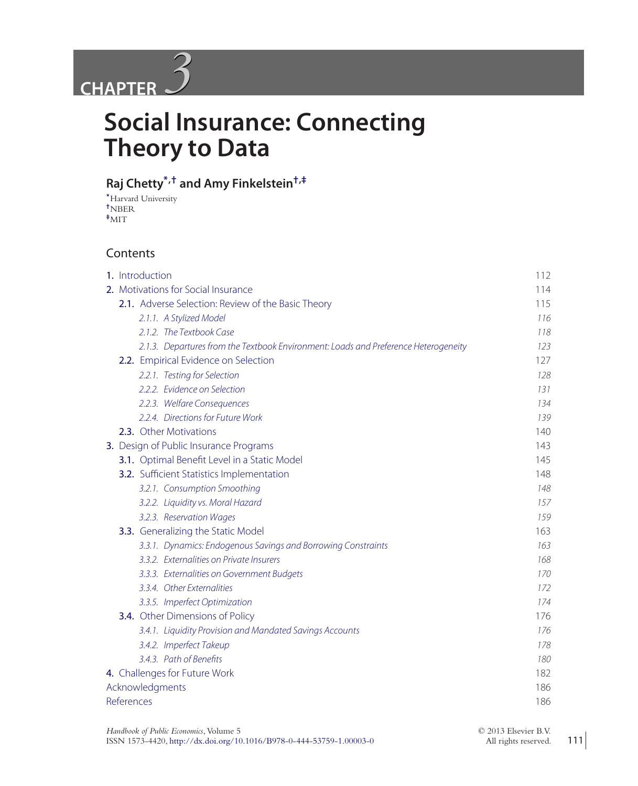

# **Social Insurance: Connecting Theory to Data**

|  |  | Raj Chetty <sup>*,†</sup> and Amy Finkelstein <sup>†,‡</sup> |
|--|--|--------------------------------------------------------------|
|--|--|--------------------------------------------------------------|

[\\*H](#page-1-0)arvard University **[†](#page-1-0)**NBER **[‡](#page-1-0)**MIT

## **Contents**

|  | 1. Introduction                                                                     |     |
|--|-------------------------------------------------------------------------------------|-----|
|  | 2. Motivations for Social Insurance                                                 | 114 |
|  | 2.1. Adverse Selection: Review of the Basic Theory                                  | 115 |
|  | 2.1.1. A Stylized Model                                                             | 116 |
|  | 2.1.2. The Textbook Case                                                            | 118 |
|  | 2.1.3. Departures from the Textbook Environment: Loads and Preference Heterogeneity | 123 |
|  | 2.2. Empirical Evidence on Selection                                                | 127 |
|  | 2.2.1. Testing for Selection                                                        | 128 |
|  | 2.2.2. Evidence on Selection                                                        | 131 |
|  | 2.2.3. Welfare Consequences                                                         | 134 |
|  | 2.2.4. Directions for Future Work                                                   | 139 |
|  | 2.3. Other Motivations                                                              | 140 |
|  | 3. Design of Public Insurance Programs                                              | 143 |
|  | 3.1. Optimal Benefit Level in a Static Model                                        | 145 |
|  | 3.2. Sufficient Statistics Implementation                                           | 148 |
|  | 3.2.1. Consumption Smoothing                                                        | 148 |
|  | 3.2.2. Liquidity vs. Moral Hazard                                                   | 157 |
|  | 3.2.3. Reservation Wages                                                            | 159 |
|  | 3.3. Generalizing the Static Model                                                  |     |
|  | 3.3.1. Dynamics: Endogenous Savings and Borrowing Constraints                       | 163 |
|  | 3.3.2. Externalities on Private Insurers                                            | 168 |
|  | 3.3.3. Externalities on Government Budgets                                          | 170 |
|  | 3.3.4. Other Externalities                                                          | 172 |
|  | 3.3.5. Imperfect Optimization                                                       | 174 |
|  | 3.4. Other Dimensions of Policy                                                     | 176 |
|  | 3.4.1. Liquidity Provision and Mandated Savings Accounts                            | 176 |
|  | 3.4.2. Imperfect Takeup                                                             | 178 |
|  | 3.4.3. Path of Benefits                                                             | 180 |
|  | 4. Challenges for Future Work                                                       | 182 |
|  | Acknowledgments                                                                     |     |
|  | References                                                                          |     |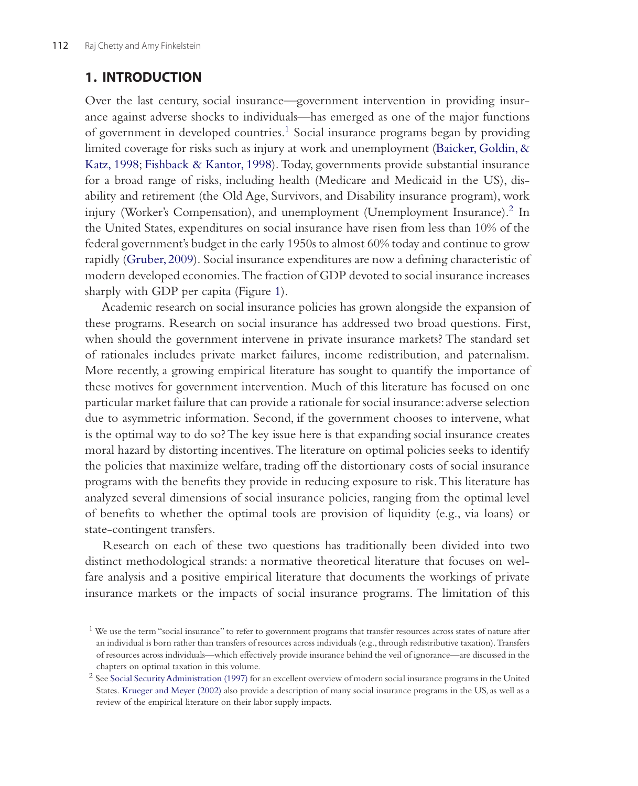## <span id="page-1-1"></span>**1. INTRODUCTION**

Over the last century, social insurance—government intervention in providing insurance against adverse shocks to individuals—has emerged as one of the major functions of government in developed countries.[1](#page-1-0) Social insurance programs began by providing limited coverage for risks such as injury at work and unemployment (Baicker, Goldin, & Katz, 1998; [Fishback & Kantor, 1998\)](#page-79-0). Today, governments provide substantial insurance for a broad range of risks, including health (Medicare and Medicaid in the US), disability and retirement (the Old Age, Survivors, and Disability insurance program), work injury (Worker's Compensation), and unemployment (Unemployment Insurance). ${}^{2}$  In the United States, expenditures on social insurance have risen from less than 10% of the federal government's budget in the early 1950s to almost 60% today and continue to grow rapidly [\(Gruber,2009\)](#page-79-1). Social insurance expenditures are now a defining characteristic of modern developed economies.The fraction of GDP devoted to social insurance increases sharply with GDP per capita (Figure [1\)](#page-2-0).

Academic research on social insurance policies has grown alongside the expansion of these programs. Research on social insurance has addressed two broad questions. First, when should the government intervene in private insurance markets? The standard set of rationales includes private market failures, income redistribution, and paternalism. More recently, a growing empirical literature has sought to quantify the importance of these motives for government intervention. Much of this literature has focused on one particular market failure that can provide a rationale for social insurance: adverse selection due to asymmetric information. Second, if the government chooses to intervene, what is the optimal way to do so?The key issue here is that expanding social insurance creates moral hazard by distorting incentives.The literature on optimal policies seeks to identify the policies that maximize welfare, trading off the distortionary costs of social insurance programs with the benefits they provide in reducing exposure to risk. This literature has analyzed several dimensions of social insurance policies, ranging from the optimal level of benefits to whether the optimal tools are provision of liquidity (e.g., via loans) or state-contingent transfers.

Research on each of these two questions has traditionally been divided into two distinct methodological strands: a normative theoretical literature that focuses on welfare analysis and a positive empirical literature that documents the workings of private insurance markets or the impacts of social insurance programs. The limitation of this

<span id="page-1-0"></span> $1$  We use the term "social insurance" to refer to government programs that transfer resources across states of nature after an individual is born rather than transfers of resources across individuals (e.g.,through redistributive taxation).Transfers of resources across individuals—which effectively provide insurance behind the veil of ignorance—are discussed in the chapters on optimal taxation in this volume.

<span id="page-1-2"></span><sup>&</sup>lt;sup>2</sup> See Social Security Administration (1997) for an excellent overview of modern social insurance programs in the United States. [Krueger and Meyer \(2002\)](#page-80-0) also provide a description of many social insurance programs in the US, as well as a review of the empirical literature on their labor supply impacts.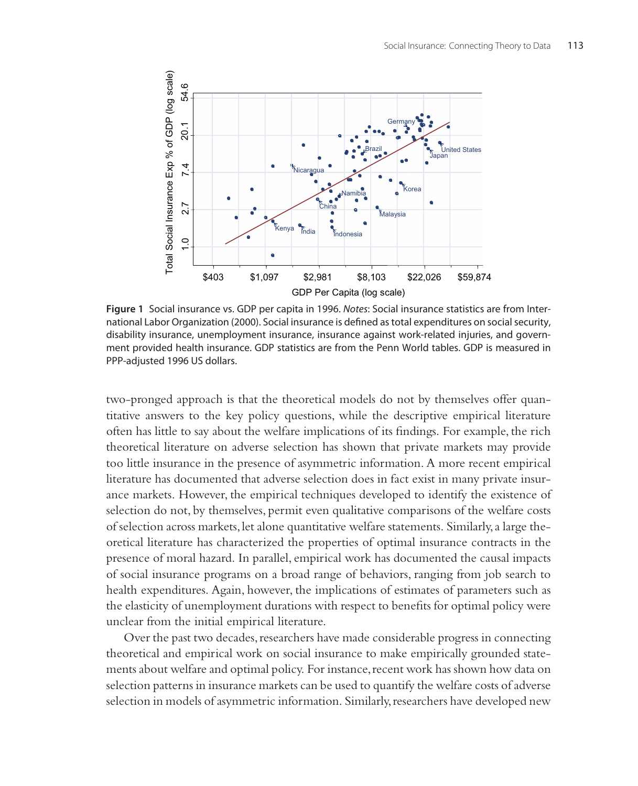

<span id="page-2-0"></span>**Figure 1** Social insurance vs. GDP per capita in 1996. Notes: Social insurance statistics are from International Labor Organization (2000). Social insurance is defined as total expenditures on social security, disability insurance, unemployment insurance, insurance against work-related injuries, and government provided health insurance. GDP statistics are from the Penn World tables. GDP is measured in PPP-adjusted 1996 US dollars.

two-pronged approach is that the theoretical models do not by themselves offer quantitative answers to the key policy questions, while the descriptive empirical literature often has little to say about the welfare implications of its findings. For example, the rich theoretical literature on adverse selection has shown that private markets may provide too little insurance in the presence of asymmetric information. A more recent empirical literature has documented that adverse selection does in fact exist in many private insurance markets. However, the empirical techniques developed to identify the existence of selection do not, by themselves, permit even qualitative comparisons of the welfare costs of selection across markets,let alone quantitative welfare statements. Similarly, a large theoretical literature has characterized the properties of optimal insurance contracts in the presence of moral hazard. In parallel, empirical work has documented the causal impacts of social insurance programs on a broad range of behaviors, ranging from job search to health expenditures. Again, however, the implications of estimates of parameters such as the elasticity of unemployment durations with respect to benefits for optimal policy were unclear from the initial empirical literature.

Over the past two decades, researchers have made considerable progress in connecting theoretical and empirical work on social insurance to make empirically grounded statements about welfare and optimal policy. For instance, recent work has shown how data on selection patterns in insurance markets can be used to quantify the welfare costs of adverse selection in models of asymmetric information. Similarly, researchers have developed new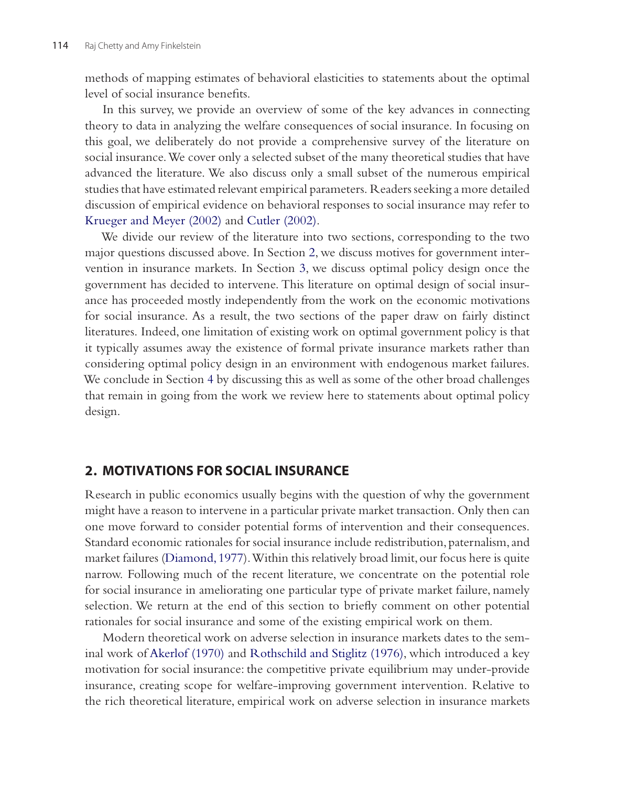methods of mapping estimates of behavioral elasticities to statements about the optimal level of social insurance benefits.

In this survey, we provide an overview of some of the key advances in connecting theory to data in analyzing the welfare consequences of social insurance. In focusing on this goal, we deliberately do not provide a comprehensive survey of the literature on social insurance.We cover only a selected subset of the many theoretical studies that have advanced the literature. We also discuss only a small subset of the numerous empirical studies that have estimated relevant empirical parameters. Readers seeking a more detailed discussion of empirical evidence on behavioral responses to social insurance may refer to [Krueger and Meyer \(2002\)](#page-80-0) and [Cutler \(2002\).](#page-77-0)

We divide our review of the literature into two sections, corresponding to the two major questions discussed above. In Section [2,](#page-3-0) we discuss motives for government intervention in insurance markets. In Section [3,](#page-32-0) we discuss optimal policy design once the government has decided to intervene. This literature on optimal design of social insurance has proceeded mostly independently from the work on the economic motivations for social insurance. As a result, the two sections of the paper draw on fairly distinct literatures. Indeed, one limitation of existing work on optimal government policy is that it typically assumes away the existence of formal private insurance markets rather than considering optimal policy design in an environment with endogenous market failures. We conclude in Section [4](#page-71-0) by discussing this as well as some of the other broad challenges that remain in going from the work we review here to statements about optimal policy design.

## <span id="page-3-0"></span>**2. MOTIVATIONS FOR SOCIAL INSURANCE**

Research in public economics usually begins with the question of why the government might have a reason to intervene in a particular private market transaction. Only then can one move forward to consider potential forms of intervention and their consequences. Standard economic rationales for social insurance include redistribution, paternalism, and market failures [\(Diamond,1977\)](#page-78-0).Within this relatively broad limit, our focus here is quite narrow. Following much of the recent literature, we concentrate on the potential role for social insurance in ameliorating one particular type of private market failure, namely selection. We return at the end of this section to briefly comment on other potential rationales for social insurance and some of the existing empirical work on them.

Modern theoretical work on adverse selection in insurance markets dates to the seminal work of [Akerlof \(1970\)](#page-75-2) and [Rothschild and Stiglitz \(1976\),](#page-81-0) which introduced a key motivation for social insurance: the competitive private equilibrium may under-provide insurance, creating scope for welfare-improving government intervention. Relative to the rich theoretical literature, empirical work on adverse selection in insurance markets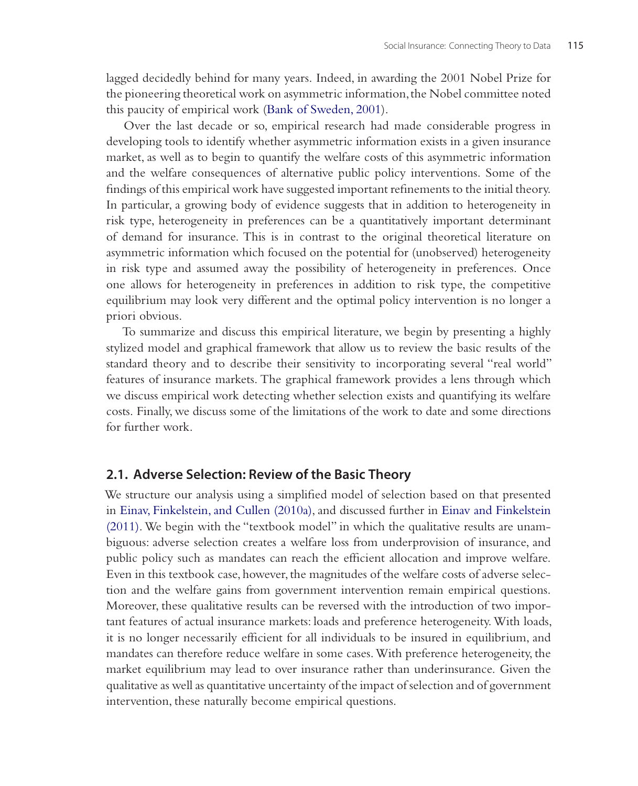lagged decidedly behind for many years. Indeed, in awarding the 2001 Nobel Prize for the pioneering theoretical work on asymmetric information,the Nobel committee noted this paucity of empirical work [\(Bank of Sweden, 2001\)](#page-75-3).

Over the last decade or so, empirical research had made considerable progress in developing tools to identify whether asymmetric information exists in a given insurance market, as well as to begin to quantify the welfare costs of this asymmetric information and the welfare consequences of alternative public policy interventions. Some of the findings of this empirical work have suggested important refinements to the initial theory. In particular, a growing body of evidence suggests that in addition to heterogeneity in risk type, heterogeneity in preferences can be a quantitatively important determinant of demand for insurance. This is in contrast to the original theoretical literature on asymmetric information which focused on the potential for (unobserved) heterogeneity in risk type and assumed away the possibility of heterogeneity in preferences. Once one allows for heterogeneity in preferences in addition to risk type, the competitive equilibrium may look very different and the optimal policy intervention is no longer a priori obvious.

To summarize and discuss this empirical literature, we begin by presenting a highly stylized model and graphical framework that allow us to review the basic results of the standard theory and to describe their sensitivity to incorporating several "real world" features of insurance markets. The graphical framework provides a lens through which we discuss empirical work detecting whether selection exists and quantifying its welfare costs. Finally, we discuss some of the limitations of the work to date and some directions for further work.

## <span id="page-4-0"></span>**2.1. Adverse Selection: Review of the Basic Theory**

We structure our analysis using a simplified model of selection based on that presented in [Einav, Finkelstein, and Cullen \(2010a\),](#page-78-1) and discussed further in Einav and Finkelstein (2011).We begin with the "textbook model" in which the qualitative results are unambiguous: adverse selection creates a welfare loss from underprovision of insurance, and public policy such as mandates can reach the efficient allocation and improve welfare. Even in this textbook case, however, the magnitudes of the welfare costs of adverse selection and the welfare gains from government intervention remain empirical questions. Moreover, these qualitative results can be reversed with the introduction of two important features of actual insurance markets: loads and preference heterogeneity.With loads, it is no longer necessarily efficient for all individuals to be insured in equilibrium, and mandates can therefore reduce welfare in some cases.With preference heterogeneity, the market equilibrium may lead to over insurance rather than underinsurance. Given the qualitative as well as quantitative uncertainty of the impact of selection and of government intervention, these naturally become empirical questions.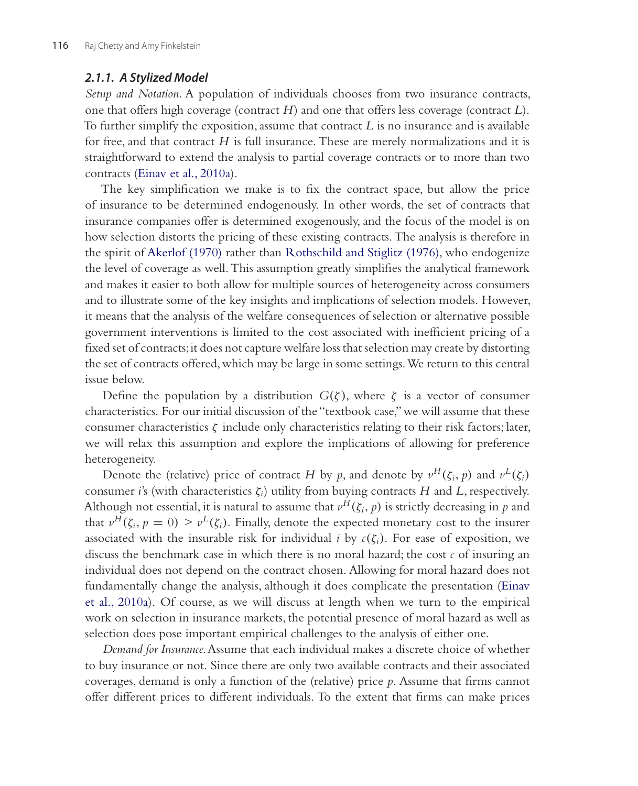#### <span id="page-5-0"></span>*2.1.1. A Stylized Model*

*Setup and Notation.* A population of individuals chooses from two insurance contracts, one that offers high coverage (contract *H*) and one that offers less coverage (contract *L*). To further simplify the exposition, assume that contract *L* is no insurance and is available for free, and that contract *H* is full insurance. These are merely normalizations and it is straightforward to extend the analysis to partial coverage contracts or to more than two contracts [\(Einav et al., 2010a\)](#page-78-1).

The key simplification we make is to fix the contract space, but allow the price of insurance to be determined endogenously. In other words, the set of contracts that insurance companies offer is determined exogenously, and the focus of the model is on how selection distorts the pricing of these existing contracts. The analysis is therefore in the spirit of [Akerlof \(1970\)](#page-75-2) rather than [Rothschild and Stiglitz \(1976\),](#page-81-0) who endogenize the level of coverage as well. This assumption greatly simplifies the analytical framework and makes it easier to both allow for multiple sources of heterogeneity across consumers and to illustrate some of the key insights and implications of selection models. However, it means that the analysis of the welfare consequences of selection or alternative possible government interventions is limited to the cost associated with inefficient pricing of a fixed set of contracts;it does not capture welfare loss that selection may create by distorting the set of contracts offered, which may be large in some settings.We return to this central issue below.

Define the population by a distribution  $G(\zeta)$ , where  $\zeta$  is a vector of consumer characteristics. For our initial discussion of the "textbook case," we will assume that these consumer characteristics  $\zeta$  include only characteristics relating to their risk factors; later, we will relax this assumption and explore the implications of allowing for preference heterogeneity.

Denote the (relative) price of contract *H* by *p*, and denote by  $v^H(\zeta_i, p)$  and  $v^L(\zeta_i)$ consumer *i*'s (with characteristics  $\zeta_i$ ) utility from buying contracts *H* and *L*, respectively. Although not essential, it is natural to assume that  $v^H(\zeta_i, p)$  is strictly decreasing in p and that  $v^H(\zeta_i, p = 0) > v^L(\zeta_i)$ . Finally, denote the expected monetary cost to the insurer associated with the insurable risk for individual  $i$  by  $c(\zeta_i)$ . For ease of exposition, we discuss the benchmark case in which there is no moral hazard; the cost  $c$  of insuring an individual does not depend on the contract chosen. Allowing for moral hazard does not fundamental[ly](#page-78-1) [change](#page-78-1) [the](#page-78-1) [analysis,](#page-78-1) [although](#page-78-1) [it](#page-78-1) [does](#page-78-1) [complicate](#page-78-1) [the](#page-78-1) [presentation](#page-78-1) [\(](#page-78-1)Einav et al., 2010a). Of course, as we will discuss at length when we turn to the empirical work on selection in insurance markets, the potential presence of moral hazard as well as selection does pose important empirical challenges to the analysis of either one.

*Demand for Insurance.*Assume that each individual makes a discrete choice of whether to buy insurance or not. Since there are only two available contracts and their associated coverages, demand is only a function of the (relative) price *p*. Assume that firms cannot offer different prices to different individuals. To the extent that firms can make prices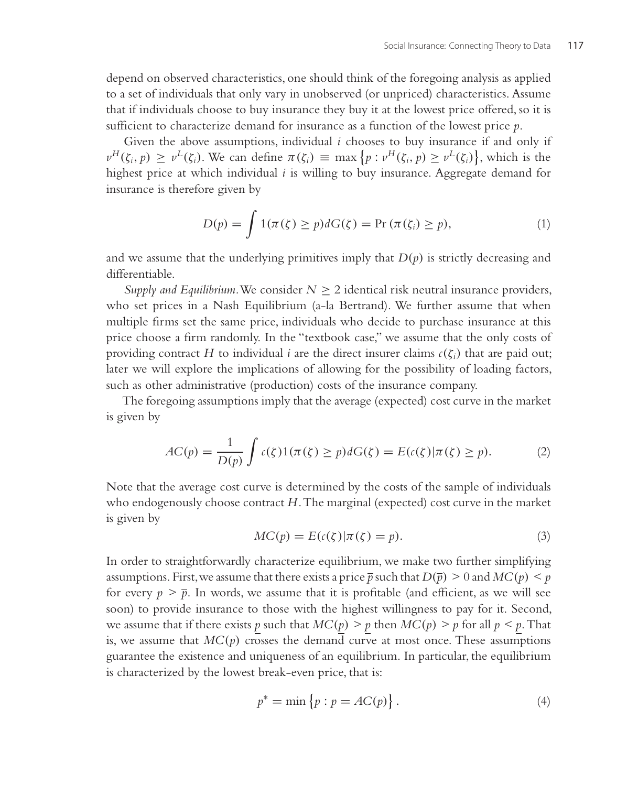depend on observed characteristics, one should think of the foregoing analysis as applied to a set of individuals that only vary in unobserved (or unpriced) characteristics. Assume that if individuals choose to buy insurance they buy it at the lowest price offered, so it is sufficient to characterize demand for insurance as a function of the lowest price *p*.

Given the above assumptions, individual *i* chooses to buy insurance if and only if  $v^H(\zeta_i, p) \geq v^L(\zeta_i)$ . We can define  $\pi(\zeta_i) \equiv \max\{p : v^H(\zeta_i, p) \geq v^L(\zeta_i)\}\,$ , which is the highest price at which individual *i* is willing to buy insurance. Aggregate demand for insurance is therefore given by

$$
D(p) = \int 1(\pi(\zeta) \ge p) dG(\zeta) = \Pr(\pi(\zeta_i) \ge p), \tag{1}
$$

and we assume that the underlying primitives imply that  $D(p)$  is strictly decreasing and differentiable.

*Supply and Equilibrium.* We consider  $N \geq 2$  identical risk neutral insurance providers, who set prices in a Nash Equilibrium (a-la Bertrand). We further assume that when multiple firms set the same price, individuals who decide to purchase insurance at this price choose a firm randomly. In the "textbook case," we assume that the only costs of providing contract *H* to individual *i* are the direct insurer claims  $c(\zeta_i)$  that are paid out; later we will explore the implications of allowing for the possibility of loading factors, such as other administrative (production) costs of the insurance company.

The foregoing assumptions imply that the average (expected) cost curve in the market is given by

$$
AC(p) = \frac{1}{D(p)} \int c(\zeta) 1(\pi(\zeta) \ge p) dG(\zeta) = E(c(\zeta) | \pi(\zeta) \ge p).
$$
 (2)

Note that the average cost curve is determined by the costs of the sample of individuals who endogenously choose contract *H*.The marginal (expected) cost curve in the market is given by

$$
MC(p) = E(c(\zeta)|\pi(\zeta) = p).
$$
 (3)

In order to straightforwardly characterize equilibrium, we make two further simplifying assumptions. First, we assume that there exists a price  $\bar{p}$  such that  $D(\bar{p}) > 0$  and  $MC(p) \leq p$ for every  $p > \bar{p}$ . In words, we assume that it is profitable (and efficient, as we will see soon) to provide insurance to those with the highest willingness to pay for it. Second, we assume that if there exists *p* such that  $MC(p) > p$  then  $MC(p) > p$  for all  $p < p$ . That is, we assume that  $MC(p)$  crosses the demand curve at most once. These assumptions guarantee the existence and uniqueness of an equilibrium. In particular, the equilibrium is characterized by the lowest break-even price, that is:

$$
p^* = \min\{p : p = AC(p)\}.
$$
\n(4)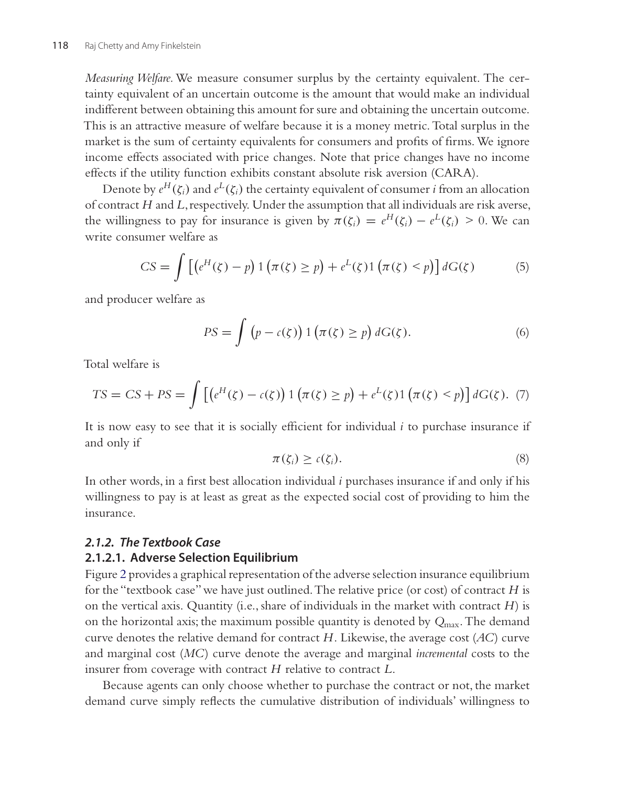*Measuring Welfare.*We measure consumer surplus by the certainty equivalent. The certainty equivalent of an uncertain outcome is the amount that would make an individual indifferent between obtaining this amount for sure and obtaining the uncertain outcome. This is an attractive measure of welfare because it is a money metric. Total surplus in the market is the sum of certainty equivalents for consumers and profits of firms.We ignore income effects associated with price changes. Note that price changes have no income effects if the utility function exhibits constant absolute risk aversion (CARA).

Denote by  $e^H(\zeta_i)$  and  $e^L(\zeta_i)$  the certainty equivalent of consumer *i* from an allocation of contract *H* and *L*, respectively. Under the assumption that all individuals are risk averse, the willingness to pay for insurance is given by  $\pi(\zeta_i) = e^H(\zeta_i) - e^L(\zeta_i) > 0$ . We can write consumer welfare as

$$
CS = \int \left[ \left( e^H(\zeta) - p \right) \mathbf{1} \left( \pi(\zeta) \ge p \right) + e^L(\zeta) \mathbf{1} \left( \pi(\zeta) < p \right) \right] dG(\zeta) \tag{5}
$$

and producer welfare as

$$
PS = \int (p - c(\zeta)) \, 1 \left( \pi(\zeta) \ge p \right) dG(\zeta). \tag{6}
$$

Total welfare is

$$
TS = CS + PS = \int \left[ \left( e^H(\zeta) - c(\zeta) \right) \mathbf{1} \left( \pi(\zeta) \ge p \right) + e^L(\zeta) \mathbf{1} \left( \pi(\zeta) < p \right) \right] dG(\zeta). \tag{7}
$$

It is now easy to see that it is socially efficient for individual *i* to purchase insurance if and only if

$$
\pi(\zeta_i) \ge c(\zeta_i). \tag{8}
$$

In other words, in a first best allocation individual *i* purchases insurance if and only if his willingness to pay is at least as great as the expected social cost of providing to him the insurance.

## <span id="page-7-0"></span>*2.1.2. The Textbook Case*

#### **2.1.2.1. Adverse Selection Equilibrium**

Figure [2](#page-8-0) provides a graphical representation of the adverse selection insurance equilibrium for the "textbook case" we have just outlined.The relative price (or cost) of contract *H* is on the vertical axis. Quantity (i.e., share of individuals in the market with contract *H*) is on the horizontal axis; the maximum possible quantity is denoted by  $Q_{\text{max}}$ . The demand curve denotes the relative demand for contract *H*. Likewise, the average cost (*AC*) curve and marginal cost (*MC*) curve denote the average and marginal *incremental* costs to the insurer from coverage with contract *H* relative to contract *L*.

Because agents can only choose whether to purchase the contract or not, the market demand curve simply reflects the cumulative distribution of individuals' willingness to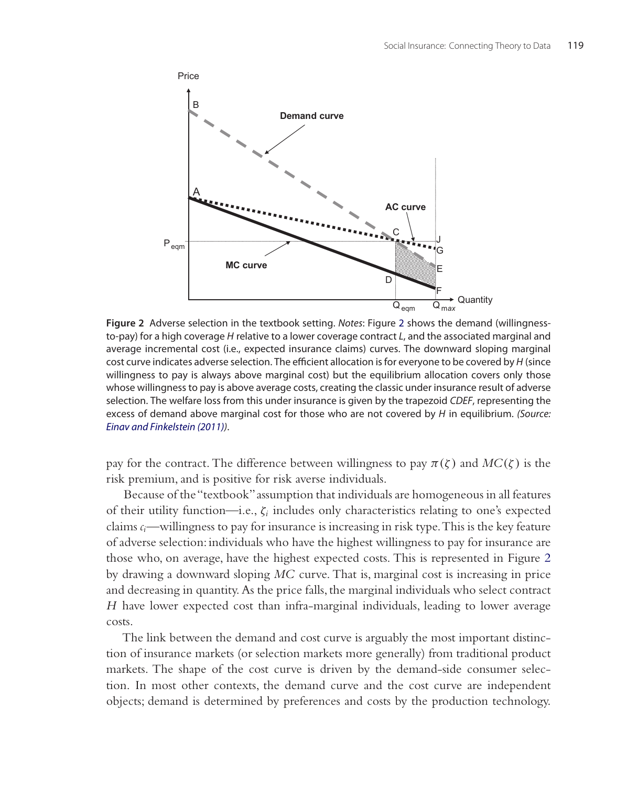

<span id="page-8-0"></span>**Figure 2** Adverse selection in the textbook setting. Notes: Figure [2](#page-8-0) shows the demand (willingnessto-pay) for a high coverage H relative to a lower coverage contract L, and the associated marginal and average incremental cost (i.e., expected insurance claims) curves. The downward sloping marginal cost curve indicates adverse selection. The efficient allocation is for everyone to be covered by H (since willingness to pay is always above marginal cost) but the equilibrium allocation covers only those whose willingness to pay is above average costs, creating the classic under insurance result of adverse selection. The welfare loss from this under insurance is given by the trapezoid CDEF, representing the excess of demand above marginal cost for those who are not covered by H in equilibrium. (Source: [Einav and Finkelstein \(2011\)\)](#page-78-2).

pay for the contract. The difference between willingness to pay  $\pi(\zeta)$  and  $MC(\zeta)$  is the risk premium, and is positive for risk averse individuals.

Because of the"textbook" assumption that individuals are homogeneous in all features of their utility function—i.e., ζ*<sup>i</sup>* includes only characteristics relating to one's expected claims *ci*—willingness to pay for insurance is increasing in risk type.This is the key feature of adverse selection: individuals who have the highest willingness to pay for insurance are those who, on average, have the highest expected costs. This is represented in Figure [2](#page-8-0) by drawing a downward sloping *MC* curve. That is, marginal cost is increasing in price and decreasing in quantity. As the price falls, the marginal individuals who select contract *H* have lower expected cost than infra-marginal individuals, leading to lower average costs.

The link between the demand and cost curve is arguably the most important distinction of insurance markets (or selection markets more generally) from traditional product markets. The shape of the cost curve is driven by the demand-side consumer selection. In most other contexts, the demand curve and the cost curve are independent objects; demand is determined by preferences and costs by the production technology.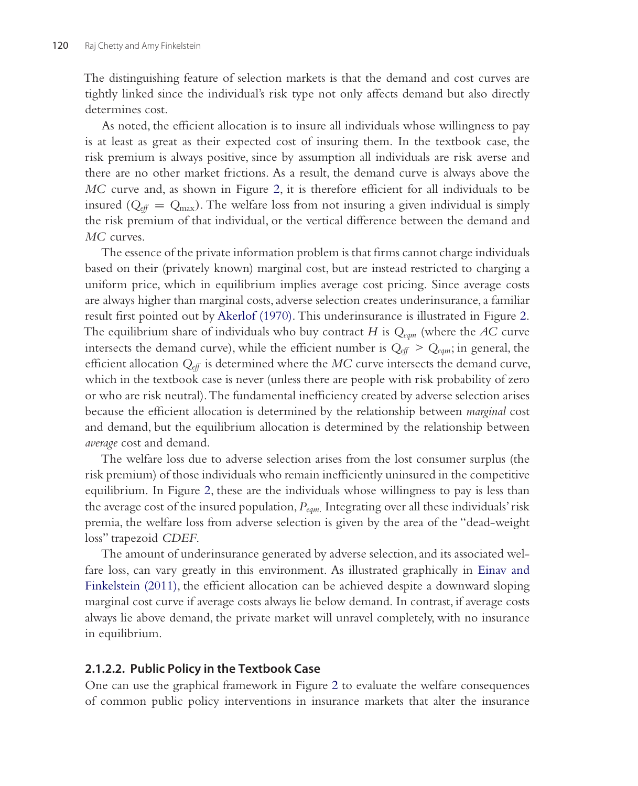The distinguishing feature of selection markets is that the demand and cost curves are tightly linked since the individual's risk type not only affects demand but also directly determines cost.

As noted, the efficient allocation is to insure all individuals whose willingness to pay is at least as great as their expected cost of insuring them. In the textbook case, the risk premium is always positive, since by assumption all individuals are risk averse and there are no other market frictions. As a result, the demand curve is always above the *MC* curve and, as shown in Figure [2,](#page-8-0) it is therefore efficient for all individuals to be insured ( $Q_{\text{eff}} = Q_{\text{max}}$ ). The welfare loss from not insuring a given individual is simply the risk premium of that individual, or the vertical difference between the demand and *MC* curves.

The essence of the private information problem is that firms cannot charge individuals based on their (privately known) marginal cost, but are instead restricted to charging a uniform price, which in equilibrium implies average cost pricing. Since average costs are always higher than marginal costs, adverse selection creates underinsurance, a familiar result first pointed out by [Akerlof \(1970\).](#page-75-2) This underinsurance is illustrated in Figure [2.](#page-8-0) The equilibrium share of individuals who buy contract *H* is *Qeqm* (where the *AC* curve intersects the demand curve), while the efficient number is  $Q_{\text{eff}} > Q_{\text{eqm}}$ ; in general, the efficient allocation *Qeff* is determined where the *MC* curve intersects the demand curve, which in the textbook case is never (unless there are people with risk probability of zero or who are risk neutral).The fundamental inefficiency created by adverse selection arises because the efficient allocation is determined by the relationship between *marginal* cost and demand, but the equilibrium allocation is determined by the relationship between *average* cost and demand.

The welfare loss due to adverse selection arises from the lost consumer surplus (the risk premium) of those individuals who remain inefficiently uninsured in the competitive equilibrium. In Figure [2,](#page-8-0) these are the individuals whose willingness to pay is less than the average cost of the insured population,*Peqm*. Integrating over all these individuals' risk premia, the welfare loss from adverse selection is given by the area of the "dead-weight loss" trapezoid *CDEF*.

The amount of underinsurance generated by adverse selection, and its associated welfare loss, can vary greatly in this environment. As illustrated graphically in Einav and Finkelstein (2011), the efficient allocation can be achieved despite a downward sloping marginal cost curve if average costs always lie below demand. In contrast, if average costs always lie above demand, the private market will unravel completely, with no insurance in equilibrium.

#### **2.1.2.2. Public Policy in the Textbook Case**

One can use the graphical framework in Figure [2](#page-8-0) to evaluate the welfare consequences of common public policy interventions in insurance markets that alter the insurance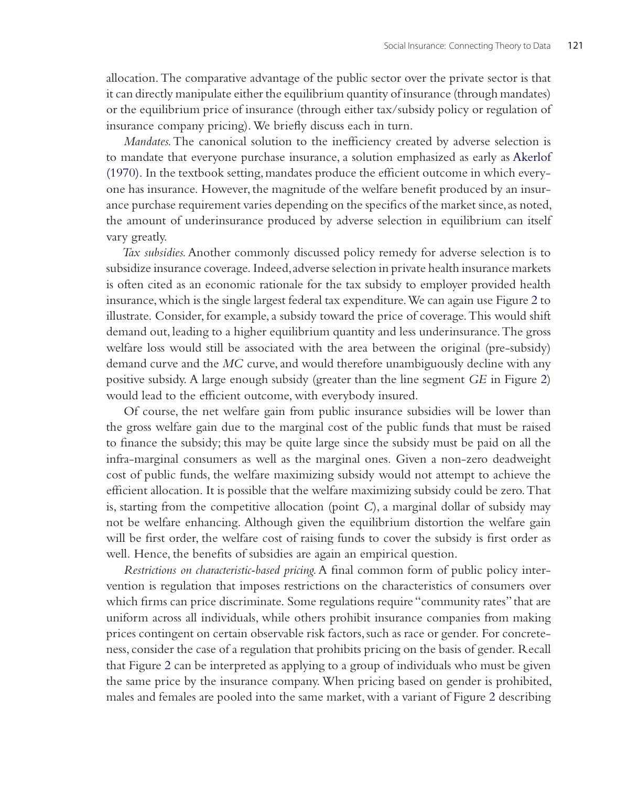allocation. The comparative advantage of the public sector over the private sector is that it can directly manipulate either the equilibrium quantity of insurance (through mandates) or the equilibrium price of insurance (through either tax/subsidy policy or regulation of insurance company pricing).We briefly discuss each in turn.

*Mandates.*The canonical solution to the inefficiency created by adverse selection is to mandate that everyone purchase insurance, a solution emphasized as early as Akerlof (1970)[.](#page-75-2) [In](#page-75-2) [the](#page-75-2) [textbook](#page-75-2) [setting,mandates](#page-75-2) [produce](#page-75-2) [the](#page-75-2) [efficient](#page-75-2) [outcome](#page-75-2) [in](#page-75-2) [which](#page-75-2) everyone has insurance. However,the magnitude of the welfare benefit produced by an insurance purchase requirement varies depending on the specifics of the market since, as noted, the amount of underinsurance produced by adverse selection in equilibrium can itself vary greatly.

*Tax subsidies.*Another commonly discussed policy remedy for adverse selection is to subsidize insurance coverage. Indeed,adverse selection in private health insurance markets is often cited as an economic rationale for the tax subsidy to employer provided health insurance,which is the single largest federal tax expenditure.We can again use Figure [2](#page-8-0) to illustrate. Consider, for example, a subsidy toward the price of coverage.This would shift demand out, leading to a higher equilibrium quantity and less underinsurance.The gross welfare loss would still be associated with the area between the original (pre-subsidy) demand curve and the *MC* curve, and would therefore unambiguously decline with any positive subsidy. A large enough subsidy (greater than the line segment *GE* in Figure [2\)](#page-8-0) would lead to the efficient outcome, with everybody insured.

Of course, the net welfare gain from public insurance subsidies will be lower than the gross welfare gain due to the marginal cost of the public funds that must be raised to finance the subsidy; this may be quite large since the subsidy must be paid on all the infra-marginal consumers as well as the marginal ones. Given a non-zero deadweight cost of public funds, the welfare maximizing subsidy would not attempt to achieve the efficient allocation. It is possible that the welfare maximizing subsidy could be zero.That is, starting from the competitive allocation (point *C*), a marginal dollar of subsidy may not be welfare enhancing. Although given the equilibrium distortion the welfare gain will be first order, the welfare cost of raising funds to cover the subsidy is first order as well. Hence, the benefits of subsidies are again an empirical question.

*Restrictions on characteristic-based pricing.*A final common form of public policy intervention is regulation that imposes restrictions on the characteristics of consumers over which firms can price discriminate. Some regulations require "community rates" that are uniform across all individuals, while others prohibit insurance companies from making prices contingent on certain observable risk factors, such as race or gender. For concreteness, consider the case of a regulation that prohibits pricing on the basis of gender. Recall that Figure [2](#page-8-0) can be interpreted as applying to a group of individuals who must be given the same price by the insurance company. When pricing based on gender is prohibited, males and females are pooled into the same market, with a variant of Figure [2](#page-8-0) describing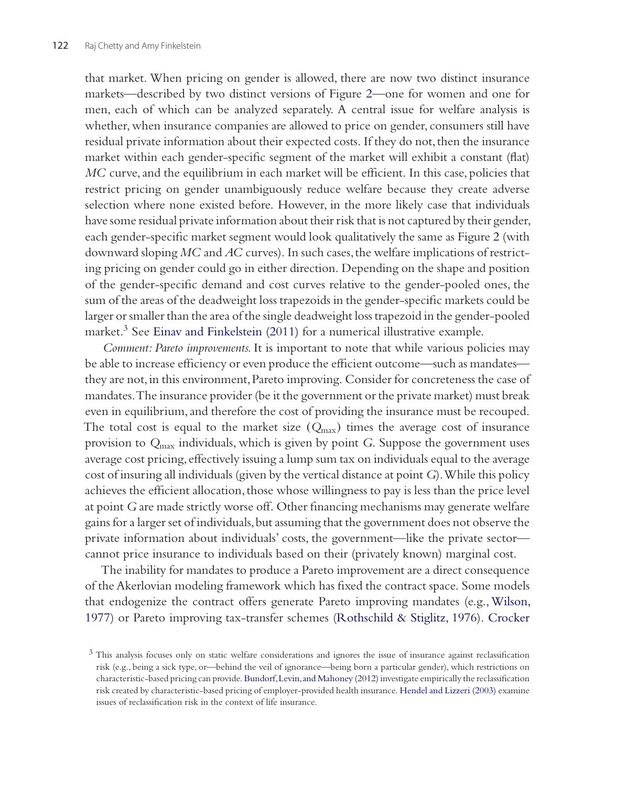that market. When pricing on gender is allowed, there are now two distinct insurance markets—described by two distinct versions of Figure [2—](#page-8-0)one for women and one for men, each of which can be analyzed separately. A central issue for welfare analysis is whether, when insurance companies are allowed to price on gender, consumers still have residual private information about their expected costs. If they do not, then the insurance market within each gender-specific segment of the market will exhibit a constant (flat) *MC* curve, and the equilibrium in each market will be efficient. In this case, policies that restrict pricing on gender unambiguously reduce welfare because they create adverse selection where none existed before. However, in the more likely case that individuals have some residual private information about their risk that is not captured by their gender, each gender-specific market segment would look qualitatively the same as Figure [2](#page-8-0) (with downward sloping *MC* and *AC* curves). In such cases, the welfare implications of restricting pricing on gender could go in either direction. Depending on the shape and position of the gender-specific demand and cost curves relative to the gender-pooled ones, the sum of the areas of the deadweight loss trapezoids in the gender-specific markets could be larger or smaller than the area of the single deadweight loss trapezoid in the gender-pooled market.<sup>3</sup> See [Einav and Finkelstein \(2011\)](#page-78-2) for a numerical illustrative example.

*Comment: Pareto improvements.* It is important to note that while various policies may be able to increase efficiency or even produce the efficient outcome—such as mandates they are not,in this environment,Pareto improving. Consider for concreteness the case of mandates.The insurance provider (be it the government or the private market) must break even in equilibrium, and therefore the cost of providing the insurance must be recouped. The total cost is equal to the market size  $(Q_{\text{max}})$  times the average cost of insurance provision to *Q*max individuals, which is given by point *G*. Suppose the government uses average cost pricing, effectively issuing a lump sum tax on individuals equal to the average cost of insuring all individuals (given by the vertical distance at point *G*).While this policy achieves the efficient allocation, those whose willingness to pay is less than the price level at point *G* are made strictly worse off. Other financing mechanisms may generate welfare gains for a larger set of individuals,but assuming that the government does not observe the private information about individuals' costs, the government—like the private sector cannot price insurance to individuals based on their (privately known) marginal cost.

The inability for mandates to produce a Pareto improvement are a direct consequence of the Akerlovian modeling framework which has fixed the contract space. Some models that [endogenize](#page-82-1) [the](#page-82-1) [contract](#page-82-1) [offers](#page-82-1) [generate](#page-82-1) [Pareto](#page-82-1) [improving](#page-82-1) [mandates](#page-82-1) [\(e.g.,W](#page-82-1)ilson, 1977) or Pareto improving tax-transfer schemes [\(Rothschild & Stiglitz, 1976\)](#page-81-0). Crocker

<span id="page-11-0"></span><sup>&</sup>lt;sup>3</sup> This analysis focuses only on static welfare considerations and ignores the issue of insurance against reclassification risk (e.g., being a sick type, or—behind the veil of ignorance—being born a particular gender), which restrictions on characteristic-based pricing can provide. [Bundorf,Levin,and Mahoney \(2012\)](#page-76-0) investigate empirically the reclassification risk created by characteristic-based pricing of employer-provided health insurance. [Hendel and Lizzeri \(2003\)](#page-79-2) examine issues of reclassification risk in the context of life insurance.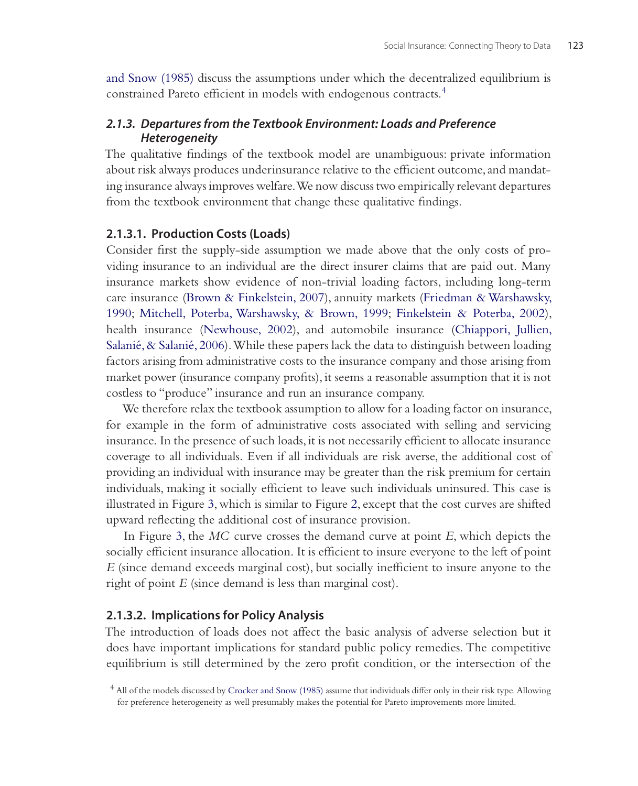and Snow (1985) discuss the assumptions under which the decentralized equilibrium is constrained Pareto efficient in models with endogenous contracts.[4](#page-12-1)

## <span id="page-12-0"></span>*2.1.3. Departures from the Textbook Environment: Loads and Preference Heterogeneity*

The qualitative findings of the textbook model are unambiguous: private information about risk always produces underinsurance relative to the efficient outcome, and mandating insurance always improves welfare.We now discuss two empirically relevant departures from the textbook environment that change these qualitative findings.

## **2.1.3.1. Production Costs (Loads)**

Consider first the supply-side assumption we made above that the only costs of providing insurance to an individual are the direct insurer claims that are paid out. Many insurance markets show evidence of non-trivial loading factors, including long-term care insurance [\(Brown & Finkelstein, 2007\)](#page-76-1), annuity markets (Friedman & Warshawsky, 1990; [Mitchell, Poterba, Warshawsky, & Brown, 1999;](#page-81-1) [Finkelstein & Poterba, 2002\)](#page-79-4), health insurance [\(Newhouse, 2002\)](#page-81-2), and automobile insurance (Chiappori, Jullien, Salanié, & Salanié, 2006[\).While](#page-77-1) [these](#page-77-1) [papers](#page-77-1) [lack](#page-77-1) [the](#page-77-1) [data](#page-77-1) [to](#page-77-1) [distingui](#page-77-1)sh between loading factors arising from administrative costs to the insurance company and those arising from market power (insurance company profits), it seems a reasonable assumption that it is not costless to "produce" insurance and run an insurance company.

We therefore relax the textbook assumption to allow for a loading factor on insurance, for example in the form of administrative costs associated with selling and servicing insurance. In the presence of such loads, it is not necessarily efficient to allocate insurance coverage to all individuals. Even if all individuals are risk averse, the additional cost of providing an individual with insurance may be greater than the risk premium for certain individuals, making it socially efficient to leave such individuals uninsured. This case is illustrated in Figure [3,](#page-13-0) which is similar to Figure [2,](#page-8-0) except that the cost curves are shifted upward reflecting the additional cost of insurance provision.

In Figure [3,](#page-13-0) the *MC* curve crosses the demand curve at point *E*, which depicts the socially efficient insurance allocation. It is efficient to insure everyone to the left of point *E* (since demand exceeds marginal cost), but socially inefficient to insure anyone to the right of point *E* (since demand is less than marginal cost).

#### **2.1.3.2. Implications for Policy Analysis**

The introduction of loads does not affect the basic analysis of adverse selection but it does have important implications for standard public policy remedies. The competitive equilibrium is still determined by the zero profit condition, or the intersection of the

<span id="page-12-1"></span><sup>4</sup> All of the models discussed by [Crocker and Snow \(1985\)](#page-77-2) assume that individuals differ only in their risk type. Allowing for preference heterogeneity as well presumably makes the potential for Pareto improvements more limited.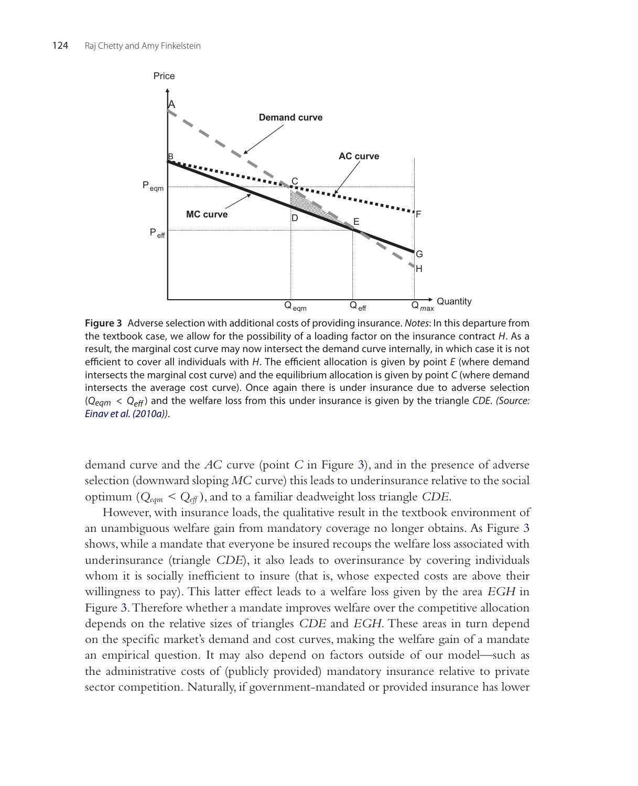

<span id="page-13-0"></span>**Figure 3** Adverse selection with additional costs of providing insurance. Notes: In this departure from the textbook case, we allow for the possibility of a loading factor on the insurance contract H. As a result, the marginal cost curve may now intersect the demand curve internally, in which case it is not efficient to cover all individuals with  $H$ . The efficient allocation is given by point  $E$  (where demand intersects the marginal cost curve) and the equilibrium allocation is given by point C (where demand intersects the average cost curve). Once again there is under insurance due to adverse selection  $(Q_{\text{eq}m} < Q_{\text{eff}})$  and the welfare loss from this under insurance is given by the triangle CDE. (Source: [Einav et al. \(2010a\)\)](#page-78-1).

demand curve and the *AC* curve (point *C* in Figure [3\)](#page-13-0), and in the presence of adverse selection (downward sloping *MC* curve) this leads to underinsurance relative to the social optimum (*Qeqm < Qeff* ), and to a familiar deadweight loss triangle *CDE*.

However, with insurance loads, the qualitative result in the textbook environment of an unambiguous welfare gain from mandatory coverage no longer obtains. As Figure [3](#page-13-0) shows, while a mandate that everyone be insured recoups the welfare loss associated with underinsurance (triangle *CDE*), it also leads to overinsurance by covering individuals whom it is socially inefficient to insure (that is, whose expected costs are above their willingness to pay). This latter effect leads to a welfare loss given by the area *EGH* in Figure [3.](#page-13-0)Therefore whether a mandate improves welfare over the competitive allocation depends on the relative sizes of triangles *CDE* and *EGH*. These areas in turn depend on the specific market's demand and cost curves, making the welfare gain of a mandate an empirical question. It may also depend on factors outside of our model—such as the administrative costs of (publicly provided) mandatory insurance relative to private sector competition. Naturally, if government-mandated or provided insurance has lower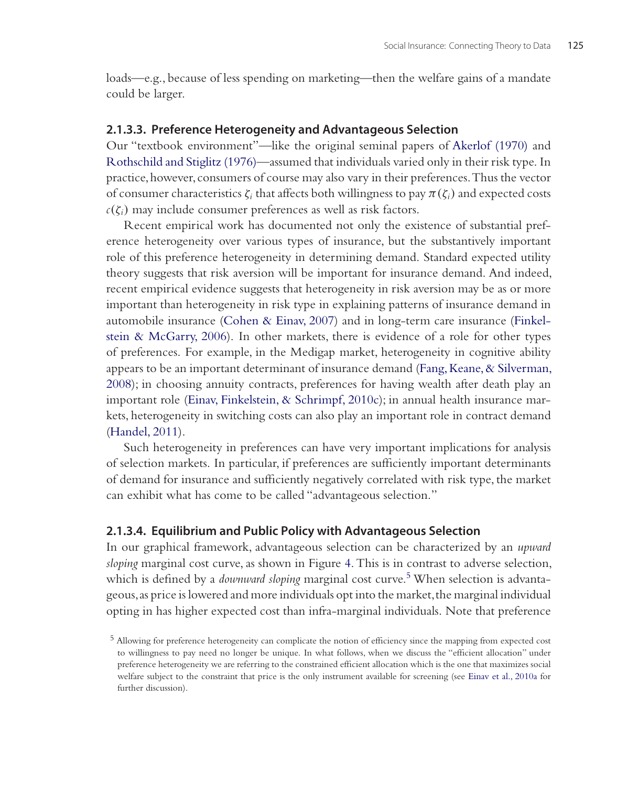loads—e.g., because of less spending on marketing—then the welfare gains of a mandate could be larger.

#### **2.1.3.3. Preference Heterogeneity and Advantageous Selection**

Our "textbook environment"—like the original seminal papers of [Akerlof \(1970\)](#page-75-2) and [Rothschild and Stiglitz \(1976\)—](#page-81-0)assumed that individuals varied only in their risk type. In practice, however, consumers of course may also vary in their preferences.Thus the vector of consumer characteristics  $\zeta_i$  that affects both willingness to pay  $\pi(\zeta_i)$  and expected costs  $c(\zeta_i)$  may include consumer preferences as well as risk factors.

Recent empirical work has documented not only the existence of substantial preference heterogeneity over various types of insurance, but the substantively important role of this preference heterogeneity in determining demand. Standard expected utility theory suggests that risk aversion will be important for insurance demand. And indeed, recent empirical evidence suggests that heterogeneity in risk aversion may be as or more important than heterogeneity in risk type in explaining patterns of insurance demand in automobile insurance [\(Cohen & Einav, 2007\)](#page-77-3) and in long-term care insurance (Finkelstein & McGarry, 2006). In other markets, there is evidence of a role for other types of preferences. For example, in the Medigap market, heterogeneity in cognitive ability appears to be an important determinant of insurance demand (Fang,Keane, & Silverman, 2008); in choosing annuity contracts, preferences for having wealth after death play an important role [\(Einav, Finkelstein, & Schrimpf, 2010c\)](#page-78-3); in annual health insurance markets, heterogeneity in switching costs can also play an important role in contract demand [\(Handel, 2011\)](#page-79-5).

Such heterogeneity in preferences can have very important implications for analysis of selection markets. In particular, if preferences are sufficiently important determinants of demand for insurance and sufficiently negatively correlated with risk type, the market can exhibit what has come to be called "advantageous selection."

#### **2.1.3.4. Equilibrium and Public Policy with Advantageous Selection**

In our graphical framework, advantageous selection can be characterized by an *upward sloping* marginal cost curve, as shown in Figure [4.](#page-15-0) This is in contrast to adverse selection, which is defined by a *downward sloping* marginal cost curve.<sup>5</sup> When selection is advantageous, as price is lowered and more individuals opt into the market, the marginal individual opting in has higher expected cost than infra-marginal individuals. Note that preference

<span id="page-14-0"></span><sup>5</sup> Allowing for preference heterogeneity can complicate the notion of efficiency since the mapping from expected cost to willingness to pay need no longer be unique. In what follows, when we discuss the "efficient allocation" under preference heterogeneity we are referring to the constrained efficient allocation which is the one that maximizes social welfare subject to the constraint that price is the only instrument available for screening (see [Einav et al., 2010a](#page-78-1) for further discussion).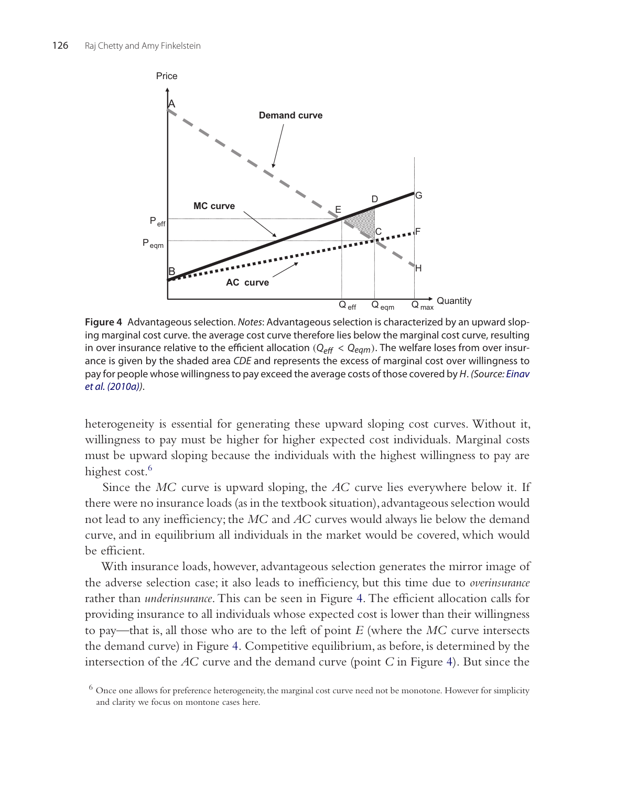

<span id="page-15-0"></span>**Figure 4** Advantageous selection. Notes: Advantageous selection is characterized by an upward sloping marginal cost curve. the average cost curve therefore lies below the marginal cost curve, resulting in over insurance relative to the efficient allocation ( $Q_{\text{eff}} < Q_{\text{eqm}}$ ). The welfare loses from over insurance is given by the shaded area CDE and represents the excess of marginal cost over willingness to pay for people whose willingness to pay exceed the average costs of those covered by H. (Source: Einav et al. (2010a)[\)](#page-78-1).

heterogeneity is essential for generating these upward sloping cost curves. Without it, willingness to pay must be higher for higher expected cost individuals. Marginal costs must be upward sloping because the individuals with the highest willingness to pay are highest cost.<sup>6</sup>

Since the *MC* curve is upward sloping, the *AC* curve lies everywhere below it. If there were no insurance loads (as in the textbook situation),advantageous selection would not lead to any inefficiency; the *MC* and *AC* curves would always lie below the demand curve, and in equilibrium all individuals in the market would be covered, which would be efficient.

With insurance loads, however, advantageous selection generates the mirror image of the adverse selection case; it also leads to inefficiency, but this time due to *overinsurance* rather than *underinsurance*. This can be seen in Figure [4.](#page-15-0) The efficient allocation calls for providing insurance to all individuals whose expected cost is lower than their willingness to pay—that is, all those who are to the left of point *E* (where the *MC* curve intersects the demand curve) in Figure [4.](#page-15-0) Competitive equilibrium, as before, is determined by the intersection of the *AC* curve and the demand curve (point *C* in Figure [4\)](#page-15-0). But since the

<span id="page-15-1"></span><sup>&</sup>lt;sup>6</sup> Once one allows for preference heterogeneity, the marginal cost curve need not be monotone. However for simplicity and clarity we focus on montone cases here.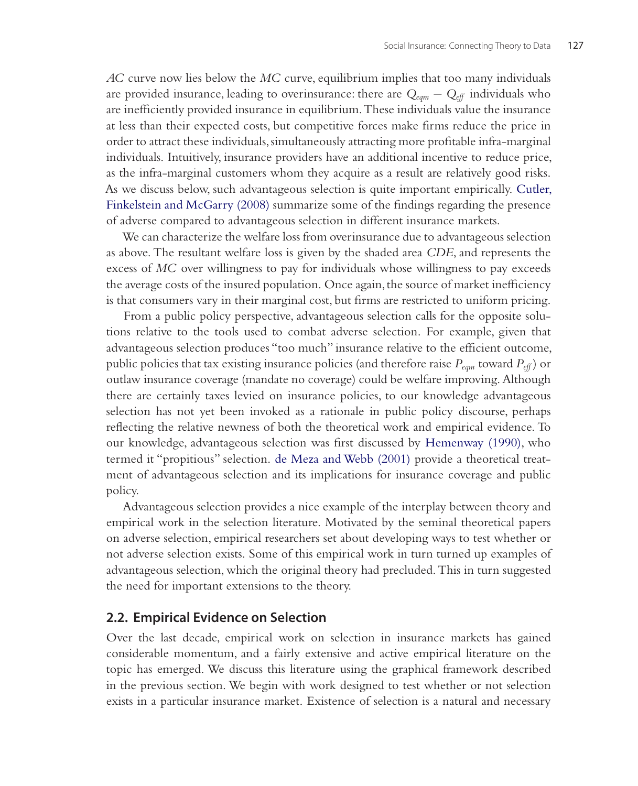*AC* curve now lies below the *MC* curve, equilibrium implies that too many individuals are provided insurance, leading to overinsurance: there are *Qeqm* − *Qeff* individuals who are inefficiently provided insurance in equilibrium.These individuals value the insurance at less than their expected costs, but competitive forces make firms reduce the price in order to attract these individuals, simultaneously attracting more profitable infra-marginal individuals. Intuitively, insurance providers have an additional incentive to reduce price, as the infra-marginal customers whom they acquire as a result are relatively good risks. As we discuss below, such advantageous selection is quite important empirically. Cutler, Finkelstein and McGarry (2008) [summarize](#page-78-4) [some](#page-78-4) [of](#page-78-4) [the](#page-78-4) [findings](#page-78-4) [regarding](#page-78-4) [the](#page-78-4) [pr](#page-78-4)esence of adverse compared to advantageous selection in different insurance markets.

We can characterize the welfare loss from overinsurance due to advantageous selection as above. The resultant welfare loss is given by the shaded area *CDE*, and represents the excess of *MC* over willingness to pay for individuals whose willingness to pay exceeds the average costs of the insured population. Once again, the source of market inefficiency is that consumers vary in their marginal cost, but firms are restricted to uniform pricing.

From a public policy perspective, advantageous selection calls for the opposite solutions relative to the tools used to combat adverse selection. For example, given that advantageous selection produces "too much" insurance relative to the efficient outcome, public policies that tax existing insurance policies (and therefore raise *Peqm* toward *Peff* ) or outlaw insurance coverage (mandate no coverage) could be welfare improving. Although there are certainly taxes levied on insurance policies, to our knowledge advantageous selection has not yet been invoked as a rationale in public policy discourse, perhaps reflecting the relative newness of both the theoretical work and empirical evidence. To our knowledge, advantageous selection was first discussed by [Hemenway \(1990\),](#page-79-6) who termed it "propitious" selection. [de Meza and Webb \(2001\)](#page-78-5) provide a theoretical treatment of advantageous selection and its implications for insurance coverage and public policy.

Advantageous selection provides a nice example of the interplay between theory and empirical work in the selection literature. Motivated by the seminal theoretical papers on adverse selection, empirical researchers set about developing ways to test whether or not adverse selection exists. Some of this empirical work in turn turned up examples of advantageous selection, which the original theory had precluded. This in turn suggested the need for important extensions to the theory.

## <span id="page-16-0"></span>**2.2. Empirical Evidence on Selection**

Over the last decade, empirical work on selection in insurance markets has gained considerable momentum, and a fairly extensive and active empirical literature on the topic has emerged. We discuss this literature using the graphical framework described in the previous section. We begin with work designed to test whether or not selection exists in a particular insurance market. Existence of selection is a natural and necessary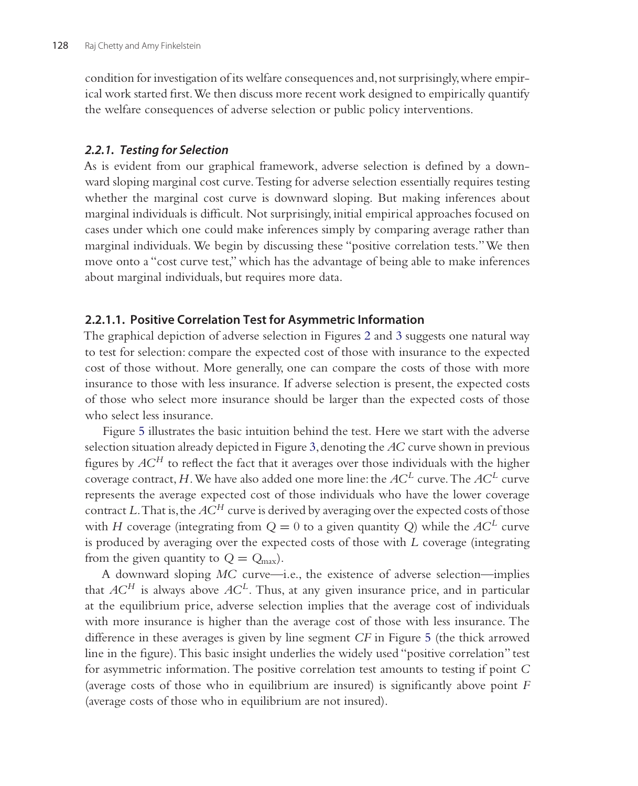condition for investigation of its welfare consequences and, not surprisingly, where empirical work started first.We then discuss more recent work designed to empirically quantify the welfare consequences of adverse selection or public policy interventions.

## <span id="page-17-0"></span>*2.2.1. Testing for Selection*

As is evident from our graphical framework, adverse selection is defined by a downward sloping marginal cost curve. Testing for adverse selection essentially requires testing whether the marginal cost curve is downward sloping. But making inferences about marginal individuals is difficult. Not surprisingly, initial empirical approaches focused on cases under which one could make inferences simply by comparing average rather than marginal individuals. We begin by discussing these "positive correlation tests."We then move onto a "cost curve test," which has the advantage of being able to make inferences about marginal individuals, but requires more data.

## **2.2.1.1. Positive Correlation Test for Asymmetric Information**

The graphical depiction of adverse selection in Figures [2](#page-8-0) and [3](#page-13-0) suggests one natural way to test for selection: compare the expected cost of those with insurance to the expected cost of those without. More generally, one can compare the costs of those with more insurance to those with less insurance. If adverse selection is present, the expected costs of those who select more insurance should be larger than the expected costs of those who select less insurance.

Figure [5](#page-18-0) illustrates the basic intuition behind the test. Here we start with the adverse selection situation already depicted in Figure [3,](#page-13-0) denoting the *AC* curve shown in previous figures by *AC<sup>H</sup>* to reflect the fact that it averages over those individuals with the higher coverage contract, *H*. We have also added one more line: the  $AC^L$  curve. The  $AC^L$  curve represents the average expected cost of those individuals who have the lower coverage contract *L*.That is,the *AC<sup>H</sup>* curve is derived by averaging over the expected costs of those with *H* coverage (integrating from  $Q = 0$  to a given quantity *Q*) while the  $AC<sup>L</sup>$  curve is produced by averaging over the expected costs of those with *L* coverage (integrating from the given quantity to  $Q = Q_{\text{max}}$ ).

A downward sloping *MC* curve—i.e., the existence of adverse selection—implies that  $AC^H$  is always above  $AC^L$ . Thus, at any given insurance price, and in particular at the equilibrium price, adverse selection implies that the average cost of individuals with more insurance is higher than the average cost of those with less insurance. The difference in these averages is given by line segment *CF* in Figure [5](#page-18-0) (the thick arrowed line in the figure). This basic insight underlies the widely used "positive correlation" test for asymmetric information. The positive correlation test amounts to testing if point *C* (average costs of those who in equilibrium are insured) is significantly above point *F* (average costs of those who in equilibrium are not insured).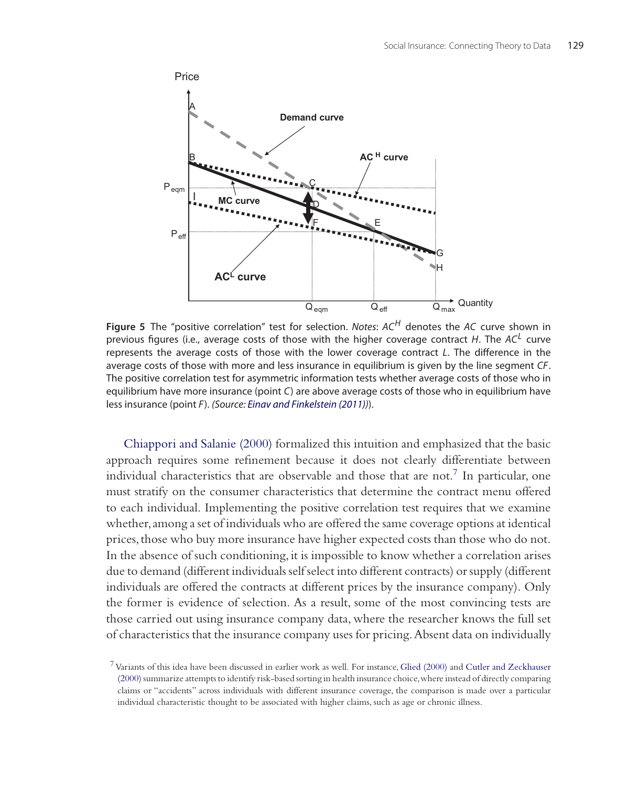

<span id="page-18-0"></span>**Figure 5** The "positive correlation" test for selection. Notes: AC<sup>H</sup> denotes the AC curve shown in previous figures (i.e., average costs of those with the higher coverage contract H. The  $AC<sup>L</sup>$  curve represents the average costs of those with the lower coverage contract  $L$ . The difference in the average costs of those with more and less insurance in equilibrium is given by the line segment CF. The positive correlation test for asymmetric information tests whether average costs of those who in equilibrium have more insurance (point C) are above average costs of those who in equilibrium have less insurance (point F). (Source: [Einav and Finkelstein \(2011\)\)](#page-78-2)).

[Chiappori and Salanie \(2000\)](#page-77-4) formalized this intuition and emphasized that the basic approach requires some refinement because it does not clearly differentiate between individual characteristics that are observable and those that are not.<sup>[7](#page-18-1)</sup> In particular, one must stratify on the consumer characteristics that determine the contract menu offered to each individual. Implementing the positive correlation test requires that we examine whether,among a set of individuals who are offered the same coverage options at identical prices,those who buy more insurance have higher expected costs than those who do not. In the absence of such conditioning, it is impossible to know whether a correlation arises due to demand (different individuals self select into different contracts) or supply (different individuals are offered the contracts at different prices by the insurance company). Only the former is evidence of selection. As a result, some of the most convincing tests are those carried out using insurance company data, where the researcher knows the full set of characteristics that the insurance company uses for pricing.Absent data on individually

<span id="page-18-1"></span> $7$  Variants of this idea have been discussed in earlier work as well. For instance, [Glied \(2000\)](#page-79-7) and Cutler and Zeckhauser (2000) summarize attempts to identify risk-based sorting in health insurance choice, where instead of directly comparing claims or "accidents" across individuals with different insurance coverage, the comparison is made over a particular individual characteristic thought to be associated with higher claims, such as age or chronic illness.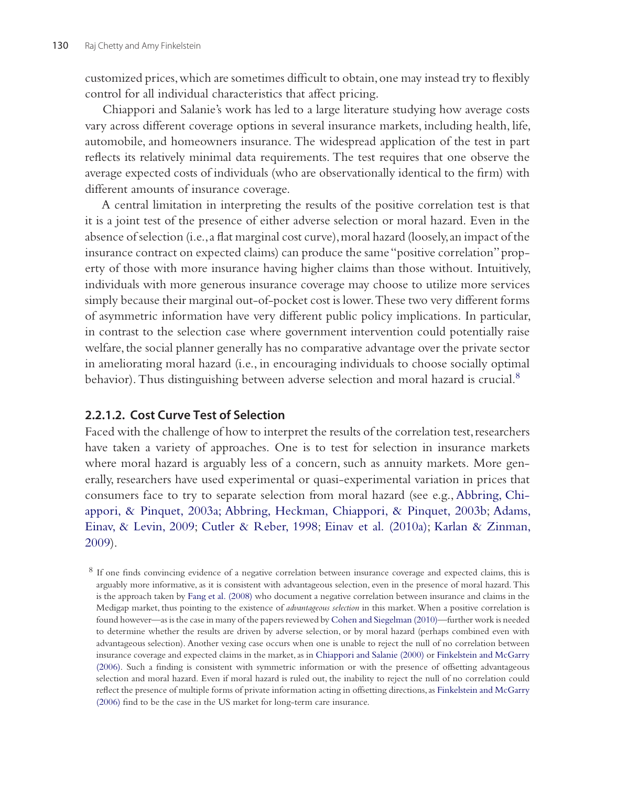customized prices,which are sometimes difficult to obtain, one may instead try to flexibly control for all individual characteristics that affect pricing.

Chiappori and Salanie's work has led to a large literature studying how average costs vary across different coverage options in several insurance markets, including health, life, automobile, and homeowners insurance. The widespread application of the test in part reflects its relatively minimal data requirements. The test requires that one observe the average expected costs of individuals (who are observationally identical to the firm) with different amounts of insurance coverage.

A central limitation in interpreting the results of the positive correlation test is that it is a joint test of the presence of either adverse selection or moral hazard. Even in the absence of selection (i.e., a flat marginal cost curve), moral hazard (loosely, an impact of the insurance contract on expected claims) can produce the same"positive correlation" property of those with more insurance having higher claims than those without. Intuitively, individuals with more generous insurance coverage may choose to utilize more services simply because their marginal out-of-pocket cost is lower.These two very different forms of asymmetric information have very different public policy implications. In particular, in contrast to the selection case where government intervention could potentially raise welfare, the social planner generally has no comparative advantage over the private sector in ameliorating moral hazard (i.e., in encouraging individuals to choose socially optimal behavior). Thus distinguishing between adverse selection and moral hazard is crucial.<sup>[8](#page-19-0)</sup>

#### **2.2.1.2. Cost Curve Test of Selection**

Faced with the challenge of how to interpret the results of the correlation test, researchers have taken a variety of approaches. One is to test for selection in insurance markets where moral hazard is arguably less of a concern, such as annuity markets. More generally, researchers have used experimental or quasi-experimental variation in prices that consumers face to try to separate selection from moral hazard (see e.g.,Abbring, Chiappori, & Pinquet, 2[003a;](#page-75-4) [Abbring,](#page-75-4) [Heckman,](#page-75-4) [Chiappori,](#page-75-4) [&](#page-75-4) [Pinquet,](#page-75-4) [2003b;](#page-75-4) Adams, Einav, & Levin, 2009; [Cutler & Reber, 1998;](#page-78-6) [Einav et al. \(2010a\);](#page-78-1) Karlan & Zinman, 2009).

<span id="page-19-0"></span><sup>8</sup> If one finds convincing evidence of a negative correlation between insurance coverage and expected claims, this is arguably more informative, as it is consistent with advantageous selection, even in the presence of moral hazard. This is the approach taken by [Fang et al. \(2008\)](#page-78-7) who document a negative correlation between insurance and claims in the Medigap market, thus pointing to the existence of *advantageous selection* in this market. When a positive correlation is found however—as is the case in many of the papers reviewed by [Cohen and Siegelman \(2010\)—](#page-77-5)further work is needed to determine whether the results are driven by adverse selection, or by moral hazard (perhaps combined even with advantageous selection). Another vexing case occurs when one is unable to reject the null of no correlation between insurance coverage and expected claims in the market, as in [Chiappori and Salanie \(2000\)](#page-77-4) or Finkelstein and McGarry (2006). Such a finding is consistent with symmetric information or with the presence of offsetting advantageous selection and moral hazard. Even if moral hazard is ruled out, the inability to reject the null of no correlation could reflect the presence of multiple forms of private information acting in offsetting directions, as Finkelstein and McGarry (2006) find to be the case in the US market for long-term care insurance.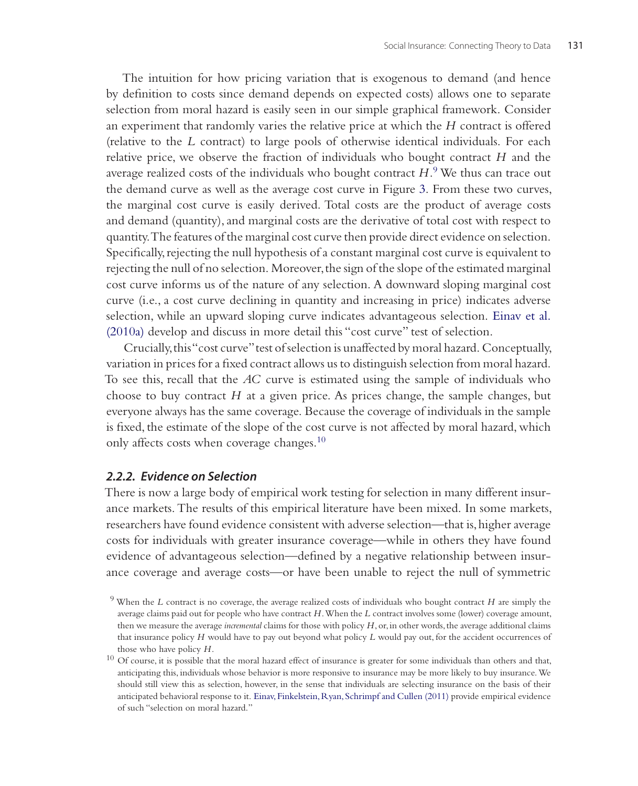The intuition for how pricing variation that is exogenous to demand (and hence by definition to costs since demand depends on expected costs) allows one to separate selection from moral hazard is easily seen in our simple graphical framework. Consider an experiment that randomly varies the relative price at which the *H* contract is offered (relative to the *L* contract) to large pools of otherwise identical individuals. For each relative price, we observe the fraction of individuals who bought contract *H* and the average realized costs of the individuals who bought contract *H*. [9](#page-20-1) We thus can trace out the demand curve as well as the average cost curve in Figure [3.](#page-13-0) From these two curves, the marginal cost curve is easily derived. Total costs are the product of average costs and demand (quantity), and marginal costs are the derivative of total cost with respect to quantity.The features of the marginal cost curve then provide direct evidence on selection. Specifically, rejecting the null hypothesis of a constant marginal cost curve is equivalent to rejecting the null of no selection. Moreover,the sign of the slope of the estimated marginal cost curve informs us of the nature of any selection. A downward sloping marginal cost curve (i.e., a cost curve declining in quantity and increasing in price) indicates adverse selection, while an upward sloping curve indicates advantageous selection. Einav et al. (2010a) develop and discuss in more detail this "cost curve" test of selection.

Crucially,this"cost curve"test of selection is unaffected by moral hazard. Conceptually, variation in prices for a fixed contract allows us to distinguish selection from moral hazard. To see this, recall that the *AC* curve is estimated using the sample of individuals who choose to buy contract *H* at a given price. As prices change, the sample changes, but everyone always has the same coverage. Because the coverage of individuals in the sample is fixed, the estimate of the slope of the cost curve is not affected by moral hazard, which only affects costs when coverage changes.<sup>10</sup>

#### <span id="page-20-0"></span>*2.2.2. Evidence on Selection*

There is now a large body of empirical work testing for selection in many different insurance markets. The results of this empirical literature have been mixed. In some markets, researchers have found evidence consistent with adverse selection—that is, higher average costs for individuals with greater insurance coverage—while in others they have found evidence of advantageous selection—defined by a negative relationship between insurance coverage and average costs—or have been unable to reject the null of symmetric

<span id="page-20-1"></span><sup>9</sup> When the *L* contract is no coverage, the average realized costs of individuals who bought contract *H* are simply the average claims paid out for people who have contract *H*.When the *L* contract involves some (lower) coverage amount, then we measure the average *incremental* claims for those with policy *H*, or,in other words,the average additional claims that insurance policy *H* would have to pay out beyond what policy *L* would pay out, for the accident occurrences of those who have policy *H*.

<span id="page-20-2"></span> $10$  Of course, it is possible that the moral hazard effect of insurance is greater for some individuals than others and that, anticipating this, individuals whose behavior is more responsive to insurance may be more likely to buy insurance.We should still view this as selection, however, in the sense that individuals are selecting insurance on the basis of their anticipated behavioral response to it. [Einav, Finkelstein, Ryan, Schrimpf and Cullen \(2011\)](#page-78-8) provide empirical evidence of such "selection on moral hazard."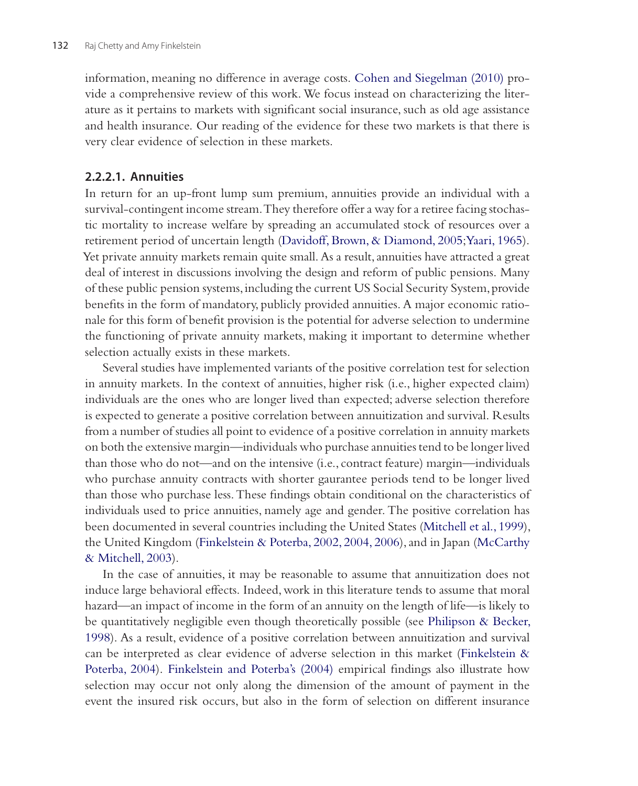information, meaning no difference in average costs. [Cohen and Siegelman \(2010\)](#page-77-5) provide a comprehensive review of this work.We focus instead on characterizing the literature as it pertains to markets with significant social insurance, such as old age assistance and health insurance. Our reading of the evidence for these two markets is that there is very clear evidence of selection in these markets.

#### **2.2.2.1. Annuities**

In return for an up-front lump sum premium, annuities provide an individual with a survival-contingent income stream.They therefore offer a way for a retiree facing stochastic mortality to increase welfare by spreading an accumulated stock of resources over a retirement period of uncertain length [\(Davidoff, Brown, & Diamond, 2005;](#page-78-9)[Yaari, 1965\)](#page-82-2). Yet private annuity markets remain quite small. As a result, annuities have attracted a great deal of interest in discussions involving the design and reform of public pensions. Many of these public pension systems,including the current US Social Security System, provide benefits in the form of mandatory, publicly provided annuities. A major economic rationale for this form of benefit provision is the potential for adverse selection to undermine the functioning of private annuity markets, making it important to determine whether selection actually exists in these markets.

Several studies have implemented variants of the positive correlation test for selection in annuity markets. In the context of annuities, higher risk (i.e., higher expected claim) individuals are the ones who are longer lived than expected; adverse selection therefore is expected to generate a positive correlation between annuitization and survival. Results from a number of studies all point to evidence of a positive correlation in annuity markets on both the extensive margin—individuals who purchase annuities tend to be longer lived than those who do not—and on the intensive (i.e., contract feature) margin—individuals who purchase annuity contracts with shorter gaurantee periods tend to be longer lived than those who purchase less.These findings obtain conditional on the characteristics of individuals used to price annuities, namely age and gender. The positive correlation has been documented in several countries including the United States [\(Mitchell et al., 1999\)](#page-81-1), the United Kingdom (Finkelstein & Poterba, 2002, 2004, 2006), and in Japan (McCarthy & Mitchell, 2003).

In the case of annuities, it may be reasonable to assume that annuitization does not induce large behavioral effects. Indeed, work in this literature tends to assume that moral hazard—an impact of income in the form of an annuity on the length of life—is likely to be quantitatively negligible even though theoretically possible (see Philipson & Becker, 1998). As a result, evidence of a positive correlation between annuitization and survival can be interpreted as clear evidence of adverse selection in this market (Finkelstein  $\&$ Poterba, 2004). [Finkelstein and Poterba's \(2004\)](#page-79-8) empirical findings also illustrate how selection may occur not only along the dimension of the amount of payment in the event the insured risk occurs, but also in the form of selection on different insurance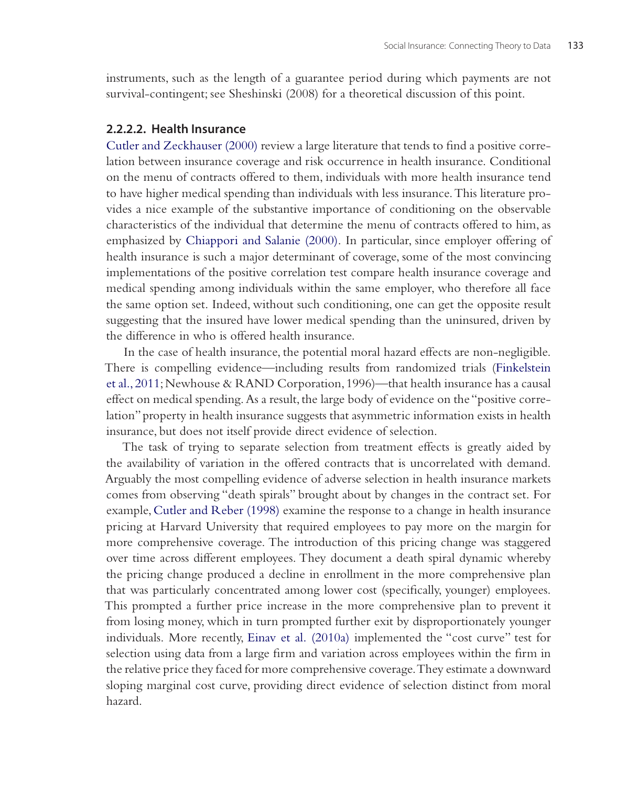instruments, such as the length of a guarantee period during which payments are not survival-contingent; see Sheshinski (2008) for a theoretical discussion of this point.

#### **2.2.2.2. Health Insurance**

[Cutler and Zeckhauser \(2000\)](#page-78-10) review a large literature that tends to find a positive correlation between insurance coverage and risk occurrence in health insurance. Conditional on the menu of contracts offered to them, individuals with more health insurance tend to have higher medical spending than individuals with less insurance.This literature provides a nice example of the substantive importance of conditioning on the observable characteristics of the individual that determine the menu of contracts offered to him, as emphasized by [Chiappori and Salanie \(2000\).](#page-77-4) In particular, since employer offering of health insurance is such a major determinant of coverage, some of the most convincing implementations of the positive correlation test compare health insurance coverage and medical spending among individuals within the same employer, who therefore all face the same option set. Indeed, without such conditioning, one can get the opposite result suggesting that the insured have lower medical spending than the uninsured, driven by the difference in who is offered health insurance.

In the case of health insurance, the potential moral hazard effects are non-negligible. There is compelling evidence—including results from randomized trials (Finkelstein et al.,2011;Newhouse & RAND Corporation,1996)—that health insurance has a causal effect on medical spending. As a result, the large body of evidence on the "positive correlation" property in health insurance suggests that asymmetric information exists in health insurance, but does not itself provide direct evidence of selection.

The task of trying to separate selection from treatment effects is greatly aided by the availability of variation in the offered contracts that is uncorrelated with demand. Arguably the most compelling evidence of adverse selection in health insurance markets comes from observing "death spirals" brought about by changes in the contract set. For example, [Cutler and Reber \(1998\)](#page-78-6) examine the response to a change in health insurance pricing at Harvard University that required employees to pay more on the margin for more comprehensive coverage. The introduction of this pricing change was staggered over time across different employees. They document a death spiral dynamic whereby the pricing change produced a decline in enrollment in the more comprehensive plan that was particularly concentrated among lower cost (specifically, younger) employees. This prompted a further price increase in the more comprehensive plan to prevent it from losing money, which in turn prompted further exit by disproportionately younger individuals. More recently, [Einav et al. \(2010a\)](#page-78-1) implemented the "cost curve" test for selection using data from a large firm and variation across employees within the firm in the relative price they faced for more comprehensive coverage.They estimate a downward sloping marginal cost curve, providing direct evidence of selection distinct from moral hazard.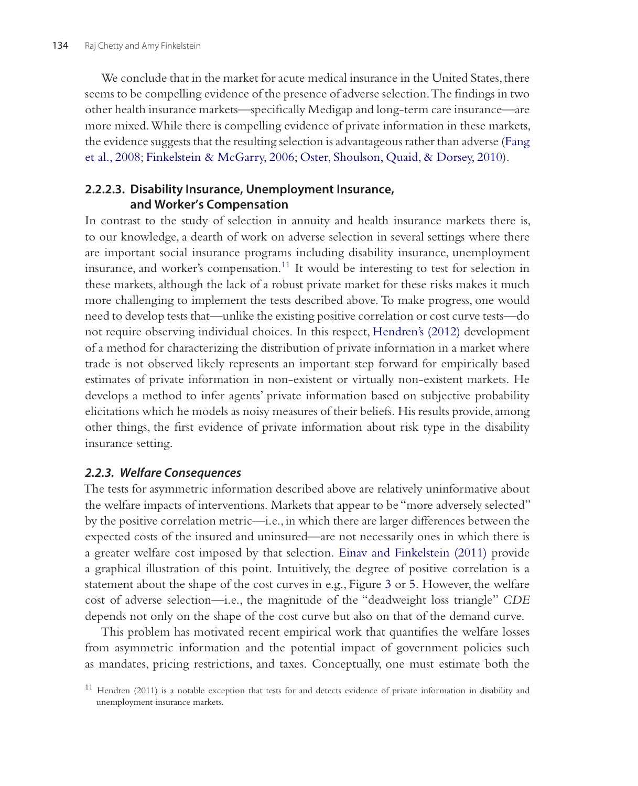We conclude that in the market for acute medical insurance in the United States, there seems to be compelling evidence of the presence of adverse selection.The findings in two other health insurance markets—specifically Medigap and long-term care insurance—are more mixed.While there is compelling evidence of private information in these markets, the evidence suggests that the resulting selection is advantageous rather than adverse (Fang et al., 2008; [Finkelstein & McGarry, 2006;](#page-78-11) [Oster, Shoulson, Quaid, & Dorsey, 2010\)](#page-81-3).

## **2.2.2.3. Disability Insurance, Unemployment Insurance, and Worker's Compensation**

In contrast to the study of selection in annuity and health insurance markets there is, to our knowledge, a dearth of work on adverse selection in several settings where there are important social insurance programs including disability insurance, unemployment insurance, and worker's compensation.<sup>11</sup> It would be interesting to test for selection in these markets, although the lack of a robust private market for these risks makes it much more challenging to implement the tests described above. To make progress, one would need to develop tests that—unlike the existing positive correlation or cost curve tests—do not require observing individual choices. In this respect, [Hendren's \(2012\)](#page-79-9) development of a method for characterizing the distribution of private information in a market where trade is not observed likely represents an important step forward for empirically based estimates of private information in non-existent or virtually non-existent markets. He develops a method to infer agents' private information based on subjective probability elicitations which he models as noisy measures of their beliefs. His results provide, among other things, the first evidence of private information about risk type in the disability insurance setting.

## <span id="page-23-0"></span>*2.2.3. Welfare Consequences*

The tests for asymmetric information described above are relatively uninformative about the welfare impacts of interventions. Markets that appear to be "more adversely selected" by the positive correlation metric—i.e.,in which there are larger differences between the expected costs of the insured and uninsured—are not necessarily ones in which there is a greater welfare cost imposed by that selection. [Einav and Finkelstein \(2011\)](#page-78-2) provide a graphical illustration of this point. Intuitively, the degree of positive correlation is a statement about the shape of the cost curves in e.g., Figure [3](#page-13-0) or [5.](#page-18-0) However, the welfare cost of adverse selection—i.e., the magnitude of the "deadweight loss triangle" *CDE* depends not only on the shape of the cost curve but also on that of the demand curve.

This problem has motivated recent empirical work that quantifies the welfare losses from asymmetric information and the potential impact of government policies such as mandates, pricing restrictions, and taxes. Conceptually, one must estimate both the

<span id="page-23-1"></span><sup>&</sup>lt;sup>11</sup> Hendren (2011) is a notable exception that tests for and detects evidence of private information in disability and unemployment insurance markets.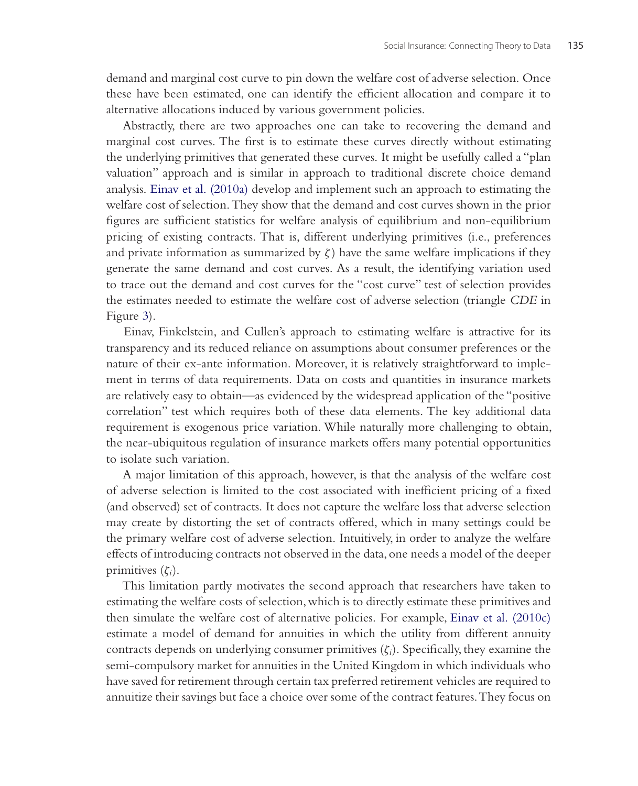demand and marginal cost curve to pin down the welfare cost of adverse selection. Once these have been estimated, one can identify the efficient allocation and compare it to alternative allocations induced by various government policies.

Abstractly, there are two approaches one can take to recovering the demand and marginal cost curves. The first is to estimate these curves directly without estimating the underlying primitives that generated these curves. It might be usefully called a "plan valuation" approach and is similar in approach to traditional discrete choice demand analysis. [Einav et al. \(2010a\)](#page-78-1) develop and implement such an approach to estimating the welfare cost of selection.They show that the demand and cost curves shown in the prior figures are sufficient statistics for welfare analysis of equilibrium and non-equilibrium pricing of existing contracts. That is, different underlying primitives (i.e., preferences and private information as summarized by  $\zeta$ ) have the same welfare implications if they generate the same demand and cost curves. As a result, the identifying variation used to trace out the demand and cost curves for the "cost curve" test of selection provides the estimates needed to estimate the welfare cost of adverse selection (triangle *CDE* in Figure [3\)](#page-13-0).

Einav, Finkelstein, and Cullen's approach to estimating welfare is attractive for its transparency and its reduced reliance on assumptions about consumer preferences or the nature of their ex-ante information. Moreover, it is relatively straightforward to implement in terms of data requirements. Data on costs and quantities in insurance markets are relatively easy to obtain—as evidenced by the widespread application of the "positive correlation" test which requires both of these data elements. The key additional data requirement is exogenous price variation. While naturally more challenging to obtain, the near-ubiquitous regulation of insurance markets offers many potential opportunities to isolate such variation.

A major limitation of this approach, however, is that the analysis of the welfare cost of adverse selection is limited to the cost associated with inefficient pricing of a fixed (and observed) set of contracts. It does not capture the welfare loss that adverse selection may create by distorting the set of contracts offered, which in many settings could be the primary welfare cost of adverse selection. Intuitively, in order to analyze the welfare effects of introducing contracts not observed in the data, one needs a model of the deeper primitives (ζ*i*).

This limitation partly motivates the second approach that researchers have taken to estimating the welfare costs of selection,which is to directly estimate these primitives and then simulate the welfare cost of alternative policies. For example, [Einav et al. \(2010c\)](#page-78-3) estimate a model of demand for annuities in which the utility from different annuity contracts depends on underlying consumer primitives  $(\zeta_i)$ . Specifically, they examine the semi-compulsory market for annuities in the United Kingdom in which individuals who have saved for retirement through certain tax preferred retirement vehicles are required to annuitize their savings but face a choice over some of the contract features.They focus on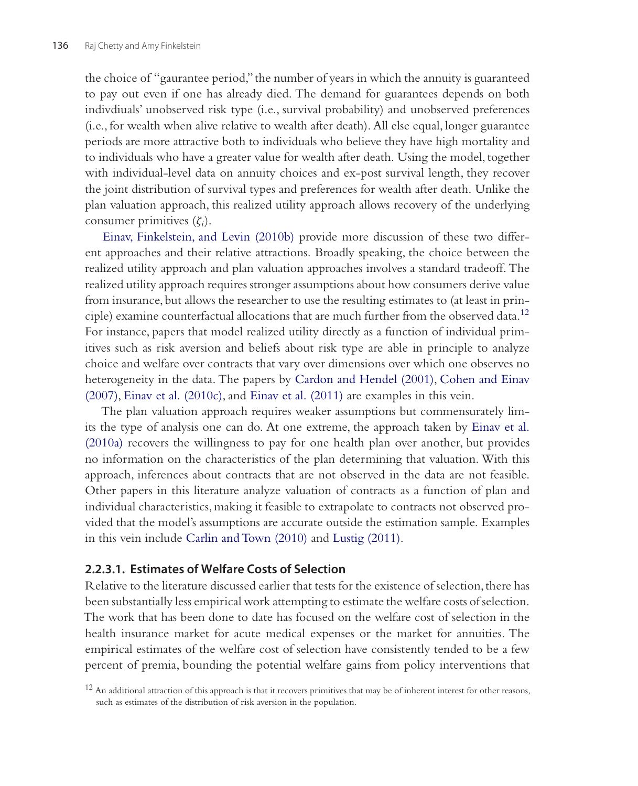the choice of "gaurantee period,"the number of years in which the annuity is guaranteed to pay out even if one has already died. The demand for guarantees depends on both indivdiuals' unobserved risk type (i.e., survival probability) and unobserved preferences (i.e., for wealth when alive relative to wealth after death). All else equal, longer guarantee periods are more attractive both to individuals who believe they have high mortality and to individuals who have a greater value for wealth after death. Using the model, together with individual-level data on annuity choices and ex-post survival length, they recover the joint distribution of survival types and preferences for wealth after death. Unlike the plan valuation approach, this realized utility approach allows recovery of the underlying consumer primitives (ζ*i*).

[Einav, Finkelstein, and Levin \(2010b\)](#page-78-12) provide more discussion of these two different approaches and their relative attractions. Broadly speaking, the choice between the realized utility approach and plan valuation approaches involves a standard tradeoff. The realized utility approach requires stronger assumptions about how consumers derive value from insurance, but allows the researcher to use the resulting estimates to (at least in principle) examine counterfactual allocations that are much further from the observed data.<sup>12</sup> For instance, papers that model realized utility directly as a function of individual primitives such as risk aversion and beliefs about risk type are able in principle to analyze choice and welfare over contracts that vary over dimensions over which one observes no heterogeneity in the data. The papers by [Cardon and Hendel \(2001\),](#page-76-2) Cohen and Einav (2007), [Einav et al. \(2010c\),](#page-78-3) and [Einav et al. \(2011\)](#page-78-8) are examples in this vein.

The plan valuation approach requires weaker assumptions but commensurately limits the type of analysis one can do. At one extreme, the approach taken by Einav et al. (2010a) recovers the willingness to pay for one health plan over another, but provides no information on the characteristics of the plan determining that valuation. With this approach, inferences about contracts that are not observed in the data are not feasible. Other papers in this literature analyze valuation of contracts as a function of plan and individual characteristics, making it feasible to extrapolate to contracts not observed provided that the model's assumptions are accurate outside the estimation sample. Examples in this vein include [Carlin and Town \(2010\)](#page-76-3) and [Lustig \(2011\).](#page-81-4)

#### **2.2.3.1. Estimates of Welfare Costs of Selection**

Relative to the literature discussed earlier that tests for the existence of selection, there has been substantially less empirical work attempting to estimate the welfare costs of selection. The work that has been done to date has focused on the welfare cost of selection in the health insurance market for acute medical expenses or the market for annuities. The empirical estimates of the welfare cost of selection have consistently tended to be a few percent of premia, bounding the potential welfare gains from policy interventions that

<span id="page-25-0"></span> $12$  An additional attraction of this approach is that it recovers primitives that may be of inherent interest for other reasons, such as estimates of the distribution of risk aversion in the population.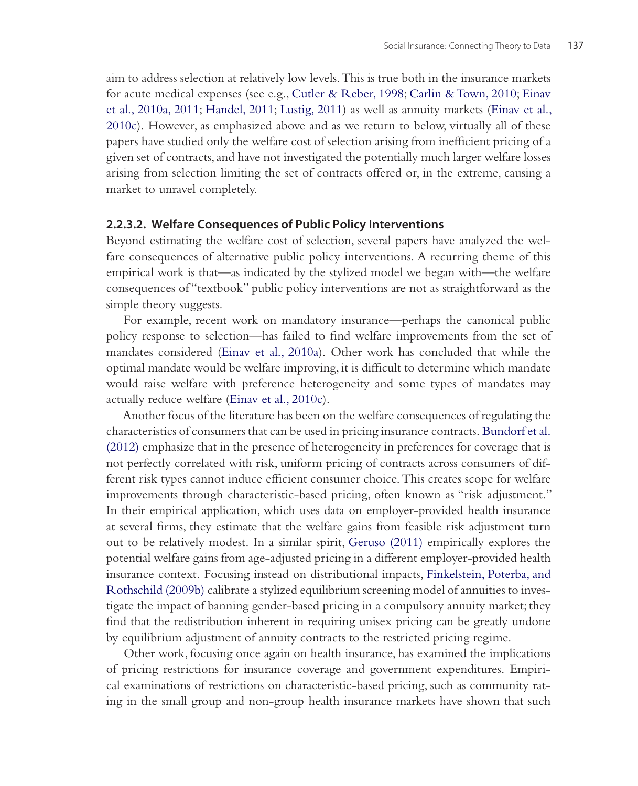aim to address selection at relatively low levels.This is true both in the insurance markets for acute medical expenses (see e.g., [Cutler & Reber, 1998;](#page-78-6) [Carlin & Town, 2010;](#page-76-3) Einav et al., 2010a, 2011; [Handel, 2011;](#page-79-5) [Lustig, 2011\)](#page-81-4) [as](#page-78-3) [well](#page-78-3) [as](#page-78-3) [annuity](#page-78-3) [markets](#page-78-3) [\(](#page-78-3)Einav et al., 2010c). However, as emphasized above and as we return to below, virtually all of these papers have studied only the welfare cost of selection arising from inefficient pricing of a given set of contracts, and have not investigated the potentially much larger welfare losses arising from selection limiting the set of contracts offered or, in the extreme, causing a market to unravel completely.

#### **2.2.3.2. Welfare Consequences of Public Policy Interventions**

Beyond estimating the welfare cost of selection, several papers have analyzed the welfare consequences of alternative public policy interventions. A recurring theme of this empirical work is that—as indicated by the stylized model we began with—the welfare consequences of "textbook" public policy interventions are not as straightforward as the simple theory suggests.

For example, recent work on mandatory insurance—perhaps the canonical public policy response to selection—has failed to find welfare improvements from the set of mandates considered [\(Einav et al., 2010a\)](#page-78-1). Other work has concluded that while the optimal mandate would be welfare improving, it is difficult to determine which mandate would raise welfare with preference heterogeneity and some types of mandates may actually reduce welfare [\(Einav et al., 2010c\)](#page-78-3).

Another focus of the literature has been on the welfare consequences of regulating the characteristics of consumers that can be used in pricing insurance contracts. Bundorf et al. (2012) emphasize that in the presence of heterogeneity in preferences for coverage that is not perfectly correlated with risk, uniform pricing of contracts across consumers of different risk types cannot induce efficient consumer choice. This creates scope for welfare improvements through characteristic-based pricing, often known as "risk adjustment." In their empirical application, which uses data on employer-provided health insurance at several firms, they estimate that the welfare gains from feasible risk adjustment turn out to be relatively modest. In a similar spirit, [Geruso \(2011\)](#page-79-10) empirically explores the potential welfare gains from age-adjusted pricing in a different employer-provided health insurance context. Focusing instead on distributional impacts, Finkelstein, Poterba, and Rothschild (2009b) calibrate a stylized equilibrium screening model of annuities to investigate the impact of banning gender-based pricing in a compulsory annuity market; they find that the redistribution inherent in requiring unisex pricing can be greatly undone by equilibrium adjustment of annuity contracts to the restricted pricing regime.

Other work, focusing once again on health insurance, has examined the implications of pricing restrictions for insurance coverage and government expenditures. Empirical examinations of restrictions on characteristic-based pricing, such as community rating in the small group and non-group health insurance markets have shown that such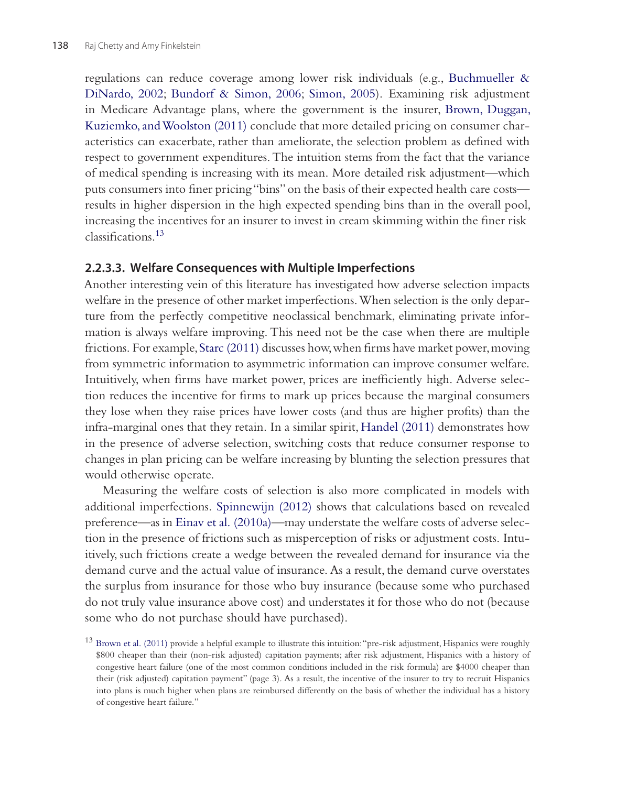regulations can [reduce](#page-76-4) [coverage](#page-76-4) [among](#page-76-4) [lower](#page-76-4) [risk](#page-76-4) [individuals](#page-76-4) [\(e.g.,](#page-76-4) Buchmueller & DiNardo, 2002; [Bundorf & Simon, 2006;](#page-76-5) [Simon, 2005\)](#page-82-3). Examining risk adjustment in Medicare Advantage plans, where the government is the insurer, Brown, Duggan, Kuziemko, andWoolston (2011) conclude that more detailed pricing on consumer characteristics can exacerbate, rather than ameliorate, the selection problem as defined with respect to government expenditures. The intuition stems from the fact that the variance of medical spending is increasing with its mean. More detailed risk adjustment—which puts consumers into finer pricing "bins" on the basis of their expected health care costs results in higher dispersion in the high expected spending bins than in the overall pool, increasing the incentives for an insurer to invest in cream skimming within the finer risk classifications[.13](#page-27-0)

#### **2.2.3.3. Welfare Consequences with Multiple Imperfections**

Another interesting vein of this literature has investigated how adverse selection impacts welfare in the presence of other market imperfections.When selection is the only departure from the perfectly competitive neoclassical benchmark, eliminating private information is always welfare improving. This need not be the case when there are multiple frictions. For example,[Starc \(2011\)](#page-82-4) discusses how,when firms have market power,moving from symmetric information to asymmetric information can improve consumer welfare. Intuitively, when firms have market power, prices are inefficiently high. Adverse selection reduces the incentive for firms to mark up prices because the marginal consumers they lose when they raise prices have lower costs (and thus are higher profits) than the infra-marginal ones that they retain. In a similar spirit, [Handel \(2011\)](#page-79-5) demonstrates how in the presence of adverse selection, switching costs that reduce consumer response to changes in plan pricing can be welfare increasing by blunting the selection pressures that would otherwise operate.

Measuring the welfare costs of selection is also more complicated in models with additional imperfections. [Spinnewijn \(2012\)](#page-82-5) shows that calculations based on revealed preference—as in [Einav et al. \(2010a\)—](#page-78-1)may understate the welfare costs of adverse selection in the presence of frictions such as misperception of risks or adjustment costs. Intuitively, such frictions create a wedge between the revealed demand for insurance via the demand curve and the actual value of insurance. As a result, the demand curve overstates the surplus from insurance for those who buy insurance (because some who purchased do not truly value insurance above cost) and understates it for those who do not (because some who do not purchase should have purchased).

<span id="page-27-0"></span> $13$  [Brown et al. \(2011\)](#page-76-6) provide a helpful example to illustrate this intuition: "pre-risk adjustment, Hispanics were roughly \$800 cheaper than their (non-risk adjusted) capitation payments; after risk adjustment, Hispanics with a history of congestive heart failure (one of the most common conditions included in the risk formula) are \$4000 cheaper than their (risk adjusted) capitation payment" (page 3). As a result, the incentive of the insurer to try to recruit Hispanics into plans is much higher when plans are reimbursed differently on the basis of whether the individual has a history of congestive heart failure."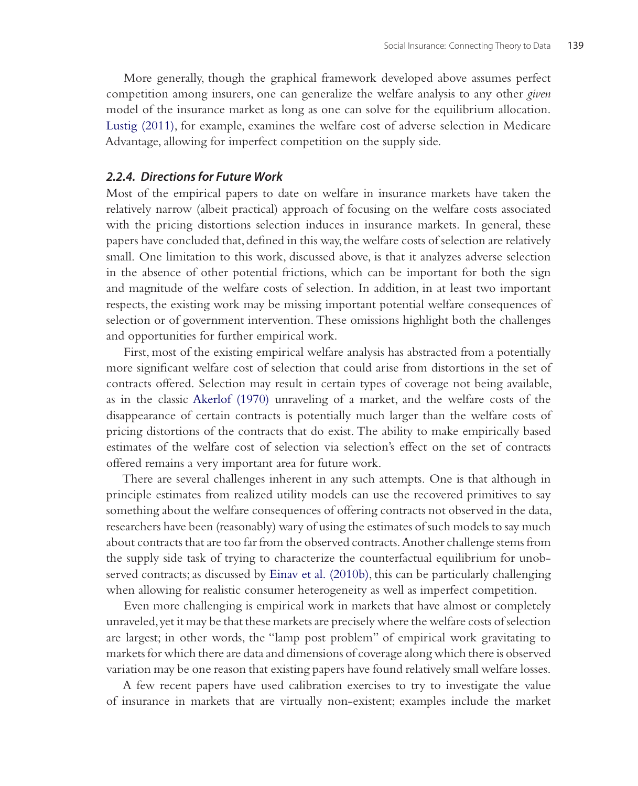More generally, though the graphical framework developed above assumes perfect competition among insurers, one can generalize the welfare analysis to any other *given* model of the insurance market as long as one can solve for the equilibrium allocation. [Lustig \(2011\),](#page-81-4) for example, examines the welfare cost of adverse selection in Medicare Advantage, allowing for imperfect competition on the supply side.

#### <span id="page-28-0"></span>*2.2.4. Directions for Future Work*

Most of the empirical papers to date on welfare in insurance markets have taken the relatively narrow (albeit practical) approach of focusing on the welfare costs associated with the pricing distortions selection induces in insurance markets. In general, these papers have concluded that, defined in this way,the welfare costs of selection are relatively small. One limitation to this work, discussed above, is that it analyzes adverse selection in the absence of other potential frictions, which can be important for both the sign and magnitude of the welfare costs of selection. In addition, in at least two important respects, the existing work may be missing important potential welfare consequences of selection or of government intervention. These omissions highlight both the challenges and opportunities for further empirical work.

First, most of the existing empirical welfare analysis has abstracted from a potentially more significant welfare cost of selection that could arise from distortions in the set of contracts offered. Selection may result in certain types of coverage not being available, as in the classic [Akerlof \(1970\)](#page-75-2) unraveling of a market, and the welfare costs of the disappearance of certain contracts is potentially much larger than the welfare costs of pricing distortions of the contracts that do exist. The ability to make empirically based estimates of the welfare cost of selection via selection's effect on the set of contracts offered remains a very important area for future work.

There are several challenges inherent in any such attempts. One is that although in principle estimates from realized utility models can use the recovered primitives to say something about the welfare consequences of offering contracts not observed in the data, researchers have been (reasonably) wary of using the estimates of such models to say much about contracts that are too far from the observed contracts.Another challenge stems from the supply side task of trying to characterize the counterfactual equilibrium for unobserved contracts; as discussed by [Einav et al. \(2010b\),](#page-78-12) this can be particularly challenging when allowing for realistic consumer heterogeneity as well as imperfect competition.

Even more challenging is empirical work in markets that have almost or completely unraveled,yet it may be that these markets are precisely where the welfare costs of selection are largest; in other words, the "lamp post problem" of empirical work gravitating to markets for which there are data and dimensions of coverage along which there is observed variation may be one reason that existing papers have found relatively small welfare losses.

A few recent papers have used calibration exercises to try to investigate the value of insurance in markets that are virtually non-existent; examples include the market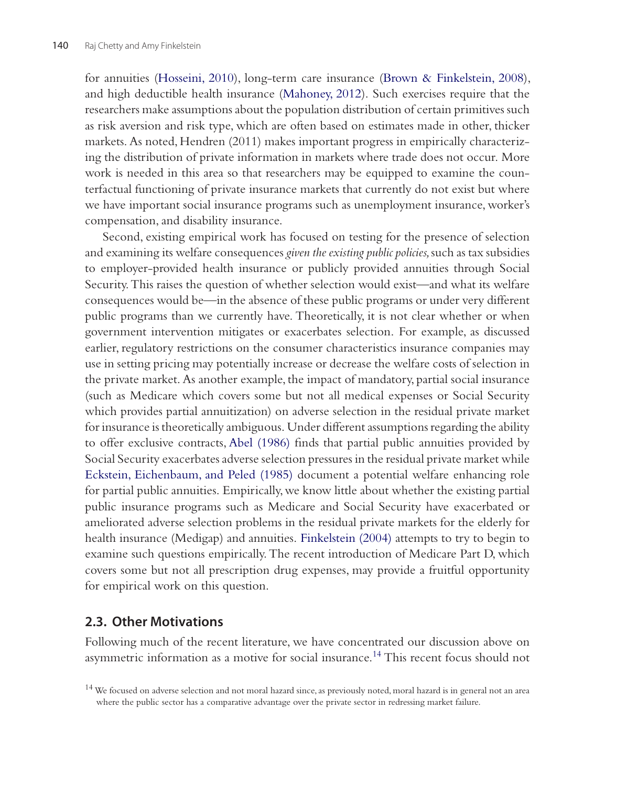for annuities [\(Hosseini, 2010\)](#page-80-2), long-term care insurance [\(Brown & Finkelstein, 2008\)](#page-76-7), and high deductible health insurance [\(Mahoney, 2012\)](#page-81-5). Such exercises require that the researchers make assumptions about the population distribution of certain primitives such as risk aversion and risk type, which are often based on estimates made in other, thicker markets. As noted, Hendren (2011) makes important progress in empirically characterizing the distribution of private information in markets where trade does not occur. More work is needed in this area so that researchers may be equipped to examine the counterfactual functioning of private insurance markets that currently do not exist but where we have important social insurance programs such as unemployment insurance, worker's compensation, and disability insurance.

Second, existing empirical work has focused on testing for the presence of selection and examining its welfare consequences *given the existing public policies,*such as tax subsidies to employer-provided health insurance or publicly provided annuities through Social Security.This raises the question of whether selection would exist—and what its welfare consequences would be—in the absence of these public programs or under very different public programs than we currently have. Theoretically, it is not clear whether or when government intervention mitigates or exacerbates selection. For example, as discussed earlier, regulatory restrictions on the consumer characteristics insurance companies may use in setting pricing may potentially increase or decrease the welfare costs of selection in the private market. As another example, the impact of mandatory, partial social insurance (such as Medicare which covers some but not all medical expenses or Social Security which provides partial annuitization) on adverse selection in the residual private market for insurance is theoretically ambiguous. Under different assumptions regarding the ability to offer exclusive contracts,[Abel \(1986\)](#page-75-5) finds that partial public annuities provided by Social Security exacerbates adverse selection pressures in the residual private market while [Eckstein, Eichenbaum, and Peled \(1985\)](#page-78-13) document a potential welfare enhancing role for partial public annuities. Empirically, we know little about whether the existing partial public insurance programs such as Medicare and Social Security have exacerbated or ameliorated adverse selection problems in the residual private markets for the elderly for health insurance (Medigap) and annuities. [Finkelstein \(2004\)](#page-78-14) attempts to try to begin to examine such questions empirically. The recent introduction of Medicare Part D, which covers some but not all prescription drug expenses, may provide a fruitful opportunity for empirical work on this question.

## <span id="page-29-0"></span>**2.3. Other Motivations**

Following much of the recent literature, we have concentrated our discussion above on asymmetric information as a motive for social insurance.<sup>14</sup> This recent focus should not

<span id="page-29-1"></span><sup>14</sup> We focused on adverse selection and not moral hazard since, as previously noted, moral hazard is in general not an area where the public sector has a comparative advantage over the private sector in redressing market failure.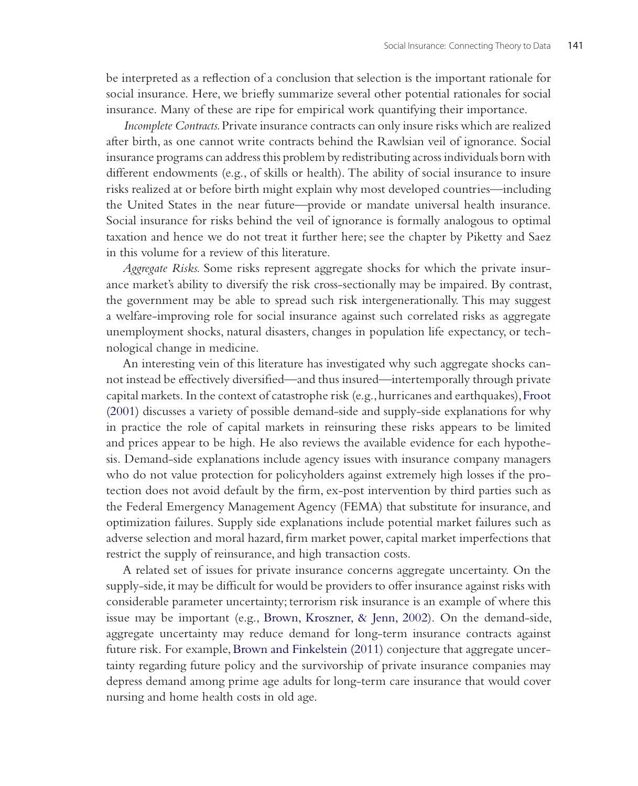be interpreted as a reflection of a conclusion that selection is the important rationale for social insurance. Here, we briefly summarize several other potential rationales for social insurance. Many of these are ripe for empirical work quantifying their importance.

*Incomplete Contracts.*Private insurance contracts can only insure risks which are realized after birth, as one cannot write contracts behind the Rawlsian veil of ignorance. Social insurance programs can address this problem by redistributing across individuals born with different endowments (e.g., of skills or health). The ability of social insurance to insure risks realized at or before birth might explain why most developed countries—including the United States in the near future—provide or mandate universal health insurance. Social insurance for risks behind the veil of ignorance is formally analogous to optimal taxation and hence we do not treat it further here; see the chapter by Piketty and Saez in this volume for a review of this literature.

*Aggregate Risks.* Some risks represent aggregate shocks for which the private insurance market's ability to diversify the risk cross-sectionally may be impaired. By contrast, the government may be able to spread such risk intergenerationally. This may suggest a welfare-improving role for social insurance against such correlated risks as aggregate unemployment shocks, natural disasters, changes in population life expectancy, or technological change in medicine.

An interesting vein of this literature has investigated why such aggregate shocks cannot instead be effectively diversified—and thus insured—intertemporally through private capital markets. In the context of catastrophe risk (e.g., hurricanes and earthquakes), Froot (2001) [discusses](#page-79-11) [a](#page-79-11) [variety](#page-79-11) [of](#page-79-11) [possible](#page-79-11) [demand-side](#page-79-11) [and](#page-79-11) [supply-side](#page-79-11) [explanations](#page-79-11) [for](#page-79-11) why in practice the role of capital markets in reinsuring these risks appears to be limited and prices appear to be high. He also reviews the available evidence for each hypothesis. Demand-side explanations include agency issues with insurance company managers who do not value protection for policyholders against extremely high losses if the protection does not avoid default by the firm, ex-post intervention by third parties such as the Federal Emergency Management Agency (FEMA) that substitute for insurance, and optimization failures. Supply side explanations include potential market failures such as adverse selection and moral hazard, firm market power, capital market imperfections that restrict the supply of reinsurance, and high transaction costs.

A related set of issues for private insurance concerns aggregate uncertainty. On the supply-side, it may be difficult for would be providers to offer insurance against risks with considerable parameter uncertainty; terrorism risk insurance is an example of where this issue may be important (e.g., [Brown, Kroszner, & Jenn, 2002\)](#page-76-8). On the demand-side, aggregate uncertainty may reduce demand for long-term insurance contracts against future risk. For example, [Brown and Finkelstein \(2011\)](#page-76-9) conjecture that aggregate uncertainty regarding future policy and the survivorship of private insurance companies may depress demand among prime age adults for long-term care insurance that would cover nursing and home health costs in old age.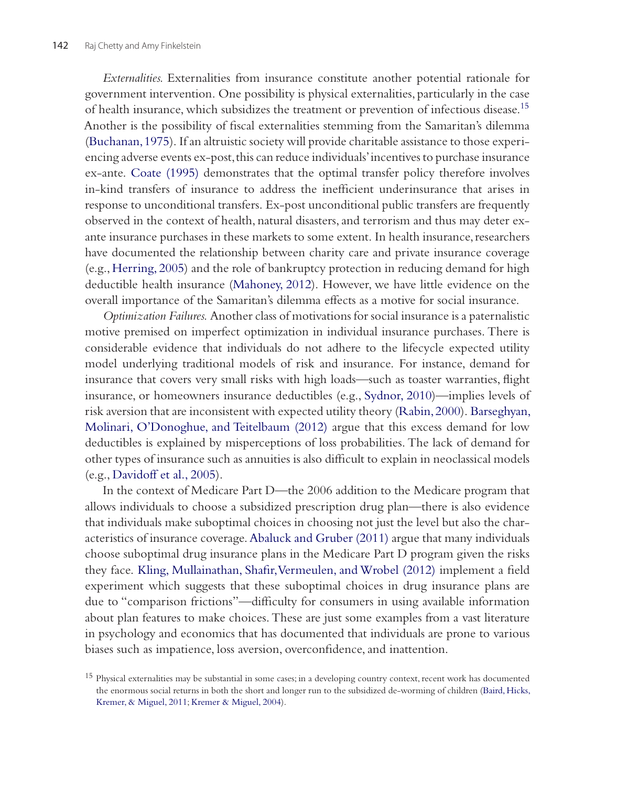*Externalities.* Externalities from insurance constitute another potential rationale for government intervention. One possibility is physical externalities, particularly in the case of health insurance, which subsidizes the treatment or prevention of infectious disease.<sup>15</sup> Another is the possibility of fiscal externalities stemming from the Samaritan's dilemma [\(Buchanan,1975\)](#page-76-10). If an altruistic society will provide charitable assistance to those experiencing adverse events ex-post, this can reduce individuals' incentives to purchase insurance ex-ante. [Coate \(1995\)](#page-77-6) demonstrates that the optimal transfer policy therefore involves in-kind transfers of insurance to address the inefficient underinsurance that arises in response to unconditional transfers. Ex-post unconditional public transfers are frequently observed in the context of health, natural disasters, and terrorism and thus may deter exante insurance purchases in these markets to some extent. In health insurance, researchers have documented the relationship between charity care and private insurance coverage (e.g.,[Herring, 2005\)](#page-80-3) and the role of bankruptcy protection in reducing demand for high deductible health insurance [\(Mahoney, 2012\)](#page-81-5). However, we have little evidence on the overall importance of the Samaritan's dilemma effects as a motive for social insurance.

*Optimization Failures.* Another class of motivations for social insurance is a paternalistic motive premised on imperfect optimization in individual insurance purchases. There is considerable evidence that individuals do not adhere to the lifecycle expected utility model underlying traditional models of risk and insurance. For instance, demand for insurance that covers very small risks with high loads—such as toaster warranties, flight insurance, or homeowners insurance deductibles (e.g., [Sydnor, 2010\)](#page-82-6)—implies levels of risk aversion that are inconsistent with expected utility theory [\(Rabin,2000\)](#page-81-6). Barseghyan, Molinari, O'Donoghue, and Teitelbaum (2012) argue that this excess demand for low deductibles is explained by misperceptions of loss probabilities. The lack of demand for other types of insurance such as annuities is also difficult to explain in neoclassical models (e.g., [Davidoff et al., 2005\)](#page-78-9).

In the context of Medicare Part D—the 2006 addition to the Medicare program that allows individuals to choose a subsidized prescription drug plan—there is also evidence that individuals make suboptimal choices in choosing not just the level but also the characteristics of insurance coverage.[Abaluck and Gruber \(2011\)](#page-75-6) argue that many individuals choose suboptimal drug insurance plans in the Medicare Part D program given the risks they face. [Kling, Mullainathan, Shafir,Vermeulen, and Wrobel \(2012\)](#page-80-4) implement a field experiment which suggests that these suboptimal choices in drug insurance plans are due to "comparison frictions"—difficulty for consumers in using available information about plan features to make choices. These are just some examples from a vast literature in psychology and economics that has documented that individuals are prone to various biases such as impatience, loss aversion, overconfidence, and inattention.

<span id="page-31-0"></span><sup>15</sup> Physical externalities may be substantial in some cases; in a developing country context, recent work has documented the enormous social returns in both the short and longer run to the subsidized de-worming of children (Baird, Hicks, Kremer, & Miguel, 2011; [Kremer & Miguel, 2004\)](#page-80-5).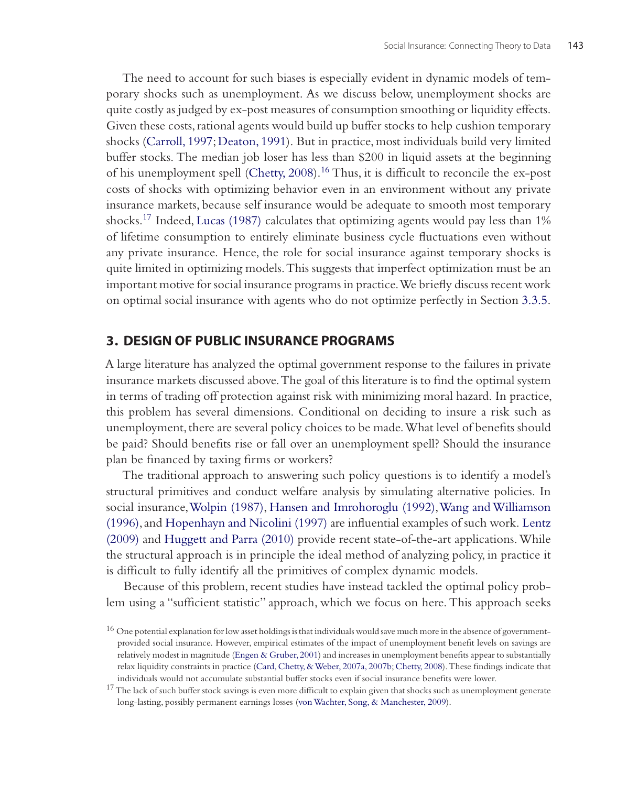The need to account for such biases is especially evident in dynamic models of temporary shocks such as unemployment. As we discuss below, unemployment shocks are quite costly as judged by ex-post measures of consumption smoothing or liquidity effects. Given these costs, rational agents would build up buffer stocks to help cushion temporary shocks [\(Carroll, 1997;](#page-76-11)[Deaton, 1991\)](#page-78-15). But in practice, most individuals build very limited buffer stocks. The median job loser has less than \$200 in liquid assets at the beginning of his unemployment spell [\(Chetty, 2008\)](#page-77-7).<sup>16</sup> Thus, it is difficult to reconcile the ex-post costs of shocks with optimizing behavior even in an environment without any private insurance markets, because self insurance would be adequate to smooth most temporary shocks[.17](#page-32-2) Indeed, [Lucas \(1987\)](#page-81-7) calculates that optimizing agents would pay less than 1% of lifetime consumption to entirely eliminate business cycle fluctuations even without any private insurance. Hence, the role for social insurance against temporary shocks is quite limited in optimizing models.This suggests that imperfect optimization must be an important motive for social insurance programs in practice.We briefly discuss recent work on optimal social insurance with agents who do not optimize perfectly in Section [3.3.5.](#page-63-0)

## <span id="page-32-0"></span>**3. DESIGN OF PUBLIC INSURANCE PROGRAMS**

A large literature has analyzed the optimal government response to the failures in private insurance markets discussed above.The goal of this literature is to find the optimal system in terms of trading off protection against risk with minimizing moral hazard. In practice, this problem has several dimensions. Conditional on deciding to insure a risk such as unemployment, there are several policy choices to be made. What level of benefits should be paid? Should benefits rise or fall over an unemployment spell? Should the insurance plan be financed by taxing firms or workers?

The traditional approach to answering such policy questions is to identify a model's structural primitives and conduct welfare analysis by simulating alternative policies. In social insurance,[Wolpin \(1987\),](#page-82-7) [Hansen and Imrohoroglu \(1992\),](#page-79-12)Wang and Williamson (1996), and [Hopenhayn and Nicolini \(1997\)](#page-80-6) are influential examples of such work. Lentz (2009) and [Huggett and Parra \(2010\)](#page-80-7) [provide](#page-81-8) [recent](#page-81-8) [state-of-the-art](#page-81-8) [applications.W](#page-81-8)hile the structural approach is in principle the ideal method of analyzing policy, in practice it is difficult to fully identify all the primitives of complex dynamic models.

Because of this problem, recent studies have instead tackled the optimal policy problem using a "sufficient statistic" approach, which we focus on here. This approach seeks

<span id="page-32-1"></span><sup>&</sup>lt;sup>16</sup> One potential explanation for low asset holdings is that individuals would save much more in the absence of governmentprovided social insurance. However, empirical estimates of the impact of unemployment benefit levels on savings are relatively modest in magnitude [\(Engen & Gruber,2001\)](#page-78-16) and increases in unemployment benefits appear to substantially relax liquidity constraints in practice (Card, Chetty, &Weber, 2007a, 2007b; [Chetty, 2008\)](#page-77-7).These findings indicate that individuals would not accumulate substantial buffer stocks even if social insurance benefits were lower.

<span id="page-32-2"></span><sup>&</sup>lt;sup>17</sup> The lack of such buffer stock savings is even more difficult to explain given that shocks such as unemployment generate long-lasting, possibly permanent earnings losses [\(vonWachter, Song, & Manchester, 2009\)](#page-82-8).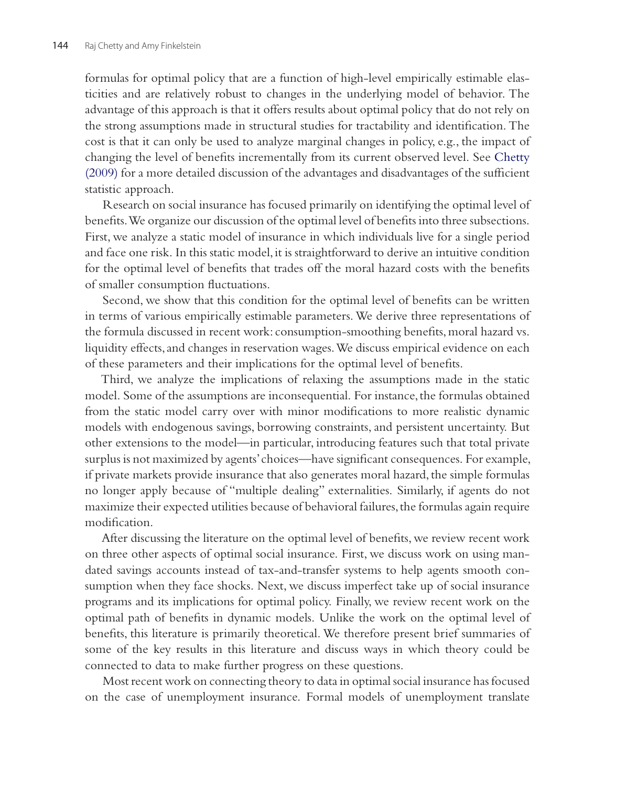formulas for optimal policy that are a function of high-level empirically estimable elasticities and are relatively robust to changes in the underlying model of behavior. The advantage of this approach is that it offers results about optimal policy that do not rely on the strong assumptions made in structural studies for tractability and identification. The cost is that it can only be used to analyze marginal changes in policy, e.g., the impact of changing the level of benefits incrementally from its current observed level. See Chetty (2009) [for](#page-77-8) [a](#page-77-8) [more](#page-77-8) [detailed](#page-77-8) [discussion](#page-77-8) [of](#page-77-8) [the](#page-77-8) [advantages](#page-77-8) [and](#page-77-8) [disadvantages](#page-77-8) [of](#page-77-8) [the](#page-77-8) [su](#page-77-8)fficient statistic approach.

Research on social insurance has focused primarily on identifying the optimal level of benefits.We organize our discussion of the optimal level of benefits into three subsections. First, we analyze a static model of insurance in which individuals live for a single period and face one risk. In this static model, it is straightforward to derive an intuitive condition for the optimal level of benefits that trades off the moral hazard costs with the benefits of smaller consumption fluctuations.

Second, we show that this condition for the optimal level of benefits can be written in terms of various empirically estimable parameters.We derive three representations of the formula discussed in recent work: consumption-smoothing benefits, moral hazard vs. liquidity effects, and changes in reservation wages.We discuss empirical evidence on each of these parameters and their implications for the optimal level of benefits.

Third, we analyze the implications of relaxing the assumptions made in the static model. Some of the assumptions are inconsequential. For instance, the formulas obtained from the static model carry over with minor modifications to more realistic dynamic models with endogenous savings, borrowing constraints, and persistent uncertainty. But other extensions to the model—in particular, introducing features such that total private surplus is not maximized by agents'choices—have significant consequences. For example, if private markets provide insurance that also generates moral hazard, the simple formulas no longer apply because of "multiple dealing" externalities. Similarly, if agents do not maximize their expected utilities because of behavioral failures,the formulas again require modification.

After discussing the literature on the optimal level of benefits, we review recent work on three other aspects of optimal social insurance. First, we discuss work on using mandated savings accounts instead of tax-and-transfer systems to help agents smooth consumption when they face shocks. Next, we discuss imperfect take up of social insurance programs and its implications for optimal policy. Finally, we review recent work on the optimal path of benefits in dynamic models. Unlike the work on the optimal level of benefits, this literature is primarily theoretical. We therefore present brief summaries of some of the key results in this literature and discuss ways in which theory could be connected to data to make further progress on these questions.

Most recent work on connecting theory to data in optimal social insurance has focused on the case of unemployment insurance. Formal models of unemployment translate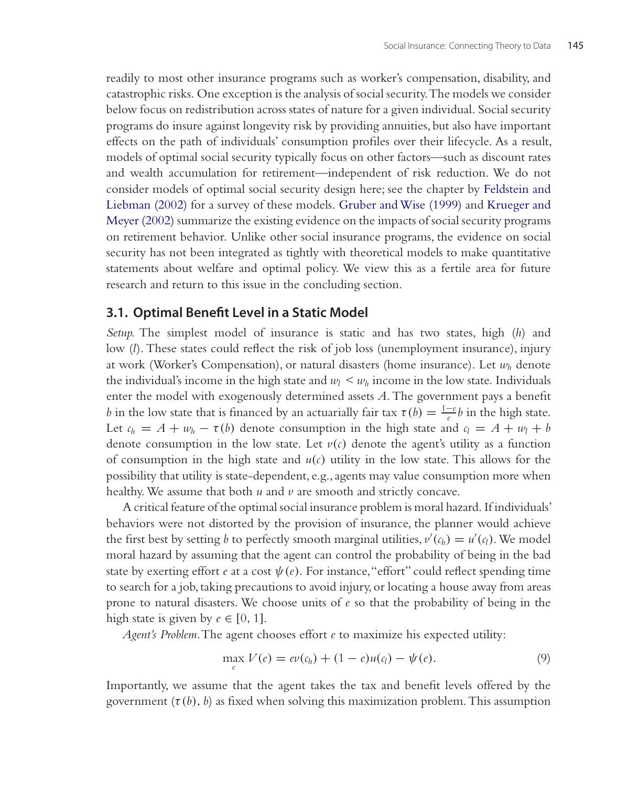readily to most other insurance programs such as worker's compensation, disability, and catastrophic risks. One exception is the analysis of social security.The models we consider below focus on redistribution across states of nature for a given individual. Social security programs do insure against longevity risk by providing annuities, but also have important effects on the path of individuals' consumption profiles over their lifecycle. As a result, models of optimal social security typically focus on other factors—such as discount rates and wealth accumulation for retirement—independent of risk reduction. We do not consider models of optimal social security design here; see the chapter by Feldstein and Liebman (2002) [for](#page-78-17) [a](#page-78-17) [survey](#page-78-17) [of](#page-78-17) [these](#page-78-17) [models.](#page-78-17) [Gruber andWise \(1999\)](#page-79-13) and Krueger and Meyer (2002) summarize the existing evidence on the impacts of social security programs on retirement behavior. Unlike other social insurance programs, the evidence on social security has not been integrated as tightly with theoretical models to make quantitative statements about welfare and optimal policy. We view this as a fertile area for future research and return to this issue in the concluding section.

### <span id="page-34-0"></span>**3.1. Optimal Benefit Level in a Static Model**

*Setup.* The simplest model of insurance is static and has two states, high (*h*) and low (*l*). These states could reflect the risk of job loss (unemployment insurance), injury at work (Worker's Compensation), or natural disasters (home insurance). Let *wh* denote the individual's income in the high state and  $w_l \leq w_h$  income in the low state. Individuals enter the model with exogenously determined assets *A*. The government pays a benefit *b* in the low state that is financed by an actuarially fair tax  $\tau(b) = \frac{1-e}{e}b$  in the high state. Let  $c_h = A + w_h - \tau(b)$  denote consumption in the high state and  $c_l = A + w_l + b$ denote consumption in the low state. Let  $v(c)$  denote the agent's utility as a function of consumption in the high state and  $u(c)$  utility in the low state. This allows for the possibility that utility is state-dependent, e.g., agents may value consumption more when healthy.We assume that both *u* and *v* are smooth and strictly concave.

A critical feature of the optimal social insurance problem is moral hazard. If individuals' behaviors were not distorted by the provision of insurance, the planner would achieve the first best by setting *b* to perfectly smooth marginal utilities,  $v'(c_h) = u'(c_l)$ . We model moral hazard by assuming that the agent can control the probability of being in the bad state by exerting effort *e* at a cost  $\psi(e)$ . For instance, "effort" could reflect spending time to search for a job,taking precautions to avoid injury, or locating a house away from areas prone to natural disasters. We choose units of *e* so that the probability of being in the high state is given by  $e \in [0, 1]$ .

*Agent's Problem.*The agent chooses effort *e* to maximize his expected utility:

<span id="page-34-1"></span>
$$
\max_{e} V(e) = ev(c_h) + (1 - e)u(c_l) - \psi(e).
$$
 (9)

Importantly, we assume that the agent takes the tax and benefit levels offered by the government  $(\tau(b), b)$  as fixed when solving this maximization problem. This assumption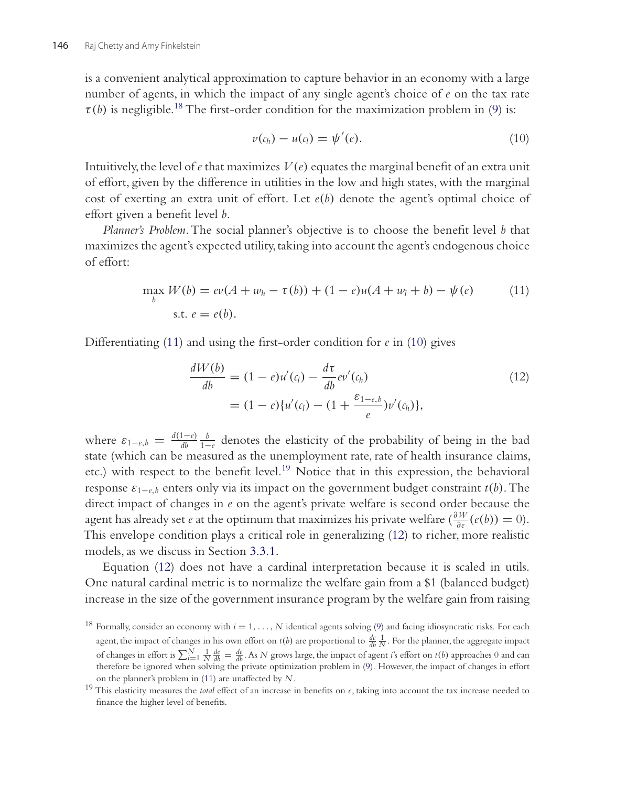is a convenient analytical approximation to capture behavior in an economy with a large number of agents, in which the impact of any single agent's choice of *e* on the tax rate  $\tau(b)$  is negligible.<sup>18</sup> The first-order condition for the maximization problem in [\(9\)](#page-34-1) is:

<span id="page-35-2"></span>
$$
\nu(c_h) - u(c_l) = \psi'(e).
$$
 (10)

Intuitively, the level of *e* that maximizes  $V(e)$  equates the marginal benefit of an extra unit of effort, given by the difference in utilities in the low and high states, with the marginal cost of exerting an extra unit of effort. Let *e*(*b*) denote the agent's optimal choice of effort given a benefit level *b*.

*Planner's Problem.*The social planner's objective is to choose the benefit level *b* that maximizes the agent's expected utility,taking into account the agent's endogenous choice of effort:

<span id="page-35-1"></span>
$$
\max_{b} W(b) = ev(A + w_h - \tau(b)) + (1 - e)u(A + w_l + b) - \psi(e)
$$
 (11)  
s.t.  $e = e(b)$ .

Differentiating [\(11\)](#page-35-1) and using the first-order condition for *e* in [\(10\)](#page-35-2) gives

<span id="page-35-4"></span>
$$
\frac{dW(b)}{db} = (1 - e)u'(c_l) - \frac{d\tau}{db}ev'(c_h)
$$
  
=  $(1 - e)\{u'(c_l) - (1 + \frac{\varepsilon_{1-c,b}}{e})v'(c_h)\},$  (12)

where  $\varepsilon_{1-e,b} = \frac{d(1-e)}{db}$ *b*<sub>1−*e*</sub> denotes the elasticity of the probability of being in the bad state (which can be measured as the unemployment rate, rate of health insurance claims, etc.) with respect to the benefit level.<sup>19</sup> Notice that in this expression, the behavioral response  $\varepsilon_{1-e,b}$  enters only via its impact on the government budget constraint  $t(b)$ . The direct impact of changes in *e* on the agent's private welfare is second order because the agent has already set *e* at the optimum that maximizes his private welfare  $\left(\frac{\partial W}{\partial e}(e(b))\right) = 0$ . This envelope condition plays a critical role in generalizing [\(12\)](#page-35-4) to richer, more realistic models, as we discuss in Section [3.3.1.](#page-52-1)

Equation [\(12\)](#page-35-4) does not have a cardinal interpretation because it is scaled in utils. One natural cardinal metric is to normalize the welfare gain from a \$1 (balanced budget) increase in the size of the government insurance program by the welfare gain from raising

<span id="page-35-0"></span><sup>18</sup> Formally, consider an economy with *i* = 1,..., *N* identical agents solving [\(9\)](#page-34-1) and facing idiosyncratic risks. For each agent, the impact of changes in his own effort on  $t(b)$  are proportional to  $\frac{de}{db} \frac{1}{N}$ . For the planner, the aggregate impact of changes in effort is  $\sum_{i=1}^{N} \frac{1}{N} \frac{de}{db} = \frac{de}{db}$ . As *N* grows large, the impact of agent *i*'s effort on *t*(*b*) approaches 0 and can therefore be ignored when solving the private optimization problem in [\(9\)](#page-34-1). However, the impact of changes in effort on the planner's problem in [\(11\)](#page-35-1) are unaffected by *N*.

<span id="page-35-3"></span><sup>19</sup> This elasticity measures the *total* effect of an increase in benefits on *e*, taking into account the tax increase needed to finance the higher level of benefits.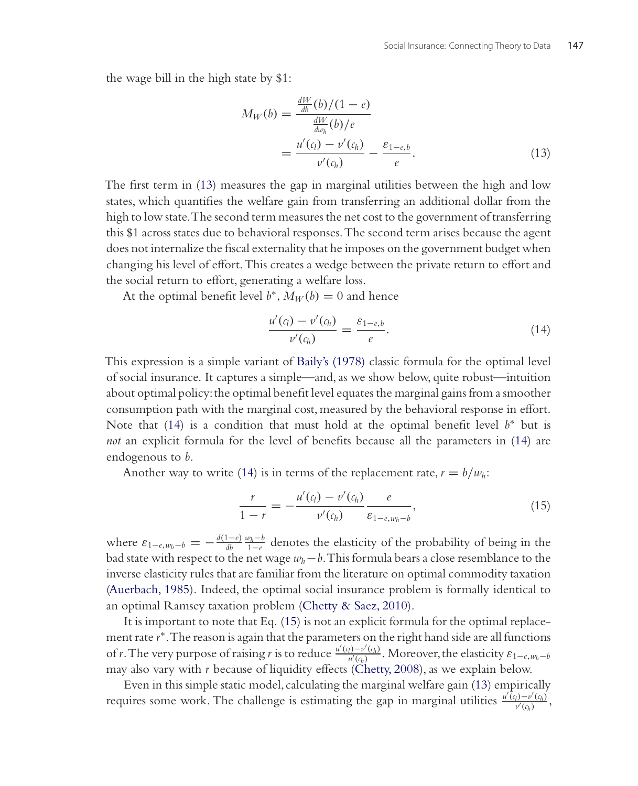the wage bill in the high state by \$1:

<span id="page-36-0"></span>
$$
M_W(b) = \frac{\frac{dW}{db}(b)/(1-e)}{\frac{dW}{dw_h}(b)/e} = \frac{u'(c_l) - v'(c_h)}{v'(c_h)} - \frac{\varepsilon_{1-e,b}}{e}.
$$
\n(13)

The first term in [\(13\)](#page-36-0) measures the gap in marginal utilities between the high and low states, which quantifies the welfare gain from transferring an additional dollar from the high to low state.The second term measures the net cost to the government of transferring this \$1 across states due to behavioral responses.The second term arises because the agent does not internalize the fiscal externality that he imposes on the government budget when changing his level of effort.This creates a wedge between the private return to effort and the social return to effort, generating a welfare loss.

At the optimal benefit level  $b^*$ ,  $M_W(b) = 0$  and hence

<span id="page-36-1"></span>
$$
\frac{u'(c_l) - v'(c_h)}{v'(c_h)} = \frac{\varepsilon_{1-e,b}}{e}.\tag{14}
$$

This expression is a simple variant of [Baily's \(1978\)](#page-75-0) classic formula for the optimal level of social insurance. It captures a simple—and, as we show below, quite robust—intuition about optimal policy:the optimal benefit level equates the marginal gains from a smoother consumption path with the marginal cost, measured by the behavioral response in effort. Note that [\(14\)](#page-36-1) is a condition that must hold at the optimal benefit level *b*<sup>∗</sup> but is *not* an explicit formula for the level of benefits because all the parameters in [\(14\)](#page-36-1) are endogenous to *b*.

Another way to write [\(14\)](#page-36-1) is in terms of the replacement rate,  $r = b/w_h$ :

<span id="page-36-2"></span>
$$
\frac{r}{1-r} = -\frac{u'(c_l) - v'(c_h)}{v'(c_h)} \frac{e}{\varepsilon_{1-e,w_h-b}},
$$
\n(15)

where  $\varepsilon_{1-e, w_h-b} = -\frac{d(1-e)}{db} \frac{w_h-b}{1-e}$  denotes the elasticity of the probability of being in the bad state with respect to the net wage *wh*−*b*.This formula bears a close resemblance to the inverse elasticity rules that are familiar from the literature on optimal commodity taxation [\(Auerbach, 1985\)](#page-75-1). Indeed, the optimal social insurance problem is formally identical to an optimal Ramsey taxation problem [\(Chetty & Saez, 2010\)](#page-77-0).

It is important to note that Eq. [\(15\)](#page-36-2) is not an explicit formula for the optimal replacement rate *r* <sup>∗</sup>.The reason is again that the parameters on the right hand side are all functions of *r*. The very purpose of raising *r* is to reduce  $\frac{u'(c_l)-v'(c_h)}{u'(c_h)}$ . Moreover, the elasticity  $\varepsilon_{1-e,w_h-b}$ may also vary with *r* because of liquidity effects [\(Chetty, 2008\)](#page-77-1), as we explain below.

Even in this simple static model, calculating the marginal welfare gain [\(13\)](#page-36-0) empirically requires some work. The challenge is estimating the gap in marginal utilities  $\frac{u'(c_l) - v'(c_h)}{v'(c_h)}$ ,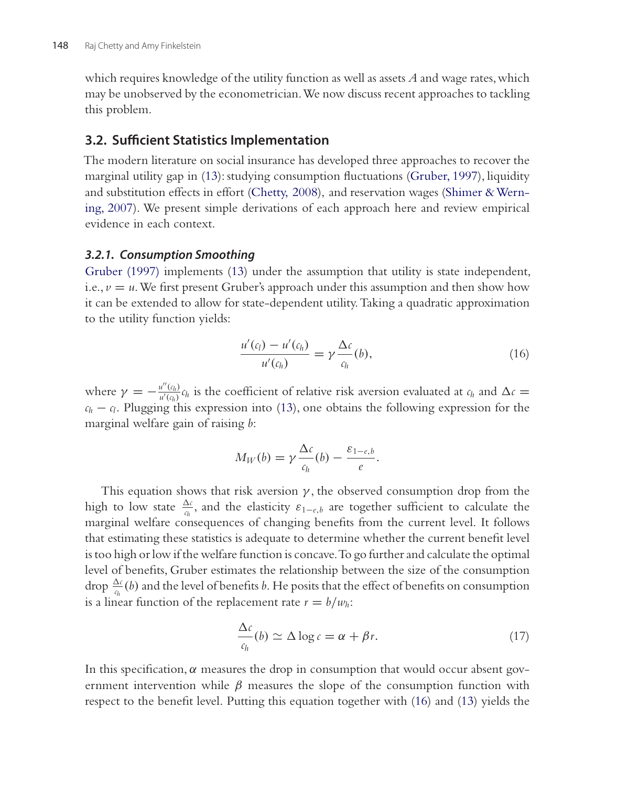which requires knowledge of the utility function as well as assets *A* and wage rates, which may be unobserved by the econometrician.We now discuss recent approaches to tackling this problem.

# **3.2. Sufficient Statistics Implementation**

The modern literature on social insurance has developed three approaches to recover the marginal utility gap in [\(13\)](#page-36-0): studying consumption fluctuations [\(Gruber, 1997\)](#page-79-0), liquidity and substitution effects in effort [\(Chetty, 2008\)](#page-77-1), and reservation wages (Shimer & Werning, 2007). We present simple derivations of each approach here and review empirical evidence in each context.

# *3.2.1. Consumption Smoothing*

[Gruber \(1997\)](#page-79-0) implements [\(13\)](#page-36-0) under the assumption that utility is state independent, i.e.,  $\nu = u$ . We first present Gruber's approach under this assumption and then show how it can be extended to allow for state-dependent utility.Taking a quadratic approximation to the utility function yields:

<span id="page-37-0"></span>
$$
\frac{u'(c_l) - u'(c_h)}{u'(c_h)} = \gamma \frac{\Delta c}{c_h}(b),\tag{16}
$$

where  $\gamma = -\frac{u''(c_h)}{u'(c_h)}c_h$  is the coefficient of relative risk aversion evaluated at  $c_h$  and  $\Delta c =$ *c<sub>h</sub>* − *c<sub>l</sub>*. Plugging this expression into [\(13\)](#page-36-0), one obtains the following expression for the marginal welfare gain of raising *b*:

$$
M_W(b) = \gamma \frac{\Delta c}{c_h}(b) - \frac{\varepsilon_{1-e,b}}{e}.
$$

This equation shows that risk aversion  $\gamma$ , the observed consumption drop from the high to low state  $\frac{\Delta c}{c_h}$ , and the elasticity  $\varepsilon_{1-e,b}$  are together sufficient to calculate the marginal welfare consequences of changing benefits from the current level. It follows that estimating these statistics is adequate to determine whether the current benefit level is too high or low if the welfare function is concave.To go further and calculate the optimal level of benefits, Gruber estimates the relationship between the size of the consumption drop  $\frac{\Delta c}{c_h}(b)$  and the level of benefits *b*. He posits that the effect of benefits on consumption is a linear function of the replacement rate  $r = b/w_h$ :

<span id="page-37-1"></span>
$$
\frac{\Delta c}{c_h}(b) \simeq \Delta \log c = \alpha + \beta r. \tag{17}
$$

In this specification,  $\alpha$  measures the drop in consumption that would occur absent government intervention while  $\beta$  measures the slope of the consumption function with respect to the benefit level. Putting this equation together with [\(16\)](#page-37-0) and [\(13\)](#page-36-0) yields the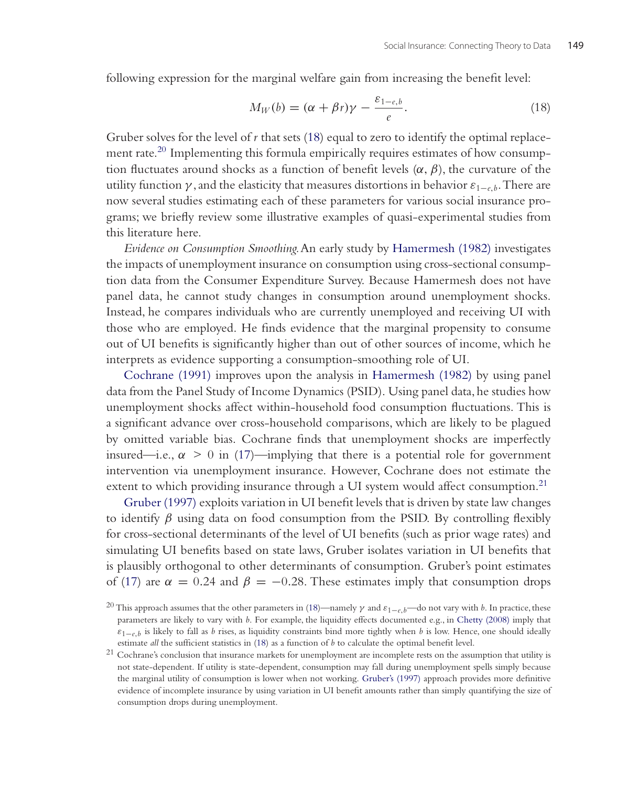following expression for the marginal welfare gain from increasing the benefit level:

<span id="page-38-0"></span>
$$
M_W(b) = (\alpha + \beta r)\gamma - \frac{\varepsilon_{1-e,b}}{e}.
$$
\n(18)

Gruber solves for the level of *r* that sets [\(18\)](#page-38-0) equal to zero to identify the optimal replacement rate.<sup>20</sup> Implementing this formula empirically requires estimates of how consumption fluctuates around shocks as a function of benefit levels  $(\alpha, \beta)$ , the curvature of the utility function  $\gamma$ , and the elasticity that measures distortions in behavior  $\varepsilon_{1-e,b}$ . There are now several studies estimating each of these parameters for various social insurance programs; we briefly review some illustrative examples of quasi-experimental studies from this literature here.

*Evidence on Consumption Smoothing.*An early study by [Hamermesh \(1982\)](#page-79-1) investigates the impacts of unemployment insurance on consumption using cross-sectional consumption data from the Consumer Expenditure Survey. Because Hamermesh does not have panel data, he cannot study changes in consumption around unemployment shocks. Instead, he compares individuals who are currently unemployed and receiving UI with those who are employed. He finds evidence that the marginal propensity to consume out of UI benefits is significantly higher than out of other sources of income, which he interprets as evidence supporting a consumption-smoothing role of UI.

[Cochrane \(1991\)](#page-77-2) improves upon the analysis in [Hamermesh \(1982\)](#page-79-1) by using panel data from the Panel Study of Income Dynamics (PSID). Using panel data, he studies how unemployment shocks affect within-household food consumption fluctuations. This is a significant advance over cross-household comparisons, which are likely to be plagued by omitted variable bias. Cochrane finds that unemployment shocks are imperfectly insured—i.e.,  $\alpha > 0$  in [\(17\)](#page-37-1)—implying that there is a potential role for government intervention via unemployment insurance. However, Cochrane does not estimate the extent to which providing insurance through a UI system would affect consumption. $21$ 

[Gruber \(1997\)](#page-79-0) exploits variation in UI benefit levels that is driven by state law changes to identify  $\beta$  using data on food consumption from the PSID. By controlling flexibly for cross-sectional determinants of the level of UI benefits (such as prior wage rates) and simulating UI benefits based on state laws, Gruber isolates variation in UI benefits that is plausibly orthogonal to other determinants of consumption. Gruber's point estimates of [\(17\)](#page-37-1) are  $\alpha = 0.24$  and  $\beta = -0.28$ . These estimates imply that consumption drops

<span id="page-38-1"></span><sup>&</sup>lt;sup>20</sup> This approach assumes that the other parameters in [\(18\)](#page-38-0)—namely  $\gamma$  and  $\varepsilon_{1-e,b}$ —do not vary with *b*. In practice, these parameters are likely to vary with *b*. For example, the liquidity effects documented e.g., in [Chetty \(2008\)](#page-77-1) imply that  $\varepsilon_{1-\varepsilon,b}$  is likely to fall as *b* rises, as liquidity constraints bind more tightly when *b* is low. Hence, one should ideally estimate *all* the sufficient statistics in [\(18\)](#page-38-0) as a function of *b* to calculate the optimal benefit level.

<span id="page-38-2"></span><sup>&</sup>lt;sup>21</sup> Cochrane's conclusion that insurance markets for unemployment are incomplete rests on the assumption that utility is not state-dependent. If utility is state-dependent, consumption may fall during unemployment spells simply because the marginal utility of consumption is lower when not working. [Gruber's \(1997\)](#page-79-0) approach provides more definitive evidence of incomplete insurance by using variation in UI benefit amounts rather than simply quantifying the size of consumption drops during unemployment.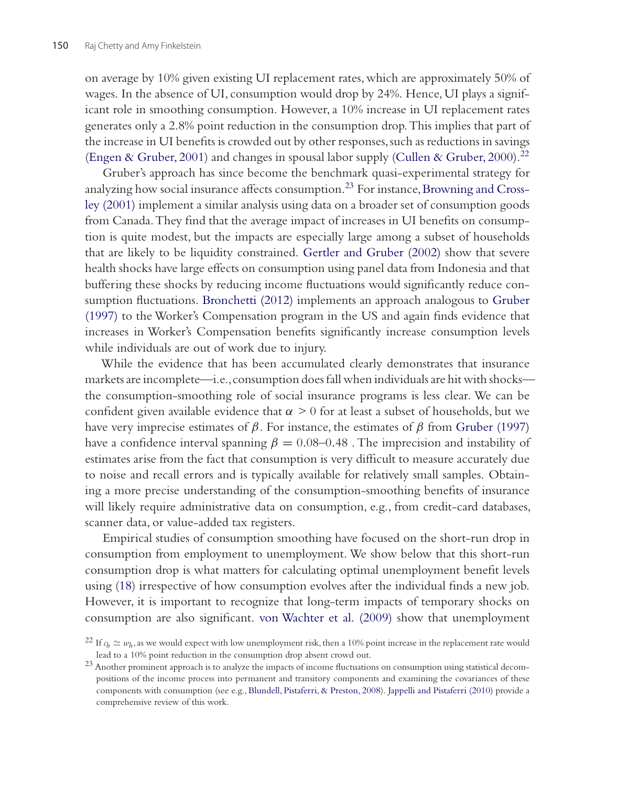on average by 10% given existing UI replacement rates, which are approximately 50% of wages. In the absence of UI, consumption would drop by 24%. Hence, UI plays a significant role in smoothing consumption. However, a 10% increase in UI replacement rates generates only a 2.8% point reduction in the consumption drop.This implies that part of the increase in UI benefits is crowded out by other responses, such as reductions in savings [\(Engen & Gruber, 2001\)](#page-78-0) and changes in spousal labor supply [\(Cullen & Gruber, 2000\)](#page-77-3).<sup>22</sup>

Gruber's approach has since become the benchmark quasi-experimental strategy for analyzing how social insurance affects consumption.<sup>[23](#page-39-1)</sup> For instance, Browning and Crossley (2001) [implement](#page-76-0) [a](#page-76-0) [similar](#page-76-0) [analysis](#page-76-0) [using](#page-76-0) [data](#page-76-0) [on](#page-76-0) [a](#page-76-0) [broader](#page-76-0) [set](#page-76-0) [o](#page-76-0)f consumption goods from Canada.They find that the average impact of increases in UI benefits on consumption is quite modest, but the impacts are especially large among a subset of households that are likely to be liquidity constrained. [Gertler and Gruber \(2002\)](#page-79-2) show that severe health shocks have large effects on consumption using panel data from Indonesia and that buffering these shocks by reducing income fluctuations would significantly reduce consumption fluctuations. [Bronchetti \(2012\)](#page-76-1) implements an approach analogous to Gruber (1997) to the Worker's Compensation program in the US and again finds evidence that increases in Worker's Compensation benefits significantly increase consumption levels while individuals are out of work due to injury.

While the evidence that has been accumulated clearly demonstrates that insurance markets are incomplete—i.e.,consumption does fall when individuals are hit with shocks the consumption-smoothing role of social insurance programs is less clear. We can be confident given available evidence that  $\alpha > 0$  for at least a subset of households, but we have very imprecise estimates of  $\beta$ . For instance, the estimates of  $\beta$  from [Gruber \(1997\)](#page-79-0) have a confidence interval spanning  $\beta = 0.08$ –0.48. The imprecision and instability of estimates arise from the fact that consumption is very difficult to measure accurately due to noise and recall errors and is typically available for relatively small samples. Obtaining a more precise understanding of the consumption-smoothing benefits of insurance will likely require administrative data on consumption, e.g., from credit-card databases, scanner data, or value-added tax registers.

Empirical studies of consumption smoothing have focused on the short-run drop in consumption from employment to unemployment. We show below that this short-run consumption drop is what matters for calculating optimal unemployment benefit levels using [\(18\)](#page-38-0) irrespective of how consumption evolves after the individual finds a new job. However, it is important to recognize that long-term impacts of temporary shocks on consumption are also significant. [von Wachter et al. \(2009\)](#page-82-0) show that unemployment

<span id="page-39-0"></span><sup>&</sup>lt;sup>22</sup> If  $c_h \simeq w_h$ , as we would expect with low unemployment risk, then a 10% point increase in the replacement rate would lead to a 10% point reduction in the consumption drop absent crowd out.

<span id="page-39-1"></span><sup>&</sup>lt;sup>23</sup> Another prominent approach is to analyze the impacts of income fluctuations on consumption using statistical decompositions of the income process into permanent and transitory components and examining the covariances of these components with consumption (see e.g., [Blundell, Pistaferri, & Preston, 2008\)](#page-76-2). [Jappelli and Pistaferri \(2010\)](#page-80-0) provide a comprehensive review of this work.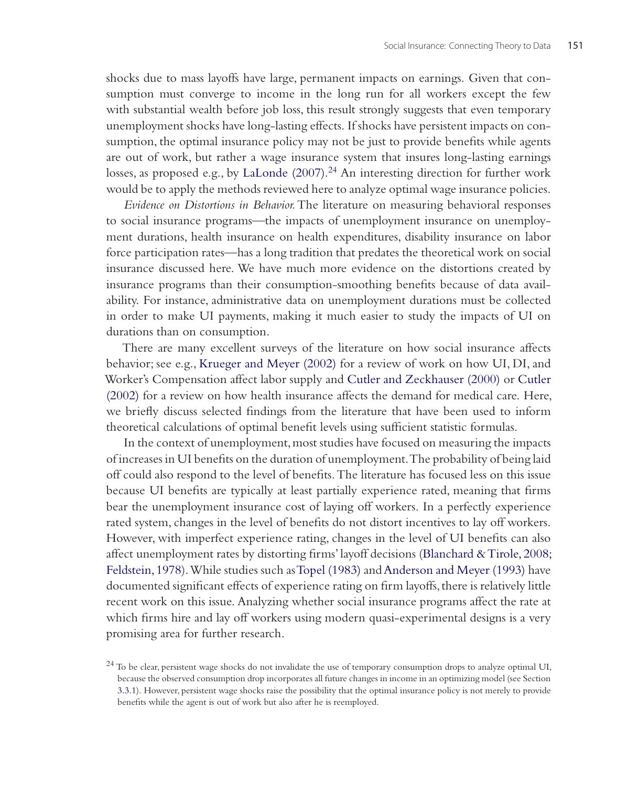shocks due to mass layoffs have large, permanent impacts on earnings. Given that consumption must converge to income in the long run for all workers except the few with substantial wealth before job loss, this result strongly suggests that even temporary unemployment shocks have long-lasting effects. If shocks have persistent impacts on consumption, the optimal insurance policy may not be just to provide benefits while agents are out of work, but rather a wage insurance system that insures long-lasting earnings losses, as proposed e.g., by [LaLonde \(2007\).](#page-80-1) [24](#page-40-0) An interesting direction for further work would be to apply the methods reviewed here to analyze optimal wage insurance policies.

*Evidence on Distortions in Behavior.*The literature on measuring behavioral responses to social insurance programs—the impacts of unemployment insurance on unemployment durations, health insurance on health expenditures, disability insurance on labor force participation rates—has a long tradition that predates the theoretical work on social insurance discussed here. We have much more evidence on the distortions created by insurance programs than their consumption-smoothing benefits because of data availability. For instance, administrative data on unemployment durations must be collected in order to make UI payments, making it much easier to study the impacts of UI on durations than on consumption.

There are many excellent surveys of the literature on how social insurance affects behavior; see e.g., [Krueger and Meyer \(2002\)](#page-80-2) for a review of work on how UI, DI, and Worker's Compensation affect labor supply and [Cutler and Zeckhauser \(2000\)](#page-78-1) or Cutler (2002) for a review on how health insurance affects the demand for medical care. Here, we briefly discuss selected findings from the literature that have been used to inform theoretical calculations of optimal benefit levels using sufficient statistic formulas.

In the context of unemployment,most studies have focused on measuring the impacts of increases in UI benefits on the duration of unemployment.The probability of being laid off could also respond to the level of benefits.The literature has focused less on this issue because UI benefits are typically at least partially experience rated, meaning that firms bear the unemployment insurance cost of laying off workers. In a perfectly experience rated system, changes in the level of benefits do not distort incentives to lay off workers. However, with imperfect experience rating, changes in the level of UI benefits can also affect unemplo[yment](#page-78-2) [rates](#page-78-2) [by](#page-78-2) [distorting](#page-78-2) [firms'](#page-78-2) [layoff](#page-78-2) [decisions](#page-78-2) [\(Blanchard &Tirole, 2008;](#page-76-3) Feldstein,1978).While studies such as[Topel \(1983\)](#page-82-1) and[Anderson and Meyer \(1993\)](#page-75-2) have documented significant effects of experience rating on firm layoffs, there is relatively little recent work on this issue. Analyzing whether social insurance programs affect the rate at which firms hire and lay off workers using modern quasi-experimental designs is a very promising area for further research.

<span id="page-40-0"></span><sup>&</sup>lt;sup>24</sup> To be clear, persistent wage shocks do not invalidate the use of temporary consumption drops to analyze optimal UI, because the observed consumption drop incorporates all future changes in income in an optimizing model (see Section [3.3.1\)](#page-52-0). However, persistent wage shocks raise the possibility that the optimal insurance policy is not merely to provide benefits while the agent is out of work but also after he is reemployed.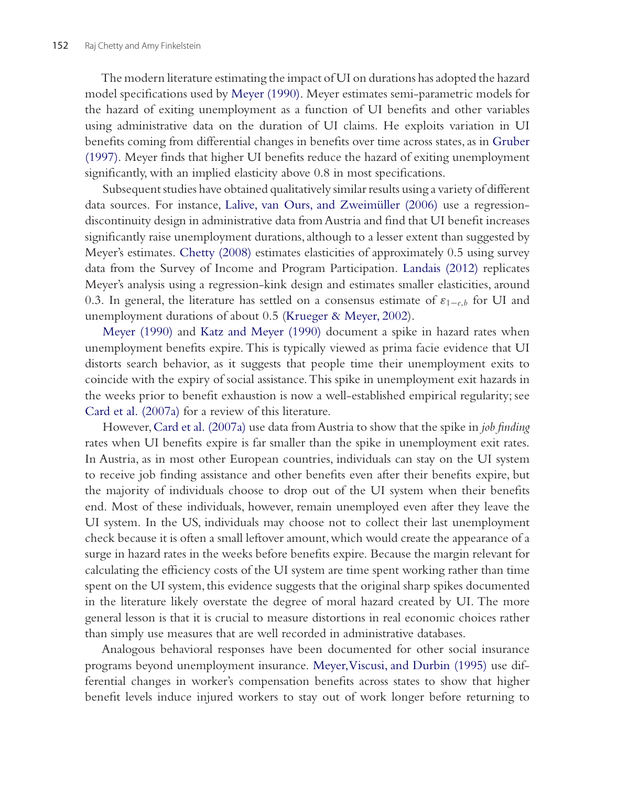The modern literature estimating the impact of UI on durations has adopted the hazard model specifications used by [Meyer \(1990\).](#page-81-0) Meyer estimates semi-parametric models for the hazard of exiting unemployment as a function of UI benefits and other variables using administrative data on the duration of UI claims. He exploits variation in UI benefits coming from differential changes in benefits over time across states, as in Gruber (1997). Meyer finds that higher UI benefits reduce the hazard of exiting unemployment significantly, with an implied elasticity above 0.8 in most specifications.

Subsequent studies have obtained qualitatively similar results using a variety of different data sources. For instance, [Lalive, van Ours, and Zweimüller \(2006\)](#page-80-3) use a regressiondiscontinuity design in administrative data from Austria and find that UI benefit increases significantly raise unemployment durations, although to a lesser extent than suggested by Meyer's estimates. [Chetty \(2008\)](#page-77-1) estimates elasticities of approximately 0.5 using survey data from the Survey of Income and Program Participation. [Landais \(2012\)](#page-80-4) replicates Meyer's analysis using a regression-kink design and estimates smaller elasticities, around 0.3. In general, the literature has settled on a consensus estimate of  $\varepsilon_{1-e,b}$  for UI and unemployment durations of about 0.5 [\(Krueger & Meyer, 2002\)](#page-80-2).

[Meyer \(1990\)](#page-81-0) and [Katz and Meyer \(1990\)](#page-80-5) document a spike in hazard rates when unemployment benefits expire. This is typically viewed as prima facie evidence that UI distorts search behavior, as it suggests that people time their unemployment exits to coincide with the expiry of social assistance.This spike in unemployment exit hazards in the weeks prior to benefit exhaustion is now a well-established empirical regularity; see [Card et al. \(2007a\)](#page-76-4) for a review of this literature.

However,[Card et al. \(2007a\)](#page-76-4) use data from Austria to show that the spike in *job finding* rates when UI benefits expire is far smaller than the spike in unemployment exit rates. In Austria, as in most other European countries, individuals can stay on the UI system to receive job finding assistance and other benefits even after their benefits expire, but the majority of individuals choose to drop out of the UI system when their benefits end. Most of these individuals, however, remain unemployed even after they leave the UI system. In the US, individuals may choose not to collect their last unemployment check because it is often a small leftover amount, which would create the appearance of a surge in hazard rates in the weeks before benefits expire. Because the margin relevant for calculating the efficiency costs of the UI system are time spent working rather than time spent on the UI system, this evidence suggests that the original sharp spikes documented in the literature likely overstate the degree of moral hazard created by UI. The more general lesson is that it is crucial to measure distortions in real economic choices rather than simply use measures that are well recorded in administrative databases.

Analogous behavioral responses have been documented for other social insurance programs beyond unemployment insurance. [Meyer,Viscusi, and Durbin \(1995\)](#page-81-1) use differential changes in worker's compensation benefits across states to show that higher benefit levels induce injured workers to stay out of work longer before returning to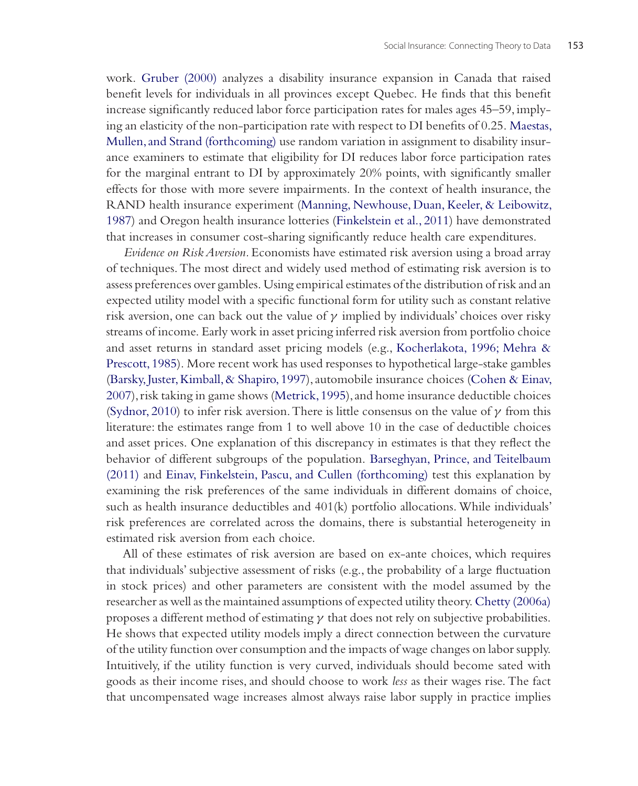work. [Gruber \(2000\)](#page-79-3) analyzes a disability insurance expansion in Canada that raised benefit levels for individuals in all provinces except Quebec. He finds that this benefit increase significantly reduced labor force participation rates for males ages 45–59, implying an elasticity of the non-participation rate with respect to DI benefits of 0.25. Maestas, Mullen, and Strand (forthcoming) use random variation in assignment to disability insurance examiners to estimate that eligibility for DI reduces labor force participation rates for the marginal entrant to DI by approximately 20% points, with significantly smaller effects for those with more severe impairments. In the context of health insurance, the RAND health insurance experiment (Manning, Newhouse, Duan, Keeler, & Leibowitz, 1987) and Oregon health insurance lotteries [\(Finkelstein et al., 2011\)](#page-79-4) have demonstrated that increases in consumer cost-sharing significantly reduce health care expenditures.

*Evidence on Risk Aversion.* Economists have estimated risk aversion using a broad array of techniques. The most direct and widely used method of estimating risk aversion is to assess preferences over gambles. Using empirical estimates of the distribution of risk and an expected utility model with a specific functional form for utility such as constant relative risk aversion, one can back out the value of  $\gamma$  implied by individuals' choices over risky streams of income. Early work in asset pricing inferred risk aversion from portfolio choice and asset returns in standard asset pricing models (e.g., [Kocherlakota, 1996;](#page-80-6) Mehra & Prescott, 1985). More recent work has used responses to hypothetical large-stake gambles [\(Barsky, Juster,Kimball, & Shapiro, 1997\)](#page-75-3), automobile insurance choices (Cohen & Einav, 2007), risk taking in game shows [\(Metrick,1995\)](#page-81-2), and home insurance deductible choices [\(Sydnor, 2010\)](#page-82-2) to infer risk aversion. There is little consensus on the value of  $\gamma$  from this literature: the estimates range from 1 to well above 10 in the case of deductible choices and asset prices. One explanation of this discrepancy in estimates is that they reflect the behavior of different subgroups of the population. Barseghyan, Prince, and Teitelbaum (2011) and [Einav, Finkelstein, Pascu, and Cullen \(forthcoming\)](#page-78-3) test this explanation by examining the risk preferences of the same individuals in different domains of choice, such as health insurance deductibles and 401(k) portfolio allocations. While individuals' risk preferences are correlated across the domains, there is substantial heterogeneity in estimated risk aversion from each choice.

All of these estimates of risk aversion are based on ex-ante choices, which requires that individuals' subjective assessment of risks (e.g., the probability of a large fluctuation in stock prices) and other parameters are consistent with the model assumed by the researcher as well as the maintained assumptions of expected utility theory. [Chetty \(2006a\)](#page-77-4) proposes a different method of estimating  $\gamma$  that does not rely on subjective probabilities. He shows that expected utility models imply a direct connection between the curvature of the utility function over consumption and the impacts of wage changes on labor supply. Intuitively, if the utility function is very curved, individuals should become sated with goods as their income rises, and should choose to work *less* as their wages rise. The fact that uncompensated wage increases almost always raise labor supply in practice implies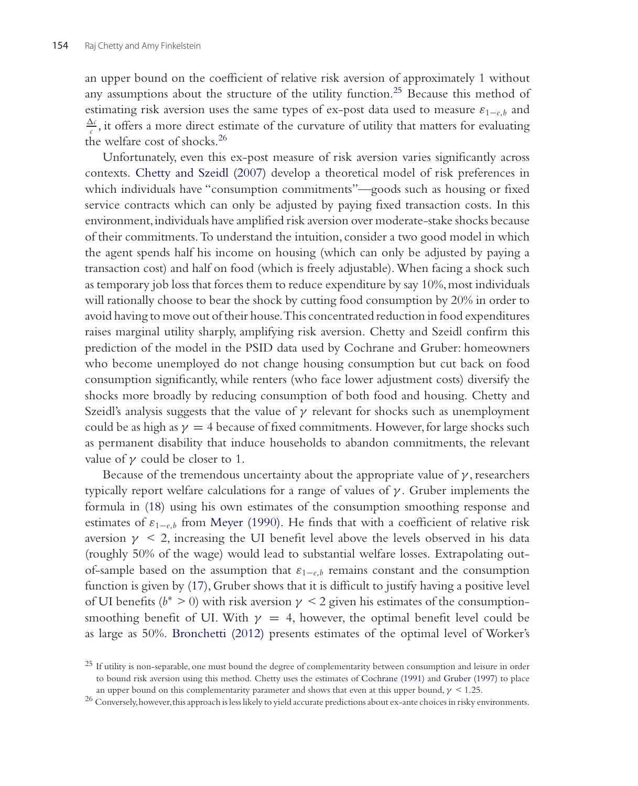an upper bound on the coefficient of relative risk aversion of approximately 1 without any assumptions about the structure of the utility function[.25](#page-43-0) Because this method of estimating risk aversion uses the same types of ex-post data used to measure  $\varepsilon_{1-e,b}$  and  $\frac{\Delta c}{c}$ , it offers a more direct estimate of the curvature of utility that matters for evaluating the welfare cost of shocks[.26](#page-43-1)

Unfortunately, even this ex-post measure of risk aversion varies significantly across contexts. [Chetty and Szeidl \(2007\)](#page-77-5) develop a theoretical model of risk preferences in which individuals have "consumption commitments"—goods such as housing or fixed service contracts which can only be adjusted by paying fixed transaction costs. In this environment,individuals have amplified risk aversion over moderate-stake shocks because of their commitments.To understand the intuition, consider a two good model in which the agent spends half his income on housing (which can only be adjusted by paying a transaction cost) and half on food (which is freely adjustable).When facing a shock such as temporary job loss that forces them to reduce expenditure by say 10%, most individuals will rationally choose to bear the shock by cutting food consumption by 20% in order to avoid having to move out of their house.This concentrated reduction in food expenditures raises marginal utility sharply, amplifying risk aversion. Chetty and Szeidl confirm this prediction of the model in the PSID data used by Cochrane and Gruber: homeowners who become unemployed do not change housing consumption but cut back on food consumption significantly, while renters (who face lower adjustment costs) diversify the shocks more broadly by reducing consumption of both food and housing. Chetty and Szeidl's analysis suggests that the value of  $\gamma$  relevant for shocks such as unemployment could be as high as  $\gamma = 4$  because of fixed commitments. However, for large shocks such as permanent disability that induce households to abandon commitments, the relevant value of  $\gamma$  could be closer to 1.

Because of the tremendous uncertainty about the appropriate value of  $\gamma$ , researchers typically report welfare calculations for a range of values of  $\gamma$ . Gruber implements the formula in [\(18\)](#page-38-0) using his own estimates of the consumption smoothing response and estimates of  $\varepsilon_{1-e,b}$  from [Meyer \(1990\).](#page-81-0) He finds that with a coefficient of relative risk aversion  $\gamma$  < 2, increasing the UI benefit level above the levels observed in his data (roughly 50% of the wage) would lead to substantial welfare losses. Extrapolating outof-sample based on the assumption that  $\varepsilon_{1-\epsilon,b}$  remains constant and the consumption function is given by [\(17\)](#page-37-1), Gruber shows that it is difficult to justify having a positive level of UI benefits ( $b^* > 0$ ) with risk aversion  $\gamma < 2$  given his estimates of the consumptionsmoothing benefit of UI. With  $\gamma = 4$ , however, the optimal benefit level could be as large as 50%. [Bronchetti \(2012\)](#page-76-1) presents estimates of the optimal level of Worker's

<span id="page-43-0"></span><sup>&</sup>lt;sup>25</sup> If utility is non-separable, one must bound the degree of complementarity between consumption and leisure in order to bound risk aversion using this method. Chetty uses the estimates of [Cochrane \(1991\)](#page-77-2) and [Gruber \(1997\)](#page-79-0) to place an upper bound on this complementarity parameter and shows that even at this upper bound, γ *<* 1.25.

<span id="page-43-1"></span><sup>&</sup>lt;sup>26</sup> Conversely, however, this approach is less likely to yield accurate predictions about ex-ante choices in risky environments.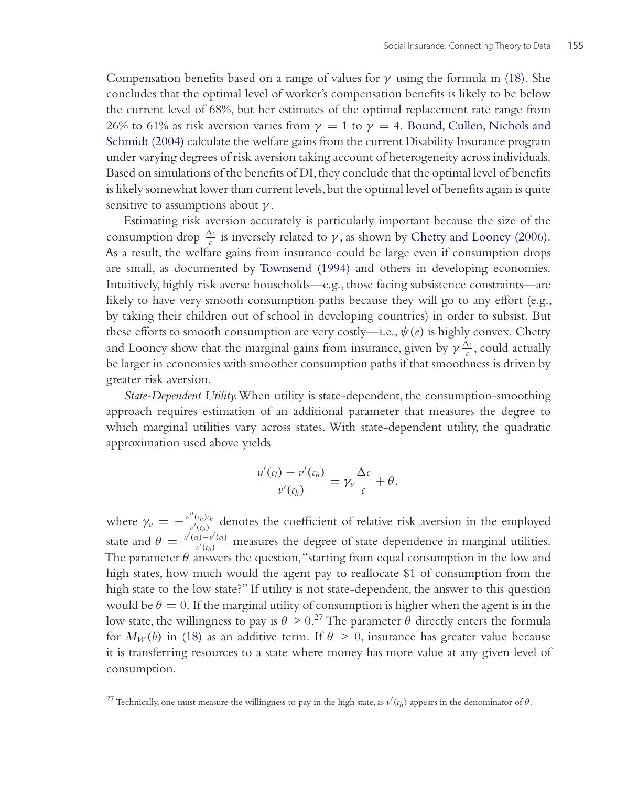Compensation benefits based on a range of values for  $\gamma$  using the formula in [\(18\)](#page-38-0). She concludes that the optimal level of worker's compensation benefits is likely to be below the current level of 68%, but her estimates of the optimal replacement rate range from 26% to 61% as risk aversion varies from  $\gamma = 1$  to  $\gamma = 4$ . Bound, Cullen, Nichols and Schmidt (2004) calculate the welfare gains from the current Disability Insurance program under varying degrees of risk aversion taking account of heterogeneity across individuals. Based on simulations of the benefits of DI, they conclude that the optimal level of benefits is likely somewhat lower than current levels, but the optimal level of benefits again is quite sensitive to assumptions about  $\gamma$ .

Estimating risk aversion accurately is particularly important because the size of the consumption drop  $\frac{\Delta c}{c}$  is inversely related to  $\gamma$ , as shown by [Chetty and Looney \(2006\).](#page-77-6) As a result, the welfare gains from insurance could be large even if consumption drops are small, as documented by [Townsend \(1994\)](#page-82-3) and others in developing economies. Intuitively, highly risk averse households—e.g., those facing subsistence constraints—are likely to have very smooth consumption paths because they will go to any effort (e.g., by taking their children out of school in developing countries) in order to subsist. But these efforts to smooth consumption are very costly—i.e.,  $\psi(e)$  is highly convex. Chetty and Looney show that the marginal gains from insurance, given by  $\gamma \frac{\Delta c}{c}$ , could actually be larger in economies with smoother consumption paths if that smoothness is driven by greater risk aversion.

*State-Dependent Utility.*When utility is state-dependent, the consumption-smoothing approach requires estimation of an additional parameter that measures the degree to which marginal utilities vary across states. With state-dependent utility, the quadratic approximation used above yields

$$
\frac{u'(c_l)-v'(c_h)}{v'(c_h)}=\gamma_v\frac{\Delta c}{c}+\theta,
$$

where  $\gamma_v = -\frac{v''(c_h)c_h}{v'(c_h)}$  denotes the coefficient of relative risk aversion in the employed state and  $\theta = \frac{u'(q) - v'(q)}{v'(q_1)}$  measures the degree of state dependence in marginal utilities. The parameter  $\theta$  answers the question, "starting from equal consumption in the low and high states, how much would the agent pay to reallocate \$1 of consumption from the high state to the low state?" If utility is not state-dependent, the answer to this question would be  $\theta = 0$ . If the marginal utility of consumption is higher when the agent is in the low state, the willingness to pay is  $\theta > 0$ .<sup>27</sup> The parameter  $\theta$  directly enters the formula for  $M_W(b)$  in [\(18\)](#page-38-0) as an additive term. If  $\theta > 0$ , insurance has greater value because it is transferring resources to a state where money has more value at any given level of consumption.

<span id="page-44-0"></span><sup>&</sup>lt;sup>27</sup> Technically, one must measure the willingness to pay in the high state, as  $v'(c_h)$  appears in the denominator of  $\theta$ .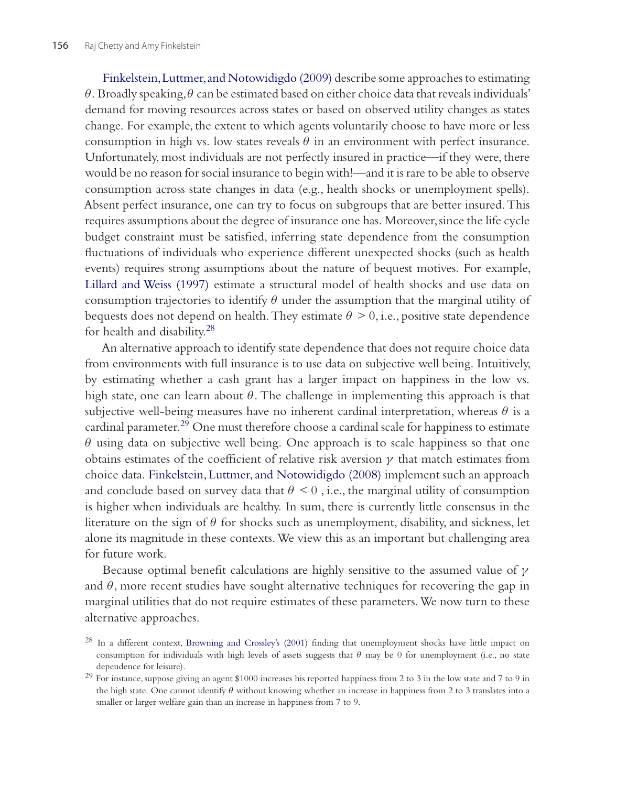[Finkelstein,Luttmer,and Notowidigdo \(2009\)](#page-79-5) describe some approaches to estimating  $\theta$ . Broadly speaking,  $\theta$  can be estimated based on either choice data that reveals individuals' demand for moving resources across states or based on observed utility changes as states change. For example, the extent to which agents voluntarily choose to have more or less consumption in high vs. low states reveals  $\theta$  in an environment with perfect insurance. Unfortunately, most individuals are not perfectly insured in practice—if they were, there would be no reason for social insurance to begin with!—and it is rare to be able to observe consumption across state changes in data (e.g., health shocks or unemployment spells). Absent perfect insurance, one can try to focus on subgroups that are better insured. This requires assumptions about the degree of insurance one has. Moreover, since the life cycle budget constraint must be satisfied, inferring state dependence from the consumption fluctuations of individuals who experience different unexpected shocks (such as health events) requires strong assumptions about the nature of bequest motives. For example, [Lillard and Weiss \(1997\)](#page-81-3) estimate a structural model of health shocks and use data on consumption trajectories to identify  $\theta$  under the assumption that the marginal utility of bequests does not depend on health. They estimate  $\theta > 0$ , i.e., positive state dependence for health and disability.<sup>[28](#page-45-0)</sup>

An alternative approach to identify state dependence that does not require choice data from environments with full insurance is to use data on subjective well being. Intuitively, by estimating whether a cash grant has a larger impact on happiness in the low vs. high state, one can learn about  $\theta$ . The challenge in implementing this approach is that subjective well-being measures have no inherent cardinal interpretation, whereas  $\theta$  is a cardinal parameter.<sup>29</sup> One must therefore choose a cardinal scale for happiness to estimate  $\theta$  using data on subjective well being. One approach is to scale happiness so that one obtains estimates of the coefficient of relative risk aversion  $\gamma$  that match estimates from choice data. [Finkelstein, Luttmer, and Notowidigdo \(2008\)](#page-79-6) implement such an approach and conclude based on survey data that  $\theta \leq 0$ , i.e., the marginal utility of consumption is higher when individuals are healthy. In sum, there is currently little consensus in the literature on the sign of  $\theta$  for shocks such as unemployment, disability, and sickness, let alone its magnitude in these contexts.We view this as an important but challenging area for future work.

Because optimal benefit calculations are highly sensitive to the assumed value of  $\gamma$ and  $\theta$ , more recent studies have sought alternative techniques for recovering the gap in marginal utilities that do not require estimates of these parameters.We now turn to these alternative approaches.

<span id="page-45-0"></span><sup>&</sup>lt;sup>28</sup> In a different context, [Browning and Crossley's \(2001\)](#page-76-0) finding that unemployment shocks have little impact on consumption for individuals with high levels of assets suggests that  $\theta$  may be 0 for unemployment (i.e., no state dependence for leisure).

<span id="page-45-1"></span> $^{29}$  For instance, suppose giving an agent \$1000 increases his reported happiness from 2 to 3 in the low state and 7 to 9 in the high state. One cannot identify θ without knowing whether an increase in happiness from 2 to 3 translates into a smaller or larger welfare gain than an increase in happiness from 7 to 9.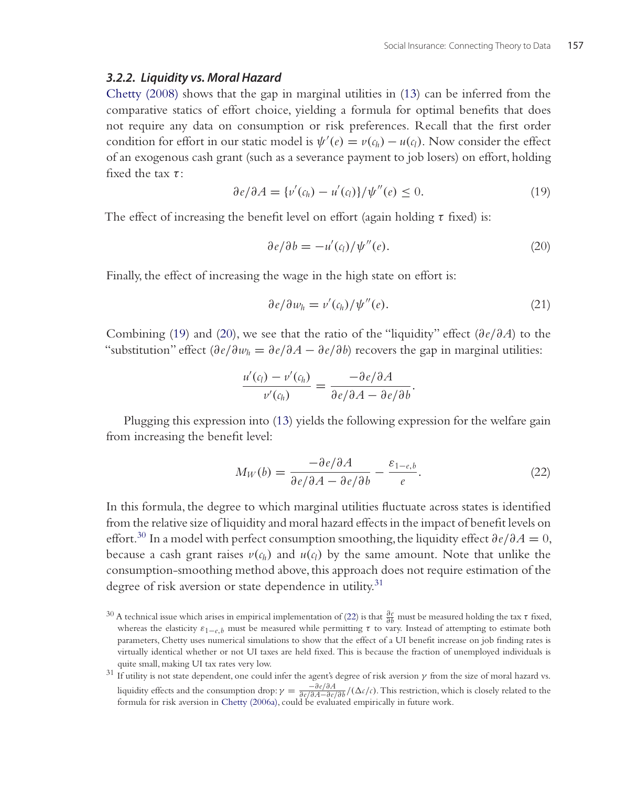### *3.2.2. Liquidity vs. Moral Hazard*

[Chetty \(2008\)](#page-77-1) shows that the gap in marginal utilities in [\(13\)](#page-36-0) can be inferred from the comparative statics of effort choice, yielding a formula for optimal benefits that does not require any data on consumption or risk preferences. Recall that the first order condition for effort in our static model is  $\psi'(e) = \nu(c_h) - u(c_l)$ . Now consider the effect of an exogenous cash grant (such as a severance payment to job losers) on effort, holding fixed the tax  $\tau$ :

<span id="page-46-0"></span>
$$
\partial e/\partial A = \{v'(c_h) - u'(c_l)\}/\psi''(e) \leq 0.
$$
\n<sup>(19)</sup>

The effect of increasing the benefit level on effort (again holding  $\tau$  fixed) is:

<span id="page-46-1"></span>
$$
\partial e/\partial b = -u'(c_l)/\psi''(e). \tag{20}
$$

Finally, the effect of increasing the wage in the high state on effort is:

$$
\partial e/\partial w_h = v'(c_h)/\psi''(e). \tag{21}
$$

Combining [\(19\)](#page-46-0) and [\(20\)](#page-46-1), we see that the ratio of the "liquidity" effect (∂*e*/∂*A*) to the "substitution" effect  $(\partial e/\partial w_h = \partial e/\partial A - \partial e/\partial b)$  recovers the gap in marginal utilities:

$$
\frac{u'(c_l)-v'(c_h)}{v'(c_h)}=\frac{-\partial e/\partial A}{\partial e/\partial A-\partial e/\partial b}.
$$

Plugging this expression into [\(13\)](#page-36-0) yields the following expression for the welfare gain from increasing the benefit level:

<span id="page-46-4"></span>
$$
M_W(b) = \frac{-\partial e/\partial A}{\partial e/\partial A - \partial e/\partial b} - \frac{\varepsilon_{1-\varepsilon,b}}{e}.
$$
 (22)

In this formula, the degree to which marginal utilities fluctuate across states is identified from the relative size of liquidity and moral hazard effects in the impact of benefit levels on effort.<sup>30</sup> In a model with perfect consumption smoothing, the liquidity effect  $\partial e/\partial A = 0$ , because a cash grant raises  $v(c_h)$  and  $u(c_l)$  by the same amount. Note that unlike the consumption-smoothing method above, this approach does not require estimation of the degree of risk aversion or state dependence in utility.<sup>31</sup>

<span id="page-46-2"></span><sup>&</sup>lt;sup>30</sup> A technical issue which arises in empirical implementation of [\(22\)](#page-46-4) is that  $\frac{\partial e}{\partial b}$  must be measured holding the tax τ fixed, whereas the elasticity  $\varepsilon_{1-\varepsilon,b}$  must be measured while permitting  $\tau$  to vary. Instead of attempting to estimate both parameters, Chetty uses numerical simulations to show that the effect of a UI benefit increase on job finding rates is virtually identical whether or not UI taxes are held fixed. This is because the fraction of unemployed individuals is quite small, making UI tax rates very low.

<span id="page-46-3"></span> $31$  If utility is not state dependent, one could infer the agent's degree of risk aversion  $\gamma$  from the size of moral hazard vs. liquidity effects and the consumption drop:  $\gamma = \frac{-\partial e/\partial A}{\partial e/\partial A - \partial e/\partial b}/(\Delta c/c)$ . This restriction, which is closely related to the formula for risk aversion in [Chetty \(2006a\),](#page-77-4) could be evaluated empirically in future work.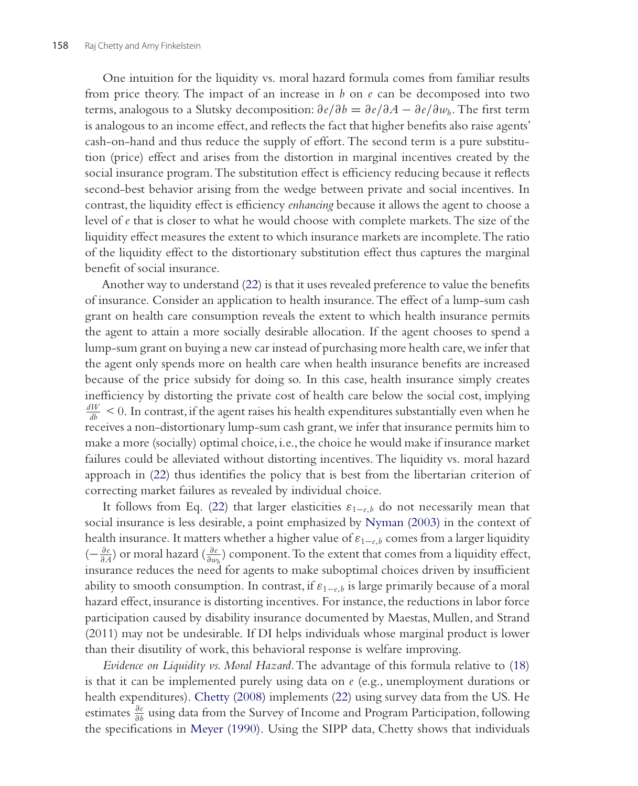One intuition for the liquidity vs. moral hazard formula comes from familiar results from price theory. The impact of an increase in *b* on *e* can be decomposed into two terms, analogous to a Slutsky decomposition: ∂*e*/∂*b* = ∂*e*/∂*A* − ∂*e*/∂*wh*. The first term is analogous to an income effect, and reflects the fact that higher benefits also raise agents' cash-on-hand and thus reduce the supply of effort. The second term is a pure substitution (price) effect and arises from the distortion in marginal incentives created by the social insurance program.The substitution effect is efficiency reducing because it reflects second-best behavior arising from the wedge between private and social incentives. In contrast, the liquidity effect is efficiency *enhancing* because it allows the agent to choose a level of *e* that is closer to what he would choose with complete markets. The size of the liquidity effect measures the extent to which insurance markets are incomplete.The ratio of the liquidity effect to the distortionary substitution effect thus captures the marginal benefit of social insurance.

Another way to understand [\(22\)](#page-46-4) is that it uses revealed preference to value the benefits of insurance. Consider an application to health insurance.The effect of a lump-sum cash grant on health care consumption reveals the extent to which health insurance permits the agent to attain a more socially desirable allocation. If the agent chooses to spend a lump-sum grant on buying a new car instead of purchasing more health care, we infer that the agent only spends more on health care when health insurance benefits are increased because of the price subsidy for doing so. In this case, health insurance simply creates inefficiency by distorting the private cost of health care below the social cost, implying  $\frac{dW}{db}$  < 0. In contrast, if the agent raises his health expenditures substantially even when he receives a non-distortionary lump-sum cash grant,we infer that insurance permits him to make a more (socially) optimal choice, i.e., the choice he would make if insurance market failures could be alleviated without distorting incentives. The liquidity vs. moral hazard approach in [\(22\)](#page-46-4) thus identifies the policy that is best from the libertarian criterion of correcting market failures as revealed by individual choice.

It follows from Eq. [\(22\)](#page-46-4) that larger elasticities  $\varepsilon_{1-e,b}$  do not necessarily mean that social insurance is less desirable, a point emphasized by [Nyman \(2003\)](#page-81-4) in the context of health insurance. It matters whether a higher value of  $\varepsilon_{1-\epsilon,b}$  comes from a larger liquidity (− <sup>∂</sup>*<sup>e</sup>* <sup>∂</sup>*A*) or moral hazard ( <sup>∂</sup>*<sup>e</sup>* ∂*wh* ) component.To the extent that comes from a liquidity effect, insurance reduces the need for agents to make suboptimal choices driven by insufficient ability to smooth consumption. In contrast, if  $\varepsilon_{1-e,b}$  is large primarily because of a moral hazard effect, insurance is distorting incentives. For instance, the reductions in labor force participation caused by disability insurance documented by Maestas, Mullen, and Strand (2011) may not be undesirable. If DI helps individuals whose marginal product is lower than their disutility of work, this behavioral response is welfare improving.

*Evidence on Liquidity vs. Moral Hazard.*The advantage of this formula relative to [\(18\)](#page-38-0) is that it can be implemented purely using data on *e* (e.g., unemployment durations or health expenditures). [Chetty \(2008\)](#page-77-1) implements [\(22\)](#page-46-4) using survey data from the US. He estimates <sup>∂</sup>*<sup>e</sup>* <sup>∂</sup>*<sup>b</sup>* using data from the Survey of Income and Program Participation, following the specifications in [Meyer \(1990\).](#page-81-0) Using the SIPP data, Chetty shows that individuals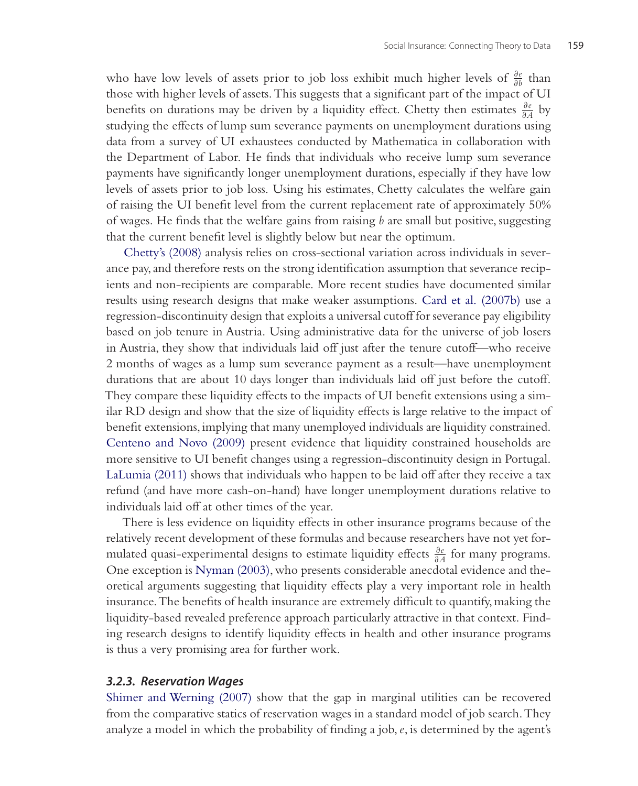who have low levels of assets prior to job loss exhibit much higher levels of  $\frac{\partial e}{\partial b}$  than those with higher levels of assets.This suggests that a significant part of the impact of UI benefits on durations may be driven by a liquidity effect. Chetty then estimates <sup>∂</sup>*<sup>e</sup>* <sup>∂</sup>*<sup>A</sup>* by studying the effects of lump sum severance payments on unemployment durations using data from a survey of UI exhaustees conducted by Mathematica in collaboration with the Department of Labor. He finds that individuals who receive lump sum severance payments have significantly longer unemployment durations, especially if they have low levels of assets prior to job loss. Using his estimates, Chetty calculates the welfare gain of raising the UI benefit level from the current replacement rate of approximately 50% of wages. He finds that the welfare gains from raising *b* are small but positive, suggesting that the current benefit level is slightly below but near the optimum.

[Chetty's \(2008\)](#page-77-1) analysis relies on cross-sectional variation across individuals in severance pay, and therefore rests on the strong identification assumption that severance recipients and non-recipients are comparable. More recent studies have documented similar results using research designs that make weaker assumptions. [Card et al. \(2007b\)](#page-76-5) use a regression-discontinuity design that exploits a universal cutoff for severance pay eligibility based on job tenure in Austria. Using administrative data for the universe of job losers in Austria, they show that individuals laid off just after the tenure cutoff—who receive 2 months of wages as a lump sum severance payment as a result—have unemployment durations that are about 10 days longer than individuals laid off just before the cutoff. They compare these liquidity effects to the impacts of UI benefit extensions using a similar RD design and show that the size of liquidity effects is large relative to the impact of benefit extensions,implying that many unemployed individuals are liquidity constrained. [Centeno and Novo \(2009\)](#page-77-7) present evidence that liquidity constrained households are more sensitive to UI benefit changes using a regression-discontinuity design in Portugal. [LaLumia \(2011\)](#page-80-7) shows that individuals who happen to be laid off after they receive a tax refund (and have more cash-on-hand) have longer unemployment durations relative to individuals laid off at other times of the year.

There is less evidence on liquidity effects in other insurance programs because of the relatively recent development of these formulas and because researchers have not yet formulated quasi-experimental designs to estimate liquidity effects <sup>∂</sup>*<sup>e</sup>* <sup>∂</sup>*<sup>A</sup>* for many programs. One exception is [Nyman \(2003\),](#page-81-4) who presents considerable anecdotal evidence and theoretical arguments suggesting that liquidity effects play a very important role in health insurance.The benefits of health insurance are extremely difficult to quantify,making the liquidity-based revealed preference approach particularly attractive in that context. Finding research designs to identify liquidity effects in health and other insurance programs is thus a very promising area for further work.

#### *3.2.3. Reservation Wages*

[Shimer and Werning \(2007\)](#page-82-4) show that the gap in marginal utilities can be recovered from the comparative statics of reservation wages in a standard model of job search.They analyze a model in which the probability of finding a job,*e*, is determined by the agent's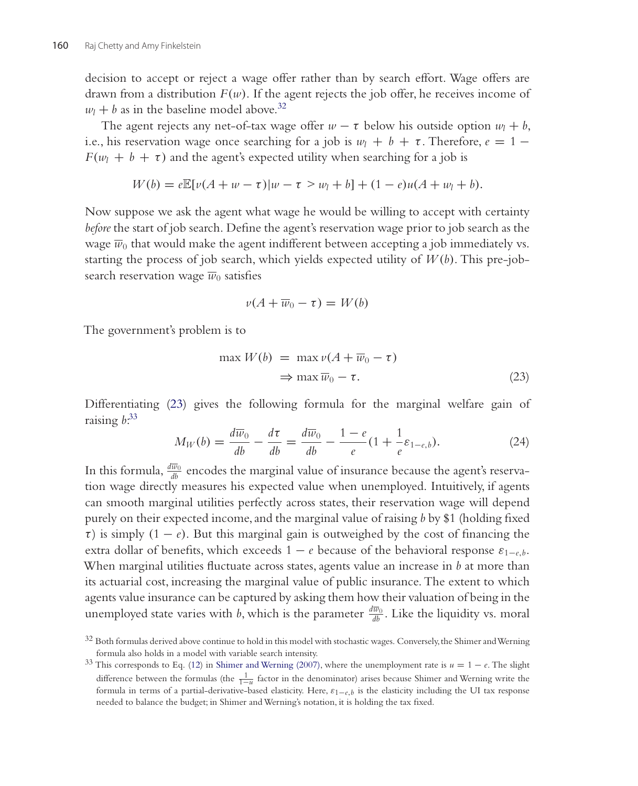decision to accept or reject a wage offer rather than by search effort. Wage offers are drawn from a distribution  $F(w)$ . If the agent rejects the job offer, he receives income of  $w_l + b$  as in the baseline model above.<sup>32</sup>

The agent rejects any net-of-tax wage offer  $w - \tau$  below his outside option  $w_l + b$ , i.e., his reservation wage once searching for a job is  $w_l + b + \tau$ . Therefore,  $e = 1 F(w_l + b + \tau)$  and the agent's expected utility when searching for a job is

$$
W(b) = e \mathbb{E}[v(A + w - \tau)|w - \tau > w_l + b] + (1 - e)u(A + w_l + b).
$$

Now suppose we ask the agent what wage he would be willing to accept with certainty *before* the start of job search. Define the agent's reservation wage prior to job search as the wage  $\overline{w}_0$  that would make the agent indifferent between accepting a job immediately vs. starting the process of job search, which yields expected utility of *W*(*b*). This pre-jobsearch reservation wage  $\overline{w}_0$  satisfies

$$
\nu(A+\overline{w}_0-\tau)=W(b)
$$

The government's problem is to

<span id="page-49-1"></span>
$$
\max W(b) = \max v(A + \overline{w}_0 - \tau) \n\Rightarrow \max \overline{w}_0 - \tau.
$$
\n(23)

Differentiating [\(23\)](#page-49-1) gives the following formula for the marginal welfare gain of raising *b*: [33](#page-49-2)

<span id="page-49-3"></span>
$$
M_W(b) = \frac{d\overline{w}_0}{db} - \frac{d\tau}{db} = \frac{d\overline{w}_0}{db} - \frac{1 - e}{e}(1 + \frac{1}{e}\varepsilon_{1-e,b}).
$$
\n(24)

In this formula,  $\frac{d\overline{w}_0}{db}$  encodes the marginal value of insurance because the agent's reservation wage directly measures his expected value when unemployed. Intuitively, if agents can smooth marginal utilities perfectly across states, their reservation wage will depend purely on their expected income, and the marginal value of raising *b* by \$1 (holding fixed  $\tau$ ) is simply  $(1 - e)$ . But this marginal gain is outweighed by the cost of financing the extra dollar of benefits, which exceeds  $1 - e$  because of the behavioral response  $\varepsilon_{1-e,b}$ . When marginal utilities fluctuate across states, agents value an increase in *b* at more than its actuarial cost, increasing the marginal value of public insurance. The extent to which agents value insurance can be captured by asking them how their valuation of being in the unemployed state varies with *b*, which is the parameter  $\frac{d\overline{w}_0}{db}$ . Like the liquidity vs. moral

<span id="page-49-0"></span> $32$  Both formulas derived above continue to hold in this model with stochastic wages. Conversely, the Shimer and Werning formula also holds in a model with variable search intensity.

<span id="page-49-2"></span><sup>&</sup>lt;sup>33</sup> This corresponds to Eq. [\(12\)](#page-35-0) in [Shimer and Werning \(2007\),](#page-82-4) where the unemployment rate is  $u = 1 - e$ . The slight difference between the formulas (the  $\frac{1}{1-u}$  factor in the denominator) arises because Shimer and Werning write the formula in terms of a partial-derivative-based elasticity. Here,  $\varepsilon_{1-e}$ , *b* is the elasticity including the UI tax response needed to balance the budget; in Shimer andWerning's notation, it is holding the tax fixed.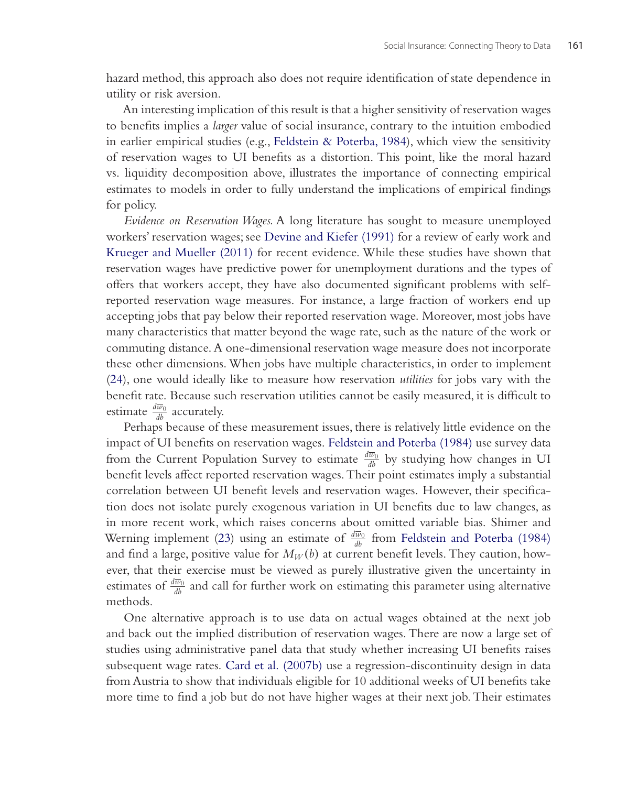hazard method, this approach also does not require identification of state dependence in utility or risk aversion.

An interesting implication of this result is that a higher sensitivity of reservation wages to benefits implies a *larger* value of social insurance, contrary to the intuition embodied in earlier empirical studies (e.g., [Feldstein & Poterba, 1984\)](#page-78-4), which view the sensitivity of reservation wages to UI benefits as a distortion. This point, like the moral hazard vs. liquidity decomposition above, illustrates the importance of connecting empirical estimates to models in order to fully understand the implications of empirical findings for policy.

*Evidence on Reservation Wages.* A long literature has sought to measure unemployed workers' reservation wages; see [Devine and Kiefer \(1991\)](#page-78-5) for a review of early work and [Krueger and Mueller \(2011\)](#page-80-8) for recent evidence. While these studies have shown that reservation wages have predictive power for unemployment durations and the types of offers that workers accept, they have also documented significant problems with selfreported reservation wage measures. For instance, a large fraction of workers end up accepting jobs that pay below their reported reservation wage. Moreover, most jobs have many characteristics that matter beyond the wage rate, such as the nature of the work or commuting distance. A one-dimensional reservation wage measure does not incorporate these other dimensions.When jobs have multiple characteristics, in order to implement [\(24\)](#page-49-3), one would ideally like to measure how reservation *utilities* for jobs vary with the benefit rate. Because such reservation utilities cannot be easily measured, it is difficult to estimate  $\frac{d\overline{w}_0}{db}$  accurately.

Perhaps because of these measurement issues, there is relatively little evidence on the impact of UI benefits on reservation wages. [Feldstein and Poterba \(1984\)](#page-78-4) use survey data from the Current Population Survey to estimate  $\frac{d\overline{w}_0}{db}$  by studying how changes in UI benefit levels affect reported reservation wages. Their point estimates imply a substantial correlation between UI benefit levels and reservation wages. However, their specification does not isolate purely exogenous variation in UI benefits due to law changes, as in more recent work, which raises concerns about omitted variable bias. Shimer and Werning implement [\(23\)](#page-49-1) using an estimate of  $\frac{d\overline{w}_0}{db}$  from [Feldstein and Poterba \(1984\)](#page-78-4) and find a large, positive value for  $M_W(b)$  at current benefit levels. They caution, however, that their exercise must be viewed as purely illustrative given the uncertainty in estimates of  $\frac{d\overline{w}_0}{db}$  and call for further work on estimating this parameter using alternative methods.

One alternative approach is to use data on actual wages obtained at the next job and back out the implied distribution of reservation wages. There are now a large set of studies using administrative panel data that study whether increasing UI benefits raises subsequent wage rates. [Card et al. \(2007b\)](#page-76-5) use a regression-discontinuity design in data from Austria to show that individuals eligible for 10 additional weeks of UI benefits take more time to find a job but do not have higher wages at their next job. Their estimates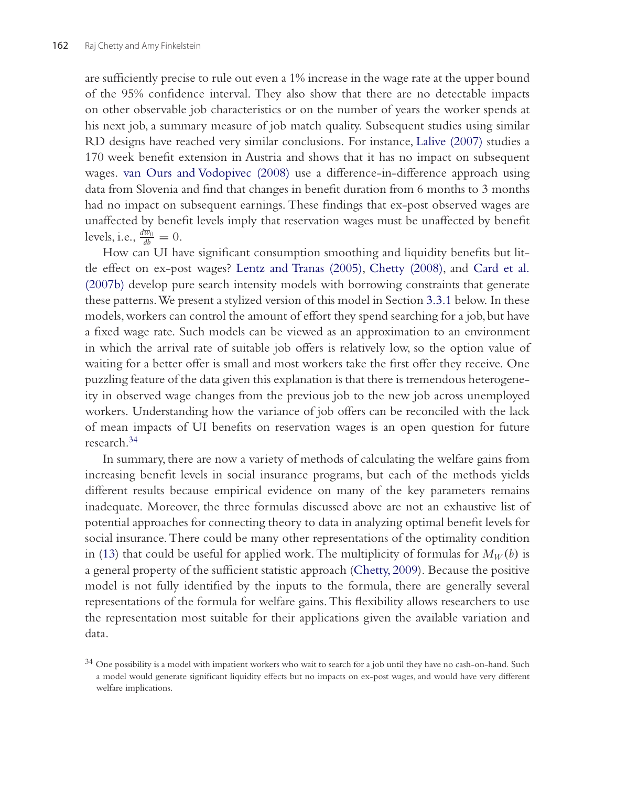are sufficiently precise to rule out even a 1% increase in the wage rate at the upper bound of the 95% confidence interval. They also show that there are no detectable impacts on other observable job characteristics or on the number of years the worker spends at his next job, a summary measure of job match quality. Subsequent studies using similar RD designs have reached very similar conclusions. For instance, [Lalive \(2007\)](#page-80-9) studies a 170 week benefit extension in Austria and shows that it has no impact on subsequent wages. [van Ours and Vodopivec \(2008\)](#page-82-5) use a difference-in-difference approach using data from Slovenia and find that changes in benefit duration from 6 months to 3 months had no impact on subsequent earnings. These findings that ex-post observed wages are unaffected by benefit levels imply that reservation wages must be unaffected by benefit levels, i.e.,  $\frac{d\overline{w}_0}{db} = 0$ .

How can UI have significant consumption smoothing and liquidity benefits but little effect on ex-post wages? [Lentz and Tranas \(2005\),](#page-81-5) [Chetty \(2008\),](#page-77-1) and Card et al. (2007b) develop pure search intensity models with borrowing constraints that generate these patterns.We present a stylized version of this model in Section [3.3.1](#page-52-0) below. In these models, workers can control the amount of effort they spend searching for a job, but have a fixed wage rate. Such models can be viewed as an approximation to an environment in which the arrival rate of suitable job offers is relatively low, so the option value of waiting for a better offer is small and most workers take the first offer they receive. One puzzling feature of the data given this explanation is that there is tremendous heterogeneity in observed wage changes from the previous job to the new job across unemployed workers. Understanding how the variance of job offers can be reconciled with the lack of mean impacts of UI benefits on reservation wages is an open question for future research[.34](#page-51-0)

In summary, there are now a variety of methods of calculating the welfare gains from increasing benefit levels in social insurance programs, but each of the methods yields different results because empirical evidence on many of the key parameters remains inadequate. Moreover, the three formulas discussed above are not an exhaustive list of potential approaches for connecting theory to data in analyzing optimal benefit levels for social insurance. There could be many other representations of the optimality condition in [\(13\)](#page-36-0) that could be useful for applied work. The multiplicity of formulas for  $M_W(b)$  is a general property of the sufficient statistic approach [\(Chetty, 2009\)](#page-77-8). Because the positive model is not fully identified by the inputs to the formula, there are generally several representations of the formula for welfare gains. This flexibility allows researchers to use the representation most suitable for their applications given the available variation and data.

<span id="page-51-0"></span><sup>&</sup>lt;sup>34</sup> One possibility is a model with impatient workers who wait to search for a job until they have no cash-on-hand. Such a model would generate significant liquidity effects but no impacts on ex-post wages, and would have very different welfare implications.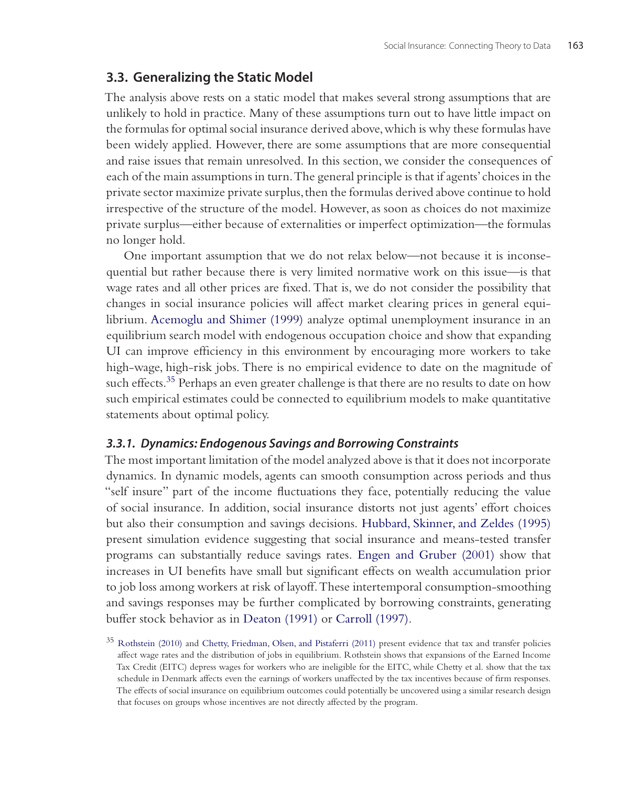# **3.3. Generalizing the Static Model**

The analysis above rests on a static model that makes several strong assumptions that are unlikely to hold in practice. Many of these assumptions turn out to have little impact on the formulas for optimal social insurance derived above,which is why these formulas have been widely applied. However, there are some assumptions that are more consequential and raise issues that remain unresolved. In this section, we consider the consequences of each of the main assumptions in turn. The general principle is that if agents' choices in the private sector maximize private surplus, then the formulas derived above continue to hold irrespective of the structure of the model. However, as soon as choices do not maximize private surplus—either because of externalities or imperfect optimization—the formulas no longer hold.

One important assumption that we do not relax below—not because it is inconsequential but rather because there is very limited normative work on this issue—is that wage rates and all other prices are fixed. That is, we do not consider the possibility that changes in social insurance policies will affect market clearing prices in general equilibrium. [Acemoglu and Shimer \(1999\)](#page-75-4) analyze optimal unemployment insurance in an equilibrium search model with endogenous occupation choice and show that expanding UI can improve efficiency in this environment by encouraging more workers to take high-wage, high-risk jobs. There is no empirical evidence to date on the magnitude of such effects.<sup>35</sup> Perhaps an even greater challenge is that there are no results to date on how such empirical estimates could be connected to equilibrium models to make quantitative statements about optimal policy.

## <span id="page-52-0"></span>*3.3.1. Dynamics: Endogenous Savings and Borrowing Constraints*

The most important limitation of the model analyzed above is that it does not incorporate dynamics. In dynamic models, agents can smooth consumption across periods and thus "self insure" part of the income fluctuations they face, potentially reducing the value of social insurance. In addition, social insurance distorts not just agents' effort choices but also their consumption and savings decisions. [Hubbard, Skinner, and Zeldes \(1995\)](#page-80-10) present simulation evidence suggesting that social insurance and means-tested transfer programs can substantially reduce savings rates. [Engen and Gruber \(2001\)](#page-78-0) show that increases in UI benefits have small but significant effects on wealth accumulation prior to job loss among workers at risk of layoff.These intertemporal consumption-smoothing and savings responses may be further complicated by borrowing constraints, generating buffer stock behavior as in [Deaton \(1991\)](#page-78-6) or [Carroll \(1997\).](#page-76-6)

<span id="page-52-1"></span><sup>35</sup> [Rothstein \(2010\)](#page-81-6) and [Chetty, Friedman, Olsen, and Pistaferri \(2011\)](#page-77-9) present evidence that tax and transfer policies affect wage rates and the distribution of jobs in equilibrium. Rothstein shows that expansions of the Earned Income Tax Credit (EITC) depress wages for workers who are ineligible for the EITC, while Chetty et al. show that the tax schedule in Denmark affects even the earnings of workers unaffected by the tax incentives because of firm responses. The effects of social insurance on equilibrium outcomes could potentially be uncovered using a similar research design that focuses on groups whose incentives are not directly affected by the program.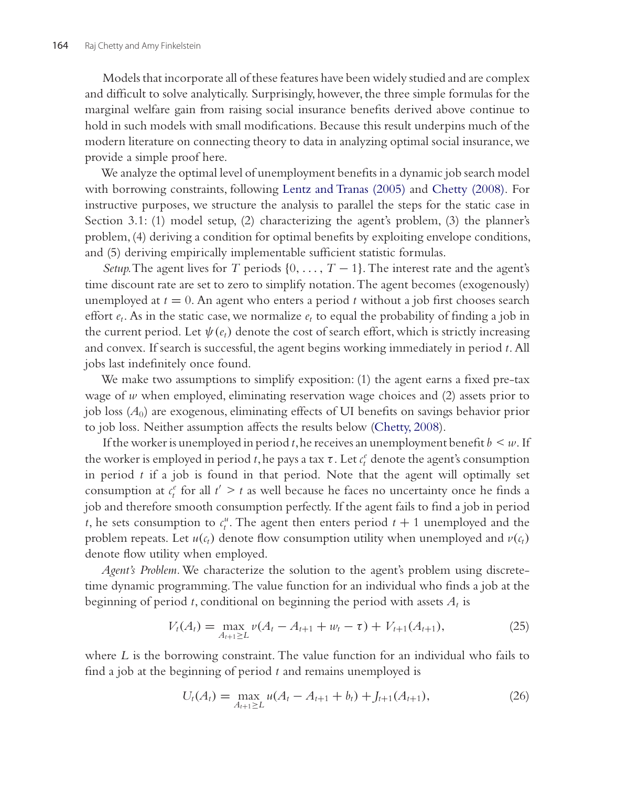Models that incorporate all of these features have been widely studied and are complex and difficult to solve analytically. Surprisingly, however, the three simple formulas for the marginal welfare gain from raising social insurance benefits derived above continue to hold in such models with small modifications. Because this result underpins much of the modern literature on connecting theory to data in analyzing optimal social insurance, we provide a simple proof here.

We analyze the optimal level of unemployment benefits in a dynamic job search model with borrowing constraints, following [Lentz and Tranas \(2005\)](#page-81-5) and [Chetty \(2008\).](#page-77-1) For instructive purposes, we structure the analysis to parallel the steps for the static case in Section 3.1: (1) model setup, (2) characterizing the agent's problem, (3) the planner's problem, (4) deriving a condition for optimal benefits by exploiting envelope conditions, and (5) deriving empirically implementable sufficient statistic formulas.

*Setup.* The agent lives for *T* periods  $\{0, \ldots, T-1\}$ . The interest rate and the agent's time discount rate are set to zero to simplify notation.The agent becomes (exogenously) unemployed at  $t = 0$ . An agent who enters a period  $t$  without a job first chooses search effort  $e_t$ . As in the static case, we normalize  $e_t$  to equal the probability of finding a job in the current period. Let  $\psi(e_t)$  denote the cost of search effort, which is strictly increasing and convex. If search is successful, the agent begins working immediately in period *t*. All jobs last indefinitely once found.

We make two assumptions to simplify exposition: (1) the agent earns a fixed pre-tax wage of *w* when employed, eliminating reservation wage choices and (2) assets prior to job loss (*A*0) are exogenous, eliminating effects of UI benefits on savings behavior prior to job loss. Neither assumption affects the results below [\(Chetty, 2008\)](#page-77-1).

If the worker is unemployed in period *t*, he receives an unemployment benefit  $b \leq w$ . If the worker is employed in period *t*, he pays a tax  $\tau$ . Let  $c_t^e$  denote the agent's consumption in period *t* if a job is found in that period. Note that the agent will optimally set consumption at  $c_t^e$  for all  $t' > t$  as well because he faces no uncertainty once he finds a job and therefore smooth consumption perfectly. If the agent fails to find a job in period *t*, he sets consumption to  $c_t^u$ . The agent then enters period  $t + 1$  unemployed and the problem repeats. Let  $u(c_t)$  denote flow consumption utility when unemployed and  $v(c_t)$ denote flow utility when employed.

*Agent's Problem.*We characterize the solution to the agent's problem using discretetime dynamic programming.The value function for an individual who finds a job at the beginning of period *t*, conditional on beginning the period with assets  $A_t$  is

$$
V_t(A_t) = \max_{A_{t+1} \ge L} v(A_t - A_{t+1} + w_t - \tau) + V_{t+1}(A_{t+1}),
$$
\n(25)

where *L* is the borrowing constraint. The value function for an individual who fails to find a job at the beginning of period *t* and remains unemployed is

$$
U_t(A_t) = \max_{A_{t+1} \ge L} u(A_t - A_{t+1} + b_t) + J_{t+1}(A_{t+1}),
$$
\n(26)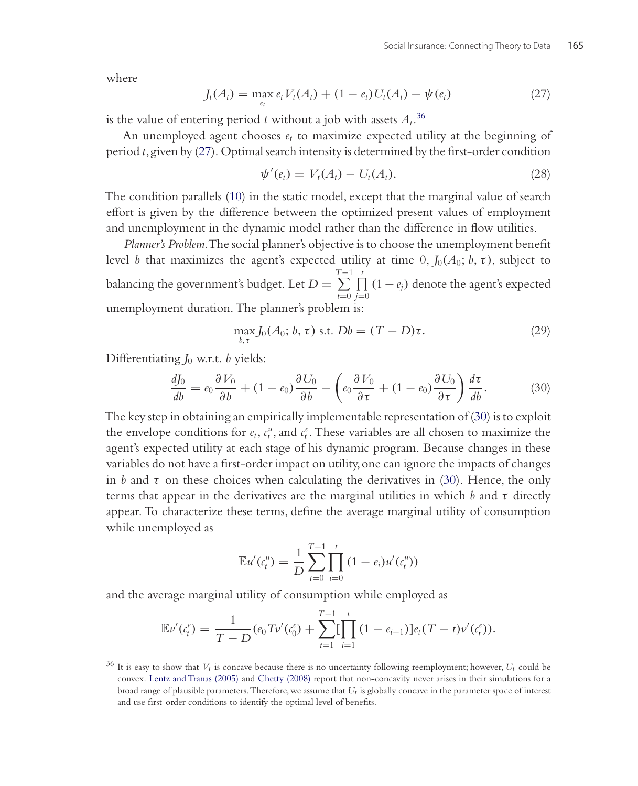where

<span id="page-54-1"></span>
$$
J_t(A_t) = \max_{e_t} e_t V_t(A_t) + (1 - e_t) U_t(A_t) - \psi(e_t)
$$
\n(27)

is the value of entering period *t* without a job with assets  $A_t$ .<sup>[36](#page-54-0)</sup>

An unemployed agent chooses  $e_t$  to maximize expected utility at the beginning of period *t*,given by [\(27\)](#page-54-1). Optimal search intensity is determined by the first-order condition

$$
\psi'(e_t) = V_t(A_t) - U_t(A_t). \tag{28}
$$

The condition parallels [\(10\)](#page-35-1) in the static model, except that the marginal value of search effort is given by the difference between the optimized present values of employment and unemployment in the dynamic model rather than the difference in flow utilities.

*Planner's Problem.*The social planner's objective is to choose the unemployment benefit level *b* that maximizes the agent's expected utility at time  $0, J_0(A_0; b, \tau)$ , subject to balancing the government's budget. Let  $D = \sum^{T-1}$ *t*=0  $\prod$ *j*=0 (1−*ej*) denote the agent's expected unemployment duration. The planner's problem is:

$$
\max_{b,\tau} J_0(A_0; b, \tau) \text{ s.t. } Db = (T - D)\tau.
$$
 (29)

Differentiating  $J_0$  w.r.t. *b* yields:

<span id="page-54-2"></span>
$$
\frac{dJ_0}{db} = e_0 \frac{\partial V_0}{\partial b} + (1 - e_0) \frac{\partial U_0}{\partial b} - \left( e_0 \frac{\partial V_0}{\partial \tau} + (1 - e_0) \frac{\partial U_0}{\partial \tau} \right) \frac{d\tau}{db}.
$$
(30)

The key step in obtaining an empirically implementable representation of [\(30\)](#page-54-2) is to exploit the envelope conditions for  $e_t$ ,  $c_t^u$ , and  $c_t^e$ . These variables are all chosen to maximize the agent's expected utility at each stage of his dynamic program. Because changes in these variables do not have a first-order impact on utility, one can ignore the impacts of changes in  $b$  and  $\tau$  on these choices when calculating the derivatives in [\(30\)](#page-54-2). Hence, the only terms that appear in the derivatives are the marginal utilities in which  $b$  and  $\tau$  directly appear. To characterize these terms, define the average marginal utility of consumption while unemployed as

$$
\mathbb{E}u'(c_t^u) = \frac{1}{D} \sum_{t=0}^{T-1} \prod_{i=0}^t (1 - e_i) u'(c_t^u)
$$

and the average marginal utility of consumption while employed as

$$
\mathbb{E}\nu'(c_t^e) = \frac{1}{T-D}(e_0 T \nu'(c_0^e) + \sum_{t=1}^{T-1} \left[ \prod_{i=1}^t (1-e_{i-1}) \right] e_t(T-t) \nu'(c_t^e).
$$

<span id="page-54-0"></span> $36$  It is easy to show that  $V_t$  is concave because there is no uncertainty following reemployment; however,  $U_t$  could be convex. [Lentz and Tranas \(2005\)](#page-81-5) and [Chetty \(2008\)](#page-77-1) report that non-concavity never arises in their simulations for a broad range of plausible parameters.Therefore, we assume that *Ut* is globally concave in the parameter space of interest and use first-order conditions to identify the optimal level of benefits.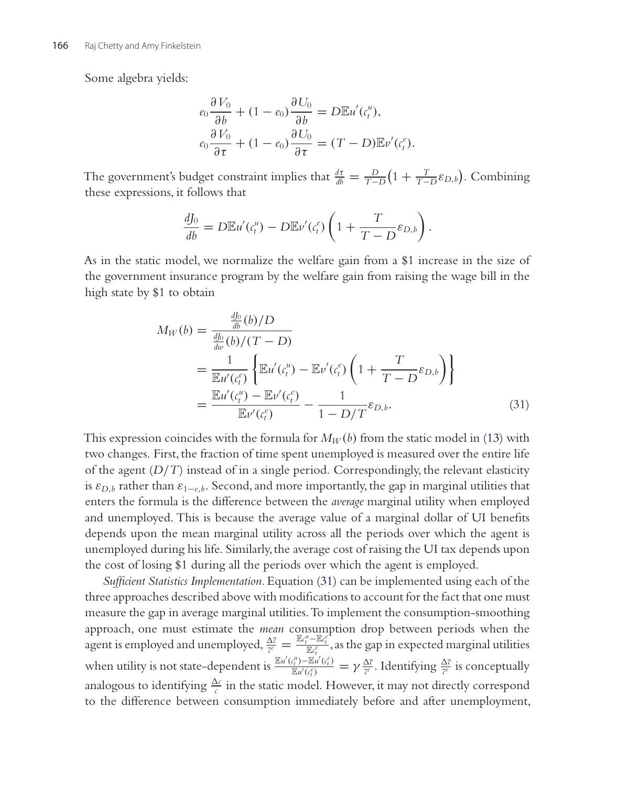Some algebra yields:

$$
e_0 \frac{\partial V_0}{\partial b} + (1 - e_0) \frac{\partial U_0}{\partial b} = D \mathbb{E} u'(c_t^u),
$$
  

$$
e_0 \frac{\partial V_0}{\partial \tau} + (1 - e_0) \frac{\partial U_0}{\partial \tau} = (T - D) \mathbb{E} v'(c_t^e).
$$

The government's budget constraint implies that  $\frac{d\tau}{db} = \frac{D}{T-D} \left( 1 + \frac{T}{T-D} \varepsilon_{D,b} \right)$ . Combining these expressions, it follows that

$$
\frac{dJ_0}{db} = D\mathbb{E}u'(c_t^u) - D\mathbb{E}v'(c_t^e)\left(1 + \frac{T}{T - D}\varepsilon_{D,b}\right).
$$

As in the static model, we normalize the welfare gain from a \$1 increase in the size of the government insurance program by the welfare gain from raising the wage bill in the high state by \$1 to obtain

<span id="page-55-0"></span>
$$
M_W(b) = \frac{\frac{dJ_0}{db}(b)/D}{\frac{dJ_0}{dw}(b)/(T - D)}
$$
  
= 
$$
\frac{1}{\mathbb{E}u'(c_t^e)} \left\{ \mathbb{E}u'(c_t^u) - \mathbb{E}v'(c_t^e) \left( 1 + \frac{T}{T - D} \varepsilon_{D,b} \right) \right\}
$$
  
= 
$$
\frac{\mathbb{E}u'(c_t^u) - \mathbb{E}v'(c_t^e)}{\mathbb{E}v'(c_t^e)} - \frac{1}{1 - D/T} \varepsilon_{D,b}.
$$
 (31)

This expression coincides with the formula for  $M_W(b)$  from the static model in [\(13\)](#page-36-0) with two changes. First, the fraction of time spent unemployed is measured over the entire life of the agent  $(D/T)$  instead of in a single period. Correspondingly, the relevant elasticity is  $\varepsilon_{D,b}$  rather than  $\varepsilon_{1-e,b}$ . Second, and more importantly, the gap in marginal utilities that enters the formula is the difference between the *average* marginal utility when employed and unemployed. This is because the average value of a marginal dollar of UI benefits depends upon the mean marginal utility across all the periods over which the agent is unemployed during his life. Similarly,the average cost of raising the UI tax depends upon the cost of losing \$1 during all the periods over which the agent is employed.

*Sufficient Statistics Implementation.*Equation [\(31\)](#page-55-0) can be implemented using each of the three approaches described above with modifications to account for the fact that one must measure the gap in average marginal utilities.To implement the consumption-smoothing approach, one must estimate the *mean* consumption drop between periods when the agent is employed and unemployed,  $\frac{\Delta \bar{c}}{\bar{c}^e} = \frac{\mathbb{E}c_t^u - \mathbb{E}c_t^e}{\mathbb{E}c_t^e}$ , as the gap in expected marginal utilities when utility is not state-dependent is  $\frac{\mathbb{E} u'(c_i^{\mu}) - \mathbb{E} u'(c_i^{\rho})}{\mathbb{E} u'(c_i^{\rho})} = \gamma \frac{\Delta \bar{c}}{\bar{c}^{\epsilon}}$ . Identifying  $\frac{\Delta \bar{c}}{\bar{c}^{\epsilon}}$  is conceptually analogous to identifying  $\frac{\Delta c}{c}$  in the static model. However, it may not directly correspond to the difference between consumption immediately before and after unemployment,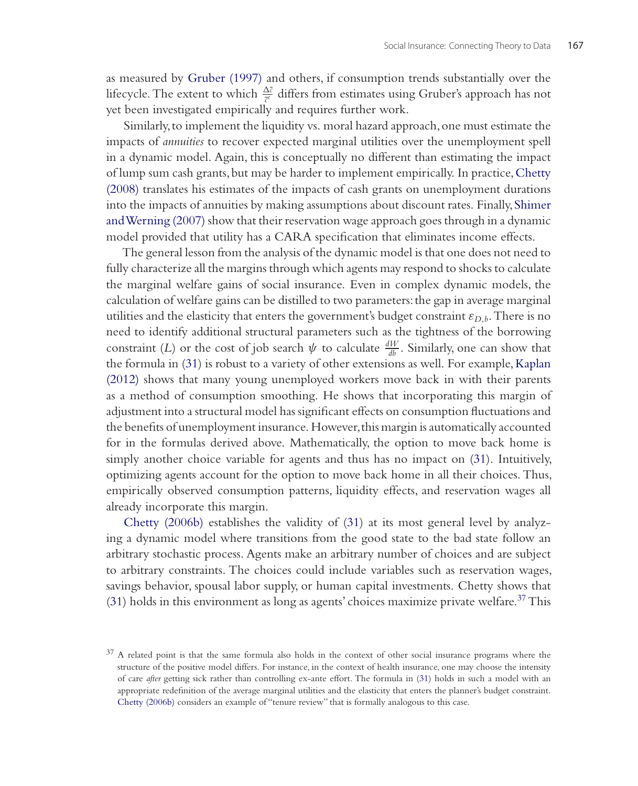as measured by [Gruber \(1997\)](#page-79-0) and others, if consumption trends substantially over the lifecycle. The extent to which  $\frac{\Delta \bar{c}}{\bar{c}^e}$  differs from estimates using Gruber's approach has not yet been investigated empirically and requires further work.

Similarly,to implement the liquidity vs. moral hazard approach, one must estimate the impacts of *annuities* to recover expected marginal utilities over the unemployment spell in a dynamic model. Again, this is conceptually no different than estimating the impact of lump sum cash grants, but may be harder to implement empirically. In practice,Chetty (2008) translates his estimates of the impacts of cash grants on unemployment durations into the impacts of annuities by making assumptions about discount rates. Finally,Shimer andWerning (2007) show that their reservation wage approach goes through in a dynamic model provided that utility has a CARA specification that eliminates income effects.

The general lesson from the analysis of the dynamic model is that one does not need to fully characterize all the margins through which agents may respond to shocks to calculate the marginal welfare gains of social insurance. Even in complex dynamic models, the calculation of welfare gains can be distilled to two parameters:the gap in average marginal utilities and the elasticity that enters the government's budget constraint  $\varepsilon_{D,b}$ . There is no need to identify additional structural parameters such as the tightness of the borrowing constraint (*L*) or the cost of job search  $\psi$  to calculate  $\frac{dW}{db}$ . Similarly, one can show that the formula in [\(31\)](#page-55-0) is robust to a variety of other extensions as well. For example, Kaplan (2012) [shows](#page-80-11) [that](#page-80-11) [many](#page-80-11) [young](#page-80-11) [unemployed](#page-80-11) [workers](#page-80-11) [move](#page-80-11) [back](#page-80-11) [in](#page-80-11) [with](#page-80-11) [their](#page-80-11) parents as a method of consumption smoothing. He shows that incorporating this margin of adjustment into a structural model has significant effects on consumption fluctuations and the benefits of unemployment insurance. However,this margin is automatically accounted for in the formulas derived above. Mathematically, the option to move back home is simply another choice variable for agents and thus has no impact on [\(31\)](#page-55-0). Intuitively, optimizing agents account for the option to move back home in all their choices. Thus, empirically observed consumption patterns, liquidity effects, and reservation wages all already incorporate this margin.

[Chetty \(2006b\)](#page-77-10) establishes the validity of [\(31\)](#page-55-0) at its most general level by analyzing a dynamic model where transitions from the good state to the bad state follow an arbitrary stochastic process. Agents make an arbitrary number of choices and are subject to arbitrary constraints. The choices could include variables such as reservation wages, savings behavior, spousal labor supply, or human capital investments. Chetty shows that [\(31\)](#page-55-0) holds in this environment as long as agents' choices maximize private welfare.<sup>37</sup> This

<span id="page-56-0"></span><sup>&</sup>lt;sup>37</sup> A related point is that the same formula also holds in the context of other social insurance programs where the structure of the positive model differs. For instance, in the context of health insurance, one may choose the intensity of care *after* getting sick rather than controlling ex-ante effort. The formula in [\(31\)](#page-55-0) holds in such a model with an appropriate redefinition of the average marginal utilities and the elasticity that enters the planner's budget constraint. [Chetty \(2006b\)](#page-77-10) considers an example of "tenure review" that is formally analogous to this case.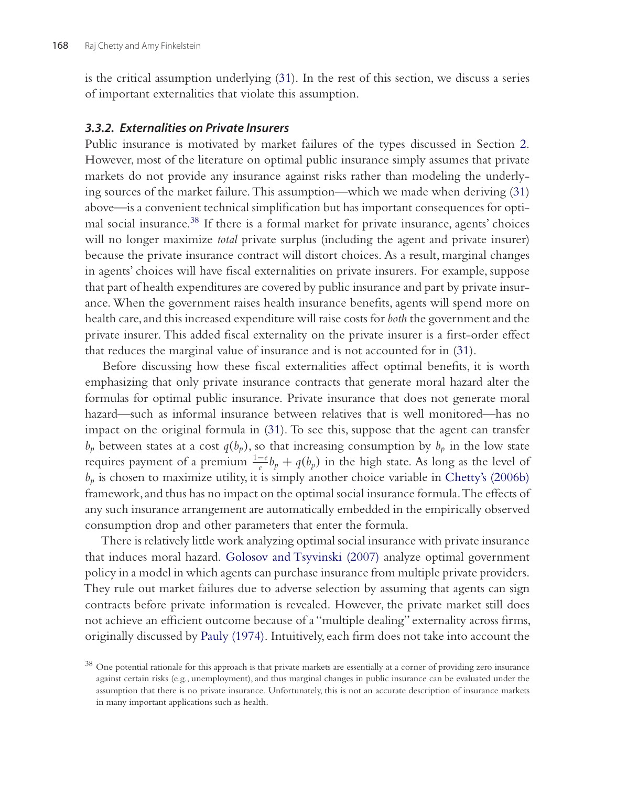is the critical assumption underlying [\(31\)](#page-55-0). In the rest of this section, we discuss a series of important externalities that violate this assumption.

#### *3.3.2. Externalities on Private Insurers*

Public insurance is motivated by market failures of the types discussed in Section [2.](#page-3-0) However, most of the literature on optimal public insurance simply assumes that private markets do not provide any insurance against risks rather than modeling the underlying sources of the market failure.This assumption—which we made when deriving [\(31\)](#page-55-0) above—is a convenient technical simplification but has important consequences for optimal social insurance[.38](#page-57-0) If there is a formal market for private insurance, agents' choices will no longer maximize *total* private surplus (including the agent and private insurer) because the private insurance contract will distort choices. As a result, marginal changes in agents' choices will have fiscal externalities on private insurers. For example, suppose that part of health expenditures are covered by public insurance and part by private insurance.When the government raises health insurance benefits, agents will spend more on health care, and this increased expenditure will raise costs for *both* the government and the private insurer. This added fiscal externality on the private insurer is a first-order effect that reduces the marginal value of insurance and is not accounted for in [\(31\)](#page-55-0).

Before discussing how these fiscal externalities affect optimal benefits, it is worth emphasizing that only private insurance contracts that generate moral hazard alter the formulas for optimal public insurance. Private insurance that does not generate moral hazard—such as informal insurance between relatives that is well monitored—has no impact on the original formula in [\(31\)](#page-55-0). To see this, suppose that the agent can transfer  $b_p$  between states at a cost  $q(b_p)$ , so that increasing consumption by  $b_p$  in the low state requires payment of a premium  $\frac{1-e}{e}b_p + q(b_p)$  in the high state. As long as the level of  $b<sub>p</sub>$  is chosen to maximize utility, it is simply another choice variable in [Chetty's \(2006b\)](#page-77-10) framework, and thus has no impact on the optimal social insurance formula.The effects of any such insurance arrangement are automatically embedded in the empirically observed consumption drop and other parameters that enter the formula.

There is relatively little work analyzing optimal social insurance with private insurance that induces moral hazard. [Golosov and Tsyvinski \(2007\)](#page-79-7) analyze optimal government policy in a model in which agents can purchase insurance from multiple private providers. They rule out market failures due to adverse selection by assuming that agents can sign contracts before private information is revealed. However, the private market still does not achieve an efficient outcome because of a "multiple dealing" externality across firms, originally discussed by [Pauly \(1974\).](#page-81-7) Intuitively, each firm does not take into account the

<span id="page-57-0"></span><sup>&</sup>lt;sup>38</sup> One potential rationale for this approach is that private markets are essentially at a corner of providing zero insurance against certain risks (e.g., unemployment), and thus marginal changes in public insurance can be evaluated under the assumption that there is no private insurance. Unfortunately, this is not an accurate description of insurance markets in many important applications such as health.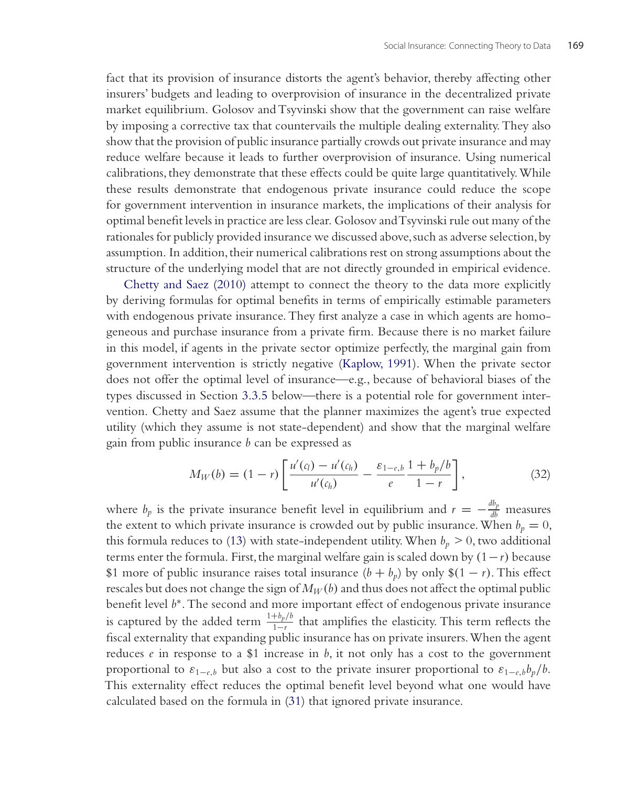fact that its provision of insurance distorts the agent's behavior, thereby affecting other insurers' budgets and leading to overprovision of insurance in the decentralized private market equilibrium. Golosov and Tsyvinski show that the government can raise welfare by imposing a corrective tax that countervails the multiple dealing externality. They also show that the provision of public insurance partially crowds out private insurance and may reduce welfare because it leads to further overprovision of insurance. Using numerical calibrations, they demonstrate that these effects could be quite large quantitatively. While these results demonstrate that endogenous private insurance could reduce the scope for government intervention in insurance markets, the implications of their analysis for optimal benefit levels in practice are less clear. Golosov andTsyvinski rule out many of the rationales for publicly provided insurance we discussed above, such as adverse selection, by assumption. In addition, their numerical calibrations rest on strong assumptions about the structure of the underlying model that are not directly grounded in empirical evidence.

[Chetty and Saez \(2010\)](#page-77-0) attempt to connect the theory to the data more explicitly by deriving formulas for optimal benefits in terms of empirically estimable parameters with endogenous private insurance. They first analyze a case in which agents are homogeneous and purchase insurance from a private firm. Because there is no market failure in this model, if agents in the private sector optimize perfectly, the marginal gain from government intervention is strictly negative [\(Kaplow, 1991\)](#page-80-12). When the private sector does not offer the optimal level of insurance—e.g., because of behavioral biases of the types discussed in Section [3.3.5](#page-63-0) below—there is a potential role for government intervention. Chetty and Saez assume that the planner maximizes the agent's true expected utility (which they assume is not state-dependent) and show that the marginal welfare gain from public insurance *b* can be expressed as

<span id="page-58-0"></span>
$$
M_W(b) = (1 - r) \left[ \frac{u'(c_l) - u'(c_h)}{u'(c_h)} - \frac{\varepsilon_{1-c,b}}{e} \frac{1 + b_p/b}{1 - r} \right],
$$
 (32)

where  $b_p$  is the private insurance benefit level in equilibrium and  $r = -\frac{db_p}{db}$  measures the extent to which private insurance is crowded out by public insurance. When  $b_p = 0$ , this formula reduces to [\(13\)](#page-36-0) with state-independent utility. When  $b_p > 0$ , two additional terms enter the formula. First, the marginal welfare gain is scaled down by  $(1-r)$  because \$1 more of public insurance raises total insurance  $(b + b_p)$  by only \$(1 – *r*). This effect rescales but does not change the sign of  $M_W(b)$  and thus does not affect the optimal public benefit level *b*<sup>∗</sup>. The second and more important effect of endogenous private insurance is captured by the added term  $\frac{1+b_p/b}{1-r}$  that amplifies the elasticity. This term reflects the fiscal externality that expanding public insurance has on private insurers.When the agent reduces  $e$  in response to a \$1 increase in  $b$ , it not only has a cost to the government proportional to  $\varepsilon_{1-\varepsilon,b}$  but also a cost to the private insurer proportional to  $\varepsilon_{1-\varepsilon,b}b_p/b$ . This externality effect reduces the optimal benefit level beyond what one would have calculated based on the formula in [\(31\)](#page-55-0) that ignored private insurance.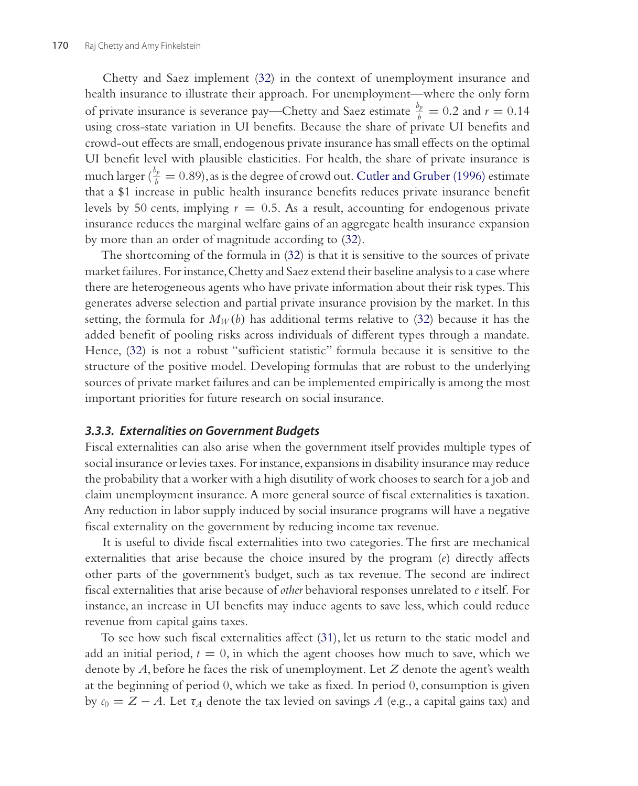Chetty and Saez implement [\(32\)](#page-58-0) in the context of unemployment insurance and health insurance to illustrate their approach. For unemployment—where the only form of private insurance is severance pay—Chetty and Saez estimate  $\frac{b_p}{b} = 0.2$  and  $r = 0.14$ using cross-state variation in UI benefits. Because the share of private UI benefits and crowd-out effects are small, endogenous private insurance has small effects on the optimal UI benefit level with plausible elasticities. For health, the share of private insurance is much larger ( $\frac{b_p}{b}$  = 0.89), as is the degree of crowd out. [Cutler and Gruber \(1996\)](#page-77-11) estimate that a \$1 increase in public health insurance benefits reduces private insurance benefit levels by 50 cents, implying  $r = 0.5$ . As a result, accounting for endogenous private insurance reduces the marginal welfare gains of an aggregate health insurance expansion by more than an order of magnitude according to [\(32\)](#page-58-0).

The shortcoming of the formula in [\(32\)](#page-58-0) is that it is sensitive to the sources of private market failures. For instance,Chetty and Saez extend their baseline analysis to a case where there are heterogeneous agents who have private information about their risk types.This generates adverse selection and partial private insurance provision by the market. In this setting, the formula for  $M_W(b)$  has additional terms relative to [\(32\)](#page-58-0) because it has the added benefit of pooling risks across individuals of different types through a mandate. Hence, [\(32\)](#page-58-0) is not a robust "sufficient statistic" formula because it is sensitive to the structure of the positive model. Developing formulas that are robust to the underlying sources of private market failures and can be implemented empirically is among the most important priorities for future research on social insurance.

### *3.3.3. Externalities on Government Budgets*

Fiscal externalities can also arise when the government itself provides multiple types of social insurance or levies taxes. For instance, expansions in disability insurance may reduce the probability that a worker with a high disutility of work chooses to search for a job and claim unemployment insurance. A more general source of fiscal externalities is taxation. Any reduction in labor supply induced by social insurance programs will have a negative fiscal externality on the government by reducing income tax revenue.

It is useful to divide fiscal externalities into two categories. The first are mechanical externalities that arise because the choice insured by the program (*e*) directly affects other parts of the government's budget, such as tax revenue. The second are indirect fiscal externalities that arise because of *other* behavioral responses unrelated to *e* itself. For instance, an increase in UI benefits may induce agents to save less, which could reduce revenue from capital gains taxes.

To see how such fiscal externalities affect [\(31\)](#page-55-0), let us return to the static model and add an initial period,  $t = 0$ , in which the agent chooses how much to save, which we denote by *A*, before he faces the risk of unemployment. Let *Z* denote the agent's wealth at the beginning of period 0, which we take as fixed. In period 0, consumption is given by  $c_0 = Z - A$ . Let  $\tau_A$  denote the tax levied on savings A (e.g., a capital gains tax) and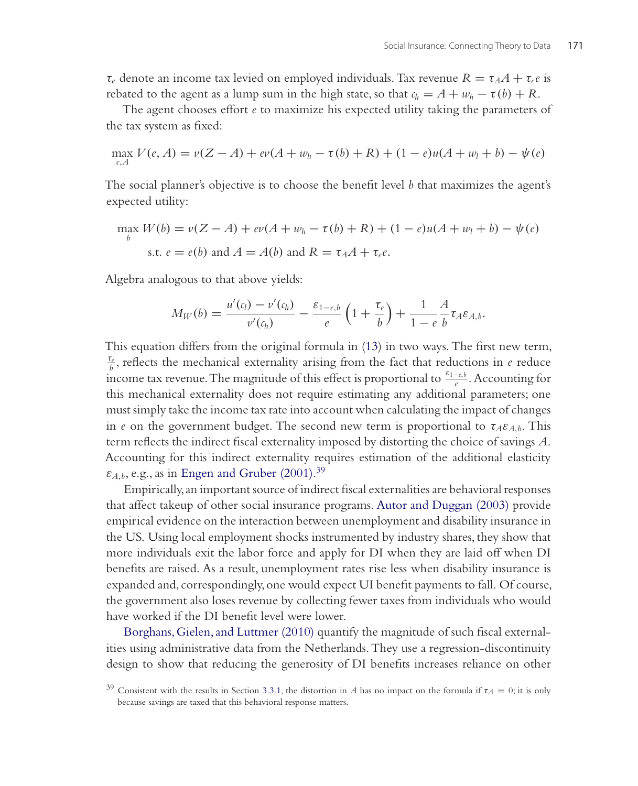τ*<sup>e</sup>* denote an income tax levied on employed individuals. Tax revenue *R* = τ*AA* + τ*ee* is rebated to the agent as a lump sum in the high state, so that  $c_h = A + w_h - \tau(b) + R$ .

The agent chooses effort *e* to maximize his expected utility taking the parameters of the tax system as fixed:

$$
\max_{e,A} V(e,A) = v(Z-A) + ev(A+w_h - \tau(b) + R) + (1-e)u(A+w_l + b) - \psi(e)
$$

The social planner's objective is to choose the benefit level *b* that maximizes the agent's expected utility:

$$
\max_{b} W(b) = v(Z - A) + ev(A + w_h - \tau(b) + R) + (1 - e)u(A + w_l + b) - \psi(e)
$$
  
s.t.  $e = e(b)$  and  $A = A(b)$  and  $R = \tau_A A + \tau_e e$ .

Algebra analogous to that above yields:

$$
M_W(b) = \frac{u'(c_l) - v'(c_h)}{v'(c_h)} - \frac{\varepsilon_{1-\varepsilon,b}}{e} \left(1 + \frac{\tau_{\varepsilon}}{b}\right) + \frac{1}{1-\varepsilon} \frac{A}{b} \tau_A \varepsilon_{A,b}.
$$

This equation differs from the original formula in [\(13\)](#page-36-0) in two ways. The first new term,  $\frac{\tau_e}{b}$ , reflects the mechanical externality arising from the fact that reductions in *e* reduce income tax revenue. The magnitude of this effect is proportional to  $\frac{\varepsilon_{1-\varepsilon,b}}{e}$ . Accounting for this mechanical externality does not require estimating any additional parameters; one must simply take the income tax rate into account when calculating the impact of changes in *e* on the government budget. The second new term is proportional to  $\tau_A \varepsilon_{A,b}$ . This term reflects the indirect fiscal externality imposed by distorting the choice of savings *A*. Accounting for this indirect externality requires estimation of the additional elasticity  $\varepsilon_{A,b}$ , e.g., as in [Engen and Gruber \(2001\).](#page-78-0)<sup>[39](#page-60-0)</sup>

Empirically,an important source of indirect fiscal externalities are behavioral responses that affect takeup of other social insurance programs. [Autor and Duggan \(2003\)](#page-75-5) provide empirical evidence on the interaction between unemployment and disability insurance in the US. Using local employment shocks instrumented by industry shares, they show that more individuals exit the labor force and apply for DI when they are laid off when DI benefits are raised. As a result, unemployment rates rise less when disability insurance is expanded and, correspondingly, one would expect UI benefit payments to fall. Of course, the government also loses revenue by collecting fewer taxes from individuals who would have worked if the DI benefit level were lower.

[Borghans, Gielen, and Luttmer \(2010\)](#page-76-7) quantify the magnitude of such fiscal externalities using administrative data from the Netherlands. They use a regression-discontinuity design to show that reducing the generosity of DI benefits increases reliance on other

<span id="page-60-0"></span><sup>&</sup>lt;sup>39</sup> Consistent with the results in Section [3.3.1,](#page-52-0) the distortion in *A* has no impact on the formula if  $\tau_A = 0$ ; it is only because savings are taxed that this behavioral response matters.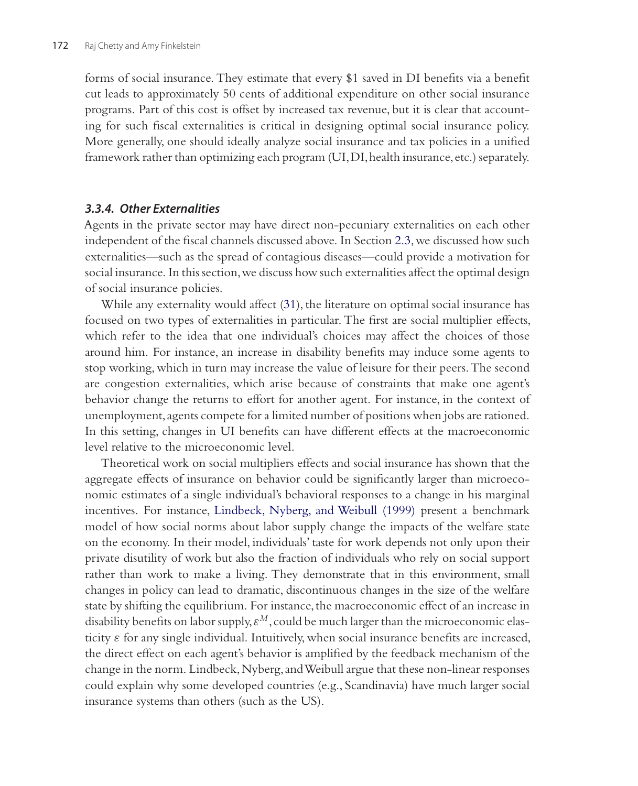forms of social insurance. They estimate that every \$1 saved in DI benefits via a benefit cut leads to approximately 50 cents of additional expenditure on other social insurance programs. Part of this cost is offset by increased tax revenue, but it is clear that accounting for such fiscal externalities is critical in designing optimal social insurance policy. More generally, one should ideally analyze social insurance and tax policies in a unified framework rather than optimizing each program (UI, DI, health insurance, etc.) separately.

## *3.3.4. Other Externalities*

Agents in the private sector may have direct non-pecuniary externalities on each other independent of the fiscal channels discussed above. In Section [2.3,](#page-29-0) we discussed how such externalities—such as the spread of contagious diseases—could provide a motivation for social insurance. In this section, we discuss how such externalities affect the optimal design of social insurance policies.

While any externality would affect [\(31\)](#page-55-0), the literature on optimal social insurance has focused on two types of externalities in particular. The first are social multiplier effects, which refer to the idea that one individual's choices may affect the choices of those around him. For instance, an increase in disability benefits may induce some agents to stop working, which in turn may increase the value of leisure for their peers.The second are congestion externalities, which arise because of constraints that make one agent's behavior change the returns to effort for another agent. For instance, in the context of unemployment, agents compete for a limited number of positions when jobs are rationed. In this setting, changes in UI benefits can have different effects at the macroeconomic level relative to the microeconomic level.

Theoretical work on social multipliers effects and social insurance has shown that the aggregate effects of insurance on behavior could be significantly larger than microeconomic estimates of a single individual's behavioral responses to a change in his marginal incentives. For instance, [Lindbeck, Nyberg, and Weibull \(1999\)](#page-81-8) present a benchmark model of how social norms about labor supply change the impacts of the welfare state on the economy. In their model, individuals' taste for work depends not only upon their private disutility of work but also the fraction of individuals who rely on social support rather than work to make a living. They demonstrate that in this environment, small changes in policy can lead to dramatic, discontinuous changes in the size of the welfare state by shifting the equilibrium. For instance, the macroeconomic effect of an increase in disability benefits on labor supply,  $\varepsilon^M$ , could be much larger than the microeconomic elasticity  $\varepsilon$  for any single individual. Intuitively, when social insurance benefits are increased, the direct effect on each agent's behavior is amplified by the feedback mechanism of the change in the norm. Lindbeck,Nyberg, andWeibull argue that these non-linear responses could explain why some developed countries (e.g., Scandinavia) have much larger social insurance systems than others (such as the US).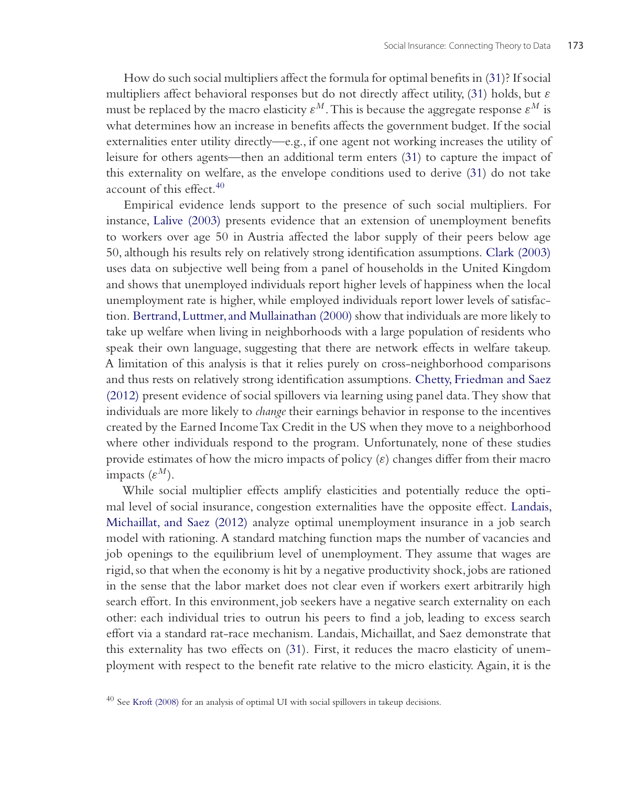How do such social multipliers affect the formula for optimal benefits in [\(31\)](#page-55-0)? If social multipliers affect behavioral responses but do not directly affect utility,  $(31)$  holds, but  $\varepsilon$ must be replaced by the macro elasticity  $\varepsilon^M$ . This is because the aggregate response  $\varepsilon^M$  is what determines how an increase in benefits affects the government budget. If the social externalities enter utility directly—e.g., if one agent not working increases the utility of leisure for others agents—then an additional term enters [\(31\)](#page-55-0) to capture the impact of this externality on welfare, as the envelope conditions used to derive [\(31\)](#page-55-0) do not take account of this effect. $40$ 

Empirical evidence lends support to the presence of such social multipliers. For instance, [Lalive \(2003\)](#page-80-13) presents evidence that an extension of unemployment benefits to workers over age 50 in Austria affected the labor supply of their peers below age 50, although his results rely on relatively strong identification assumptions. [Clark \(2003\)](#page-77-12) uses data on subjective well being from a panel of households in the United Kingdom and shows that unemployed individuals report higher levels of happiness when the local unemployment rate is higher, while employed individuals report lower levels of satisfaction. [Bertrand, Luttmer, and Mullainathan \(2000\)](#page-76-8) show that individuals are more likely to take up welfare when living in neighborhoods with a large population of residents who speak their own language, suggesting that there are network effects in welfare takeup. A limitation of this analysis is that it relies purely on cross-neighborhood comparisons and thus rests on relatively strong identification assumptions. Chetty, Friedman and Saez (2012) present evidence of social spillovers via learning using panel data.They show that individuals are more likely to *change* their earnings behavior in response to the incentives created by the Earned IncomeTax Credit in the US when they move to a neighborhood where other individuals respond to the program. Unfortunately, none of these studies provide estimates of how the micro impacts of policy  $(\varepsilon)$  changes differ from their macro impacts  $(\varepsilon^M)$ .

While social multiplier effects amplify elasticities and potentially reduce the optimal level of social insurance, congestion externalities have the opposite effect. Landais, Michaillat, and Saez (2012) [analyze](#page-80-14) [optimal](#page-80-14) [unemployment](#page-80-14) [insurance](#page-80-14) [in](#page-80-14) [a](#page-80-14) [job](#page-80-14) search model with rationing. A standard matching function maps the number of vacancies and job openings to the equilibrium level of unemployment. They assume that wages are rigid, so that when the economy is hit by a negative productivity shock, jobs are rationed in the sense that the labor market does not clear even if workers exert arbitrarily high search effort. In this environment, job seekers have a negative search externality on each other: each individual tries to outrun his peers to find a job, leading to excess search effort via a standard rat-race mechanism. Landais, Michaillat, and Saez demonstrate that this externality has two effects on [\(31\)](#page-55-0). First, it reduces the macro elasticity of unemployment with respect to the benefit rate relative to the micro elasticity. Again, it is the

<span id="page-62-0"></span> $40$  See [Kroft \(2008\)](#page-80-15) for an analysis of optimal UI with social spillovers in takeup decisions.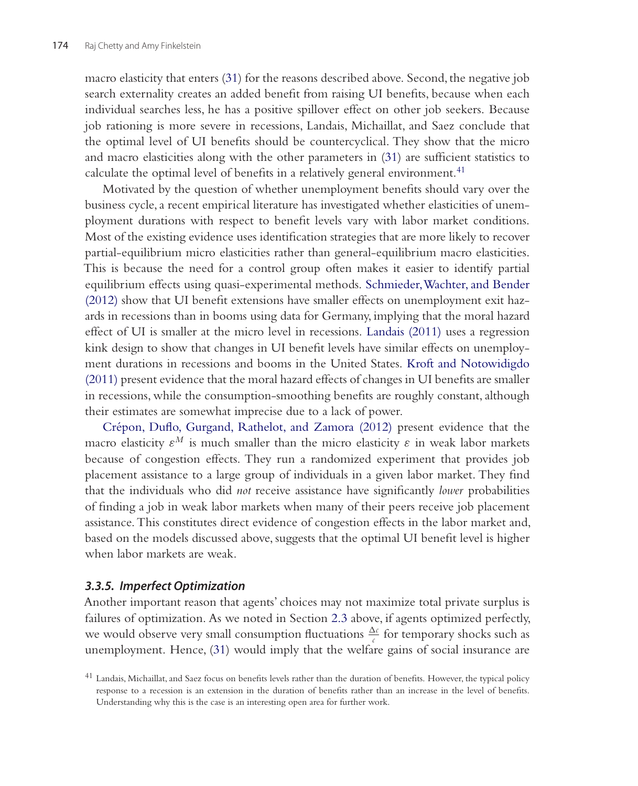macro elasticity that enters  $(31)$  for the reasons described above. Second, the negative job search externality creates an added benefit from raising UI benefits, because when each individual searches less, he has a positive spillover effect on other job seekers. Because job rationing is more severe in recessions, Landais, Michaillat, and Saez conclude that the optimal level of UI benefits should be countercyclical. They show that the micro and macro elasticities along with the other parameters in [\(31\)](#page-55-0) are sufficient statistics to calculate the optimal level of benefits in a relatively general environment.<sup>41</sup>

Motivated by the question of whether unemployment benefits should vary over the business cycle, a recent empirical literature has investigated whether elasticities of unemployment durations with respect to benefit levels vary with labor market conditions. Most of the existing evidence uses identification strategies that are more likely to recover partial-equilibrium micro elasticities rather than general-equilibrium macro elasticities. This is because the need for a control group often makes it easier to identify partial equilibrium effects using quasi-experimental methods. Schmieder,Wachter, and Bender (2012) show that UI benefit extensions have smaller effects on unemployment exit hazards in recessions than in booms using data for Germany, implying that the moral hazard effect of UI is smaller at the micro level in recessions. [Landais \(2011\)](#page-80-16) uses a regression kink design to show that changes in UI benefit levels have similar effects on unemployment durations in recessions and booms in the United States. Kroft and Notowidigdo (2011) [present](#page-80-17) [evidence](#page-80-17) [that](#page-80-17) [the](#page-80-17) [moral](#page-80-17) [hazard](#page-80-17) [effects](#page-80-17) [of](#page-80-17) [changes](#page-80-17) [i](#page-80-17)n UI benefits are smaller in recessions, while the consumption-smoothing benefits are roughly constant, although their estimates are somewhat imprecise due to a lack of power.

[Crépon, Duflo, Gurgand, Rathelot, and Zamora \(2012\)](#page-77-13) present evidence that the macro elasticity  $\varepsilon^M$  is much smaller than the micro elasticity  $\varepsilon$  in weak labor markets because of congestion effects. They run a randomized experiment that provides job placement assistance to a large group of individuals in a given labor market. They find that the individuals who did *not* receive assistance have significantly *lower* probabilities of finding a job in weak labor markets when many of their peers receive job placement assistance. This constitutes direct evidence of congestion effects in the labor market and, based on the models discussed above, suggests that the optimal UI benefit level is higher when labor markets are weak.

### <span id="page-63-0"></span>*3.3.5. Imperfect Optimization*

Another important reason that agents' choices may not maximize total private surplus is failures of optimization. As we noted in Section [2.3](#page-29-0) above, if agents optimized perfectly, we would observe very small consumption fluctuations  $\frac{\Delta c}{c}$  for temporary shocks such as unemployment. Hence, [\(31\)](#page-55-0) would imply that the welfare gains of social insurance are

<span id="page-63-1"></span> $41$  Landais, Michaillat, and Saez focus on benefits levels rather than the duration of benefits. However, the typical policy response to a recession is an extension in the duration of benefits rather than an increase in the level of benefits. Understanding why this is the case is an interesting open area for further work.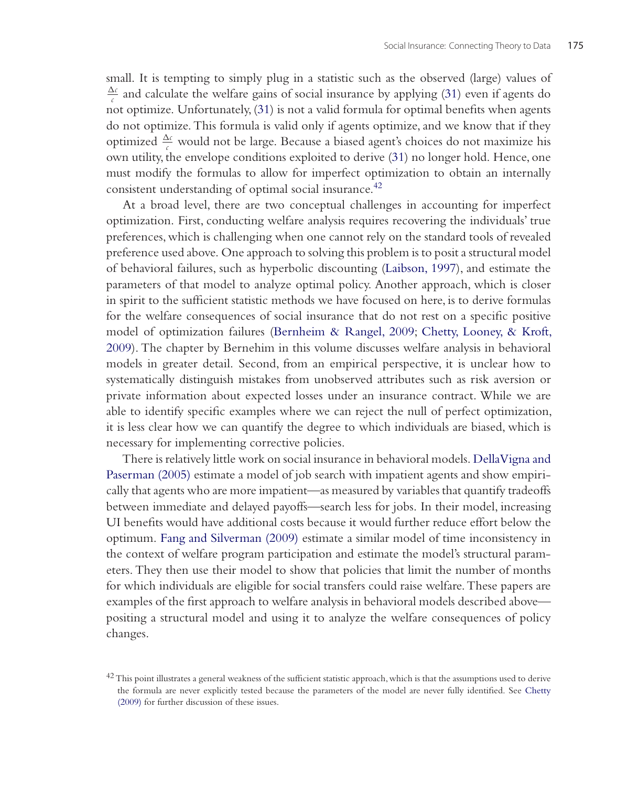small. It is tempting to simply plug in a statistic such as the observed (large) values of  $\frac{\Delta c}{c}$  and calculate the welfare gains of social insurance by applying [\(31\)](#page-55-0) even if agents do not optimize. Unfortunately, [\(31\)](#page-55-0) is not a valid formula for optimal benefits when agents do not optimize. This formula is valid only if agents optimize, and we know that if they optimized  $\frac{\Delta c}{c}$  would not be large. Because a biased agent's choices do not maximize his own utility, the envelope conditions exploited to derive [\(31\)](#page-55-0) no longer hold. Hence, one must modify the formulas to allow for imperfect optimization to obtain an internally consistent understanding of optimal social insurance.<sup>42</sup>

At a broad level, there are two conceptual challenges in accounting for imperfect optimization. First, conducting welfare analysis requires recovering the individuals' true preferences, which is challenging when one cannot rely on the standard tools of revealed preference used above. One approach to solving this problem is to posit a structural model of behavioral failures, such as hyperbolic discounting [\(Laibson, 1997\)](#page-80-18), and estimate the parameters of that model to analyze optimal policy. Another approach, which is closer in spirit to the sufficient statistic methods we have focused on here, is to derive formulas for the welfare consequences of social insurance that do not rest on a specific positive model of optimization failures [\(Bernheim & Rangel, 2009;](#page-75-6) Chetty, Looney, & Kroft, 2009[\).](#page-77-14) [The](#page-77-14) [chapter](#page-77-14) [by](#page-77-14) [Bernehim](#page-77-14) [in](#page-77-14) [this](#page-77-14) [volume](#page-77-14) [discusses](#page-77-14) [wel](#page-77-14)fare analysis in behavioral models in greater detail. Second, from an empirical perspective, it is unclear how to systematically distinguish mistakes from unobserved attributes such as risk aversion or private information about expected losses under an insurance contract. While we are able to identify specific examples where we can reject the null of perfect optimization, it is less clear how we can quantify the degree to which individuals are biased, which is necessary for implementing corrective policies.

There is relatively little work on social insurance in behavioral models. DellaVigna and Paserman (2005) estimate a model of job search with impatient agents and show empirically that agents who are more impatient—as measured by variables that quantify tradeoffs between immediate and delayed payoffs—search less for jobs. In their model, increasing UI benefits would have additional costs because it would further reduce effort below the optimum. [Fang and Silverman \(2009\)](#page-78-7) estimate a similar model of time inconsistency in the context of welfare program participation and estimate the model's structural parameters. They then use their model to show that policies that limit the number of months for which individuals are eligible for social transfers could raise welfare.These papers are examples of the first approach to welfare analysis in behavioral models described above positing a structural model and using it to analyze the welfare consequences of policy changes.

<span id="page-64-0"></span><sup>&</sup>lt;sup>42</sup> This point illustrates a general weakness of the sufficient statistic approach, which is that the assumptions used to derive the formula are never explicitly tested because the parameters of the model are never fully identified. See Chetty (2009) for further discussion of these issues.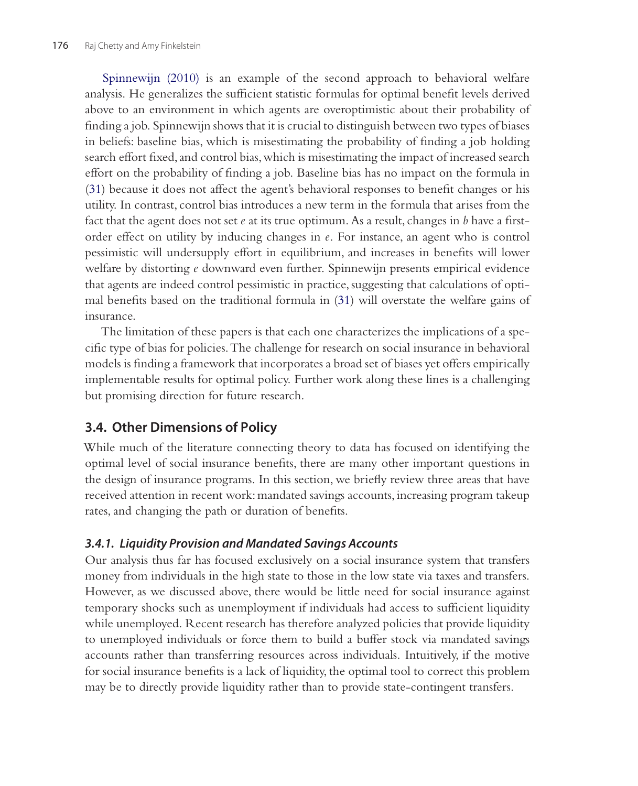[Spinnewijn \(2010\)](#page-82-6) is an example of the second approach to behavioral welfare analysis. He generalizes the sufficient statistic formulas for optimal benefit levels derived above to an environment in which agents are overoptimistic about their probability of finding a job. Spinnewijn shows that it is crucial to distinguish between two types of biases in beliefs: baseline bias, which is misestimating the probability of finding a job holding search effort fixed, and control bias, which is misestimating the impact of increased search effort on the probability of finding a job. Baseline bias has no impact on the formula in [\(31\)](#page-55-0) because it does not affect the agent's behavioral responses to benefit changes or his utility. In contrast, control bias introduces a new term in the formula that arises from the fact that the agent does not set *e* at its true optimum. As a result, changes in *b* have a firstorder effect on utility by inducing changes in *e*. For instance, an agent who is control pessimistic will undersupply effort in equilibrium, and increases in benefits will lower welfare by distorting *e* downward even further. Spinnewijn presents empirical evidence that agents are indeed control pessimistic in practice, suggesting that calculations of optimal benefits based on the traditional formula in [\(31\)](#page-55-0) will overstate the welfare gains of insurance.

The limitation of these papers is that each one characterizes the implications of a specific type of bias for policies.The challenge for research on social insurance in behavioral models is finding a framework that incorporates a broad set of biases yet offers empirically implementable results for optimal policy. Further work along these lines is a challenging but promising direction for future research.

# **3.4. Other Dimensions of Policy**

While much of the literature connecting theory to data has focused on identifying the optimal level of social insurance benefits, there are many other important questions in the design of insurance programs. In this section, we briefly review three areas that have received attention in recent work: mandated savings accounts, increasing program takeup rates, and changing the path or duration of benefits.

# *3.4.1. Liquidity Provision and Mandated Savings Accounts*

Our analysis thus far has focused exclusively on a social insurance system that transfers money from individuals in the high state to those in the low state via taxes and transfers. However, as we discussed above, there would be little need for social insurance against temporary shocks such as unemployment if individuals had access to sufficient liquidity while unemployed. Recent research has therefore analyzed policies that provide liquidity to unemployed individuals or force them to build a buffer stock via mandated savings accounts rather than transferring resources across individuals. Intuitively, if the motive for social insurance benefits is a lack of liquidity, the optimal tool to correct this problem may be to directly provide liquidity rather than to provide state-contingent transfers.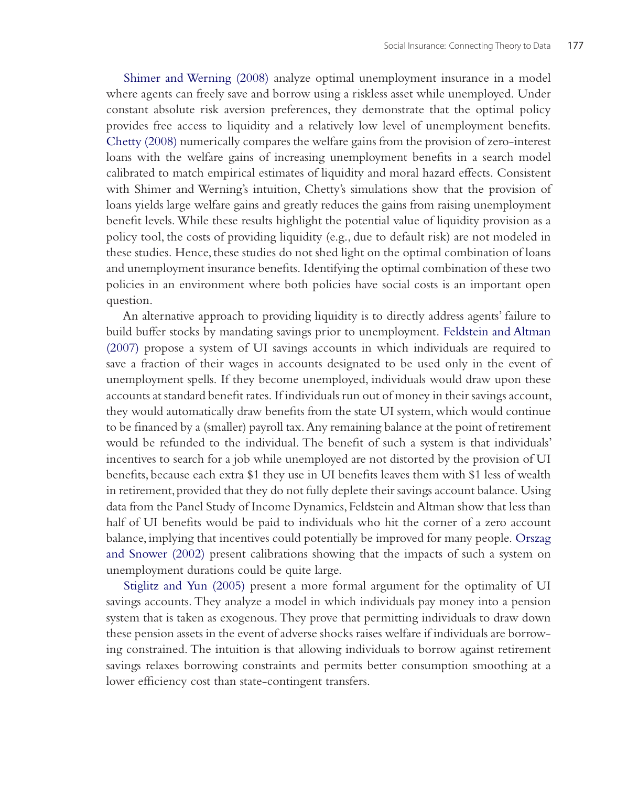[Shimer and Werning \(2008\)](#page-82-7) analyze optimal unemployment insurance in a model where agents can freely save and borrow using a riskless asset while unemployed. Under constant absolute risk aversion preferences, they demonstrate that the optimal policy provides free access to liquidity and a relatively low level of unemployment benefits. [Chetty \(2008\)](#page-77-1) numerically compares the welfare gains from the provision of zero-interest loans with the welfare gains of increasing unemployment benefits in a search model calibrated to match empirical estimates of liquidity and moral hazard effects. Consistent with Shimer and Werning's intuition, Chetty's simulations show that the provision of loans yields large welfare gains and greatly reduces the gains from raising unemployment benefit levels.While these results highlight the potential value of liquidity provision as a policy tool, the costs of providing liquidity (e.g., due to default risk) are not modeled in these studies. Hence, these studies do not shed light on the optimal combination of loans and unemployment insurance benefits. Identifying the optimal combination of these two policies in an environment where both policies have social costs is an important open question.

An alternative approach to providing liquidity is to directly address agents' failure to build buffer stocks by mandating savings prior to unemployment. Feldstein and Altman (2007) [propose](#page-78-8) [a](#page-78-8) [system](#page-78-8) [of](#page-78-8) [UI](#page-78-8) [savings](#page-78-8) [accounts](#page-78-8) [in](#page-78-8) [which](#page-78-8) [indivi](#page-78-8)duals are required to save a fraction of their wages in accounts designated to be used only in the event of unemployment spells. If they become unemployed, individuals would draw upon these accounts at standard benefit rates. If individuals run out of money in their savings account, they would automatically draw benefits from the state UI system, which would continue to be financed by a (smaller) payroll tax. Any remaining balance at the point of retirement would be refunded to the individual. The benefit of such a system is that individuals' incentives to search for a job while unemployed are not distorted by the provision of UI benefits, because each extra \$1 they use in UI benefits leaves them with \$1 less of wealth in retirement, provided that they do not fully deplete their savings account balance. Using data from the Panel Study of Income Dynamics, Feldstein and Altman show that less than half of UI benefits would be paid to individuals who hit the corner of a zero account balance, implying that incentives could potentially be improved for many people. Orszag and Snower (2002) [present](#page-81-9) [calibrations](#page-81-9) [showing](#page-81-9) [that](#page-81-9) [the](#page-81-9) [impacts](#page-81-9) [of](#page-81-9) [such](#page-81-9) [a](#page-81-9) [syst](#page-81-9)em on unemployment durations could be quite large.

[Stiglitz and Yun \(2005\)](#page-82-8) present a more formal argument for the optimality of UI savings accounts. They analyze a model in which individuals pay money into a pension system that is taken as exogenous. They prove that permitting individuals to draw down these pension assets in the event of adverse shocks raises welfare if individuals are borrowing constrained. The intuition is that allowing individuals to borrow against retirement savings relaxes borrowing constraints and permits better consumption smoothing at a lower efficiency cost than state-contingent transfers.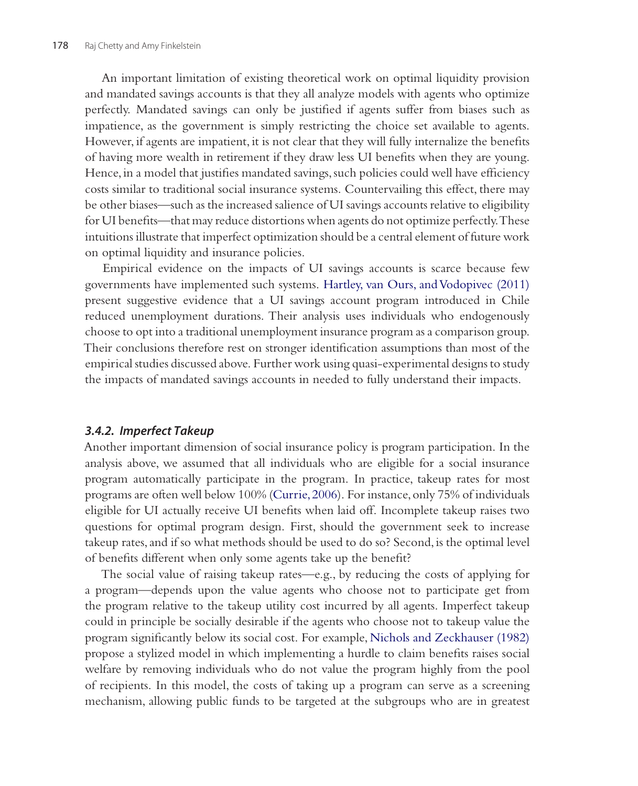An important limitation of existing theoretical work on optimal liquidity provision and mandated savings accounts is that they all analyze models with agents who optimize perfectly. Mandated savings can only be justified if agents suffer from biases such as impatience, as the government is simply restricting the choice set available to agents. However, if agents are impatient, it is not clear that they will fully internalize the benefits of having more wealth in retirement if they draw less UI benefits when they are young. Hence, in a model that justifies mandated savings, such policies could well have efficiency costs similar to traditional social insurance systems. Countervailing this effect, there may be other biases—such as the increased salience of UI savings accounts relative to eligibility for UI benefits—that may reduce distortions when agents do not optimize perfectly.These intuitions illustrate that imperfect optimization should be a central element of future work on optimal liquidity and insurance policies.

Empirical evidence on the impacts of UI savings accounts is scarce because few governments have implemented such systems. [Hartley, van Ours, andVodopivec \(2011\)](#page-79-8) present suggestive evidence that a UI savings account program introduced in Chile reduced unemployment durations. Their analysis uses individuals who endogenously choose to opt into a traditional unemployment insurance program as a comparison group. Their conclusions therefore rest on stronger identification assumptions than most of the empirical studies discussed above. Further work using quasi-experimental designs to study the impacts of mandated savings accounts in needed to fully understand their impacts.

### *3.4.2. Imperfect Takeup*

Another important dimension of social insurance policy is program participation. In the analysis above, we assumed that all individuals who are eligible for a social insurance program automatically participate in the program. In practice, takeup rates for most programs are often well below 100% [\(Currie,2006\)](#page-77-15). For instance, only 75% of individuals eligible for UI actually receive UI benefits when laid off. Incomplete takeup raises two questions for optimal program design. First, should the government seek to increase takeup rates, and if so what methods should be used to do so? Second, is the optimal level of benefits different when only some agents take up the benefit?

The social value of raising takeup rates—e.g., by reducing the costs of applying for a program—depends upon the value agents who choose not to participate get from the program relative to the takeup utility cost incurred by all agents. Imperfect takeup could in principle be socially desirable if the agents who choose not to takeup value the program significantly below its social cost. For example, [Nichols and Zeckhauser \(1982\)](#page-81-10) propose a stylized model in which implementing a hurdle to claim benefits raises social welfare by removing individuals who do not value the program highly from the pool of recipients. In this model, the costs of taking up a program can serve as a screening mechanism, allowing public funds to be targeted at the subgroups who are in greatest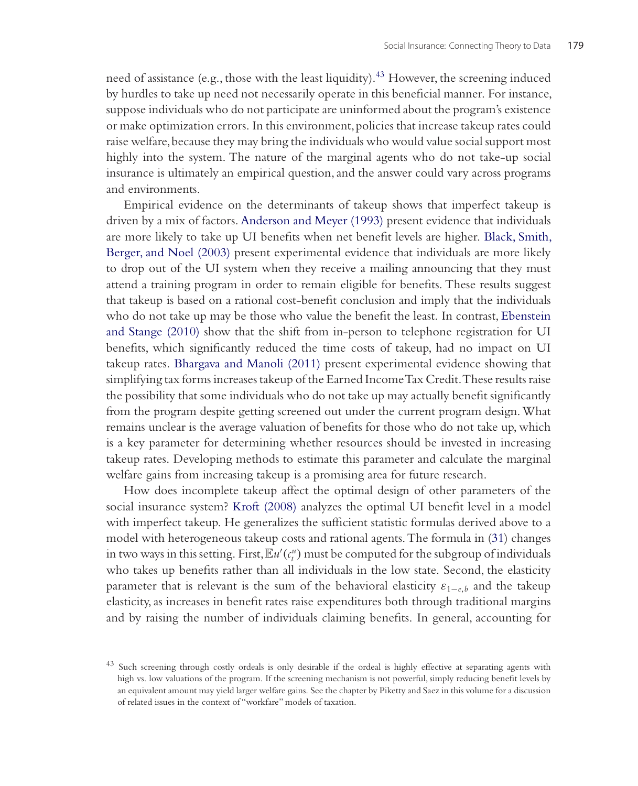need of assistance (e.g., those with the least liquidity).<sup>43</sup> However, the screening induced by hurdles to take up need not necessarily operate in this beneficial manner. For instance, suppose individuals who do not participate are uninformed about the program's existence or make optimization errors. In this environment, policies that increase takeup rates could raise welfare, because they may bring the individuals who would value social support most highly into the system. The nature of the marginal agents who do not take-up social insurance is ultimately an empirical question, and the answer could vary across programs and environments.

Empirical evidence on the determinants of takeup shows that imperfect takeup is driven by a mix of factors. [Anderson and Meyer \(1993\)](#page-75-2) present evidence that individuals are more likely to take up UI benefits when net benefit levels are higher. Black, Smith, Berger, and Noel (2003) present experimental evidence that individuals are more likely to drop out of the UI system when they receive a mailing announcing that they must attend a training program in order to remain eligible for benefits. These results suggest that takeup is based on a rational cost-benefit conclusion and imply that the individuals who do not take up may be those who value the benefit the least. In contrast, Ebenstein and Stange (2010) show that the shift from in-person to telephone registration for UI benefits, which significantly reduced the time costs of takeup, had no impact on UI takeup rates. [Bhargava and Manoli \(2011\)](#page-76-9) present experimental evidence showing that simplifying tax forms increases takeup of the Earned IncomeTax Credit.These results raise the possibility that some individuals who do not take up may actually benefit significantly from the program despite getting screened out under the current program design.What remains unclear is the average valuation of benefits for those who do not take up, which is a key parameter for determining whether resources should be invested in increasing takeup rates. Developing methods to estimate this parameter and calculate the marginal welfare gains from increasing takeup is a promising area for future research.

How does incomplete takeup affect the optimal design of other parameters of the social insurance system? [Kroft \(2008\)](#page-80-15) analyzes the optimal UI benefit level in a model with imperfect takeup. He generalizes the sufficient statistic formulas derived above to a model with heterogeneous takeup costs and rational agents.The formula in [\(31\)](#page-55-0) changes in two ways in this setting. First,  $\mathbb{E} u'(c_t^u)$  must be computed for the subgroup of individuals who takes up benefits rather than all individuals in the low state. Second, the elasticity parameter that is relevant is the sum of the behavioral elasticity  $\varepsilon_{1-\ell,b}$  and the takeup elasticity, as increases in benefit rates raise expenditures both through traditional margins and by raising the number of individuals claiming benefits. In general, accounting for

<span id="page-68-0"></span><sup>&</sup>lt;sup>43</sup> Such screening through costly ordeals is only desirable if the ordeal is highly effective at separating agents with high vs. low valuations of the program. If the screening mechanism is not powerful, simply reducing benefit levels by an equivalent amount may yield larger welfare gains. See the chapter by Piketty and Saez in this volume for a discussion of related issues in the context of "workfare" models of taxation.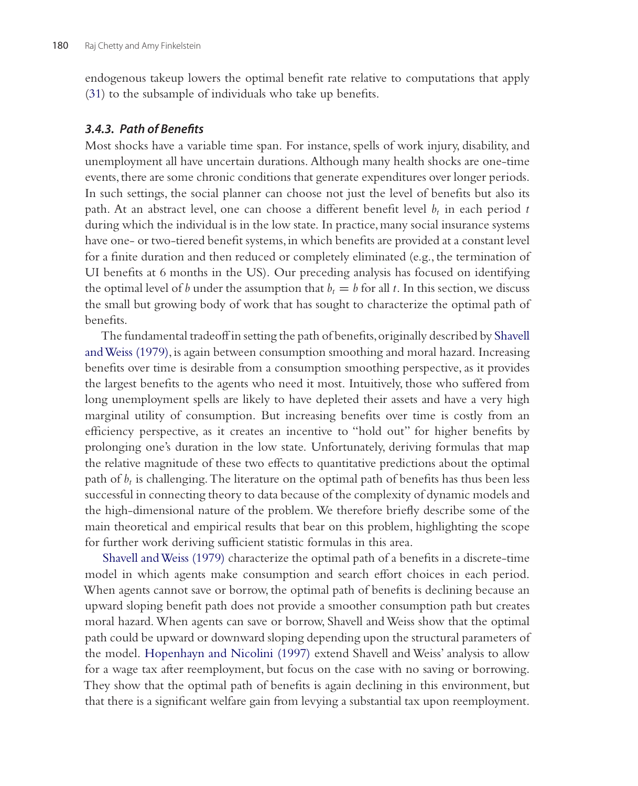endogenous takeup lowers the optimal benefit rate relative to computations that apply [\(31\)](#page-55-0) to the subsample of individuals who take up benefits.

# *3.4.3. Path of Benefits*

Most shocks have a variable time span. For instance, spells of work injury, disability, and unemployment all have uncertain durations. Although many health shocks are one-time events, there are some chronic conditions that generate expenditures over longer periods. In such settings, the social planner can choose not just the level of benefits but also its path. At an abstract level, one can choose a different benefit level  $b_t$  in each period  $t$ during which the individual is in the low state. In practice, many social insurance systems have one- or two-tiered benefit systems, in which benefits are provided at a constant level for a finite duration and then reduced or completely eliminated (e.g., the termination of UI benefits at 6 months in the US). Our preceding analysis has focused on identifying the optimal level of *b* under the assumption that  $b_t = b$  for all *t*. In this section, we discuss the small but growing body of work that has sought to characterize the optimal path of benefits.

The fundamental tradeoff in setting the path of benefits,originally described by Shavell andWeiss (1979), is again between consumption smoothing and moral hazard. Increasing benefits over time is desirable from a consumption smoothing perspective, as it provides the largest benefits to the agents who need it most. Intuitively, those who suffered from long unemployment spells are likely to have depleted their assets and have a very high marginal utility of consumption. But increasing benefits over time is costly from an efficiency perspective, as it creates an incentive to "hold out" for higher benefits by prolonging one's duration in the low state. Unfortunately, deriving formulas that map the relative magnitude of these two effects to quantitative predictions about the optimal path of  $b_t$  is challenging. The literature on the optimal path of benefits has thus been less successful in connecting theory to data because of the complexity of dynamic models and the high-dimensional nature of the problem. We therefore briefly describe some of the main theoretical and empirical results that bear on this problem, highlighting the scope for further work deriving sufficient statistic formulas in this area.

[Shavell andWeiss \(1979\)](#page-81-11) characterize the optimal path of a benefits in a discrete-time model in which agents make consumption and search effort choices in each period. When agents cannot save or borrow, the optimal path of benefits is declining because an upward sloping benefit path does not provide a smoother consumption path but creates moral hazard.When agents can save or borrow, Shavell andWeiss show that the optimal path could be upward or downward sloping depending upon the structural parameters of the model. [Hopenhayn and Nicolini \(1997\)](#page-80-19) extend Shavell and Weiss' analysis to allow for a wage tax after reemployment, but focus on the case with no saving or borrowing. They show that the optimal path of benefits is again declining in this environment, but that there is a significant welfare gain from levying a substantial tax upon reemployment.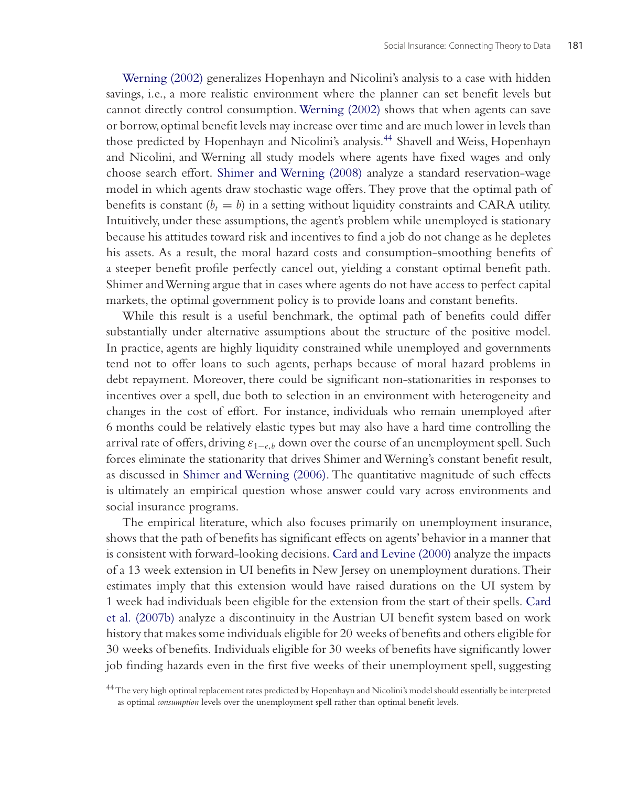[Werning \(2002\)](#page-82-9) generalizes Hopenhayn and Nicolini's analysis to a case with hidden savings, i.e., a more realistic environment where the planner can set benefit levels but cannot directly control consumption. [Werning \(2002\)](#page-82-9) shows that when agents can save or borrow, optimal benefit levels may increase over time and are much lower in levels than those predicted by Hopenhayn and Nicolini's analysis[.44](#page-70-0) Shavell and Weiss, Hopenhayn and Nicolini, and Werning all study models where agents have fixed wages and only choose search effort. [Shimer and Werning \(2008\)](#page-82-7) analyze a standard reservation-wage model in which agents draw stochastic wage offers. They prove that the optimal path of benefits is constant  $(b_t = b)$  in a setting without liquidity constraints and CARA utility. Intuitively, under these assumptions, the agent's problem while unemployed is stationary because his attitudes toward risk and incentives to find a job do not change as he depletes his assets. As a result, the moral hazard costs and consumption-smoothing benefits of a steeper benefit profile perfectly cancel out, yielding a constant optimal benefit path. Shimer andWerning argue that in cases where agents do not have access to perfect capital markets, the optimal government policy is to provide loans and constant benefits.

While this result is a useful benchmark, the optimal path of benefits could differ substantially under alternative assumptions about the structure of the positive model. In practice, agents are highly liquidity constrained while unemployed and governments tend not to offer loans to such agents, perhaps because of moral hazard problems in debt repayment. Moreover, there could be significant non-stationarities in responses to incentives over a spell, due both to selection in an environment with heterogeneity and changes in the cost of effort. For instance, individuals who remain unemployed after 6 months could be relatively elastic types but may also have a hard time controlling the arrival rate of offers, driving  $\varepsilon_{1-\varepsilon,b}$  down over the course of an unemployment spell. Such forces eliminate the stationarity that drives Shimer andWerning's constant benefit result, as discussed in [Shimer and Werning \(2006\).](#page-82-10) The quantitative magnitude of such effects is ultimately an empirical question whose answer could vary across environments and social insurance programs.

The empirical literature, which also focuses primarily on unemployment insurance, shows that the path of benefits has significant effects on agents' behavior in a manner that is consistent with forward-looking decisions. [Card and Levine \(2000\)](#page-76-10) analyze the impacts of a 13 week extension in UI benefits in New Jersey on unemployment durations.Their estimates imply that this extension would have raised durations on the UI system by 1 week had individuals been eligible for the extension from the start of their spells. Card et al. (2007b) analyze a discontinuity in the Austrian UI benefit system based on work history that makes some individuals eligible for 20 weeks of benefits and others eligible for 30 weeks of benefits. Individuals eligible for 30 weeks of benefits have significantly lower job finding hazards even in the first five weeks of their unemployment spell, suggesting

<span id="page-70-0"></span><sup>44</sup>The very high optimal replacement rates predicted by Hopenhayn and Nicolini's model should essentially be interpreted as optimal *consumption* levels over the unemployment spell rather than optimal benefit levels.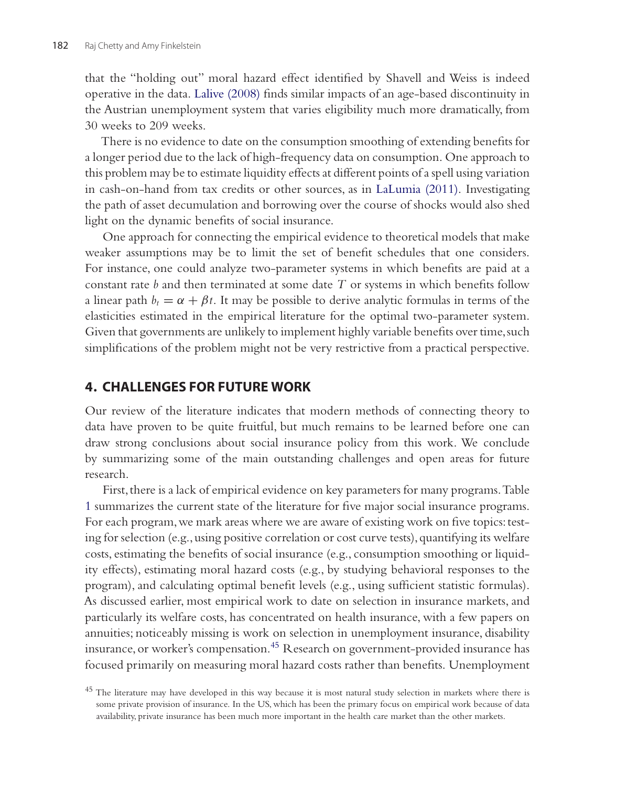that the "holding out" moral hazard effect identified by Shavell and Weiss is indeed operative in the data. [Lalive \(2008\)](#page-80-20) finds similar impacts of an age-based discontinuity in the Austrian unemployment system that varies eligibility much more dramatically, from 30 weeks to 209 weeks.

There is no evidence to date on the consumption smoothing of extending benefits for a longer period due to the lack of high-frequency data on consumption. One approach to this problem may be to estimate liquidity effects at different points of a spell using variation in cash-on-hand from tax credits or other sources, as in [LaLumia \(2011\).](#page-80-7) Investigating the path of asset decumulation and borrowing over the course of shocks would also shed light on the dynamic benefits of social insurance.

One approach for connecting the empirical evidence to theoretical models that make weaker assumptions may be to limit the set of benefit schedules that one considers. For instance, one could analyze two-parameter systems in which benefits are paid at a constant rate *b* and then terminated at some date *T* or systems in which benefits follow a linear path  $b_t = \alpha + \beta t$ . It may be possible to derive analytic formulas in terms of the elasticities estimated in the empirical literature for the optimal two-parameter system. Given that governments are unlikely to implement highly variable benefits over time, such simplifications of the problem might not be very restrictive from a practical perspective.

# **4. CHALLENGES FOR FUTURE WORK**

Our review of the literature indicates that modern methods of connecting theory to data have proven to be quite fruitful, but much remains to be learned before one can draw strong conclusions about social insurance policy from this work. We conclude by summarizing some of the main outstanding challenges and open areas for future research.

First, there is a lack of empirical evidence on key parameters for many programs. Table [1](#page-73-0) summarizes the current state of the literature for five major social insurance programs. For each program, we mark areas where we are aware of existing work on five topics: testing for selection (e.g., using positive correlation or cost curve tests), quantifying its welfare costs, estimating the benefits of social insurance (e.g., consumption smoothing or liquidity effects), estimating moral hazard costs (e.g., by studying behavioral responses to the program), and calculating optimal benefit levels (e.g., using sufficient statistic formulas). As discussed earlier, most empirical work to date on selection in insurance markets, and particularly its welfare costs, has concentrated on health insurance, with a few papers on annuities; noticeably missing is work on selection in unemployment insurance, disability insurance, or worker's compensation[.45](#page-71-0) Research on government-provided insurance has focused primarily on measuring moral hazard costs rather than benefits. Unemployment

<span id="page-71-0"></span> $^{45}$  The literature may have developed in this way because it is most natural study selection in markets where there is some private provision of insurance. In the US, which has been the primary focus on empirical work because of data availability, private insurance has been much more important in the health care market than the other markets.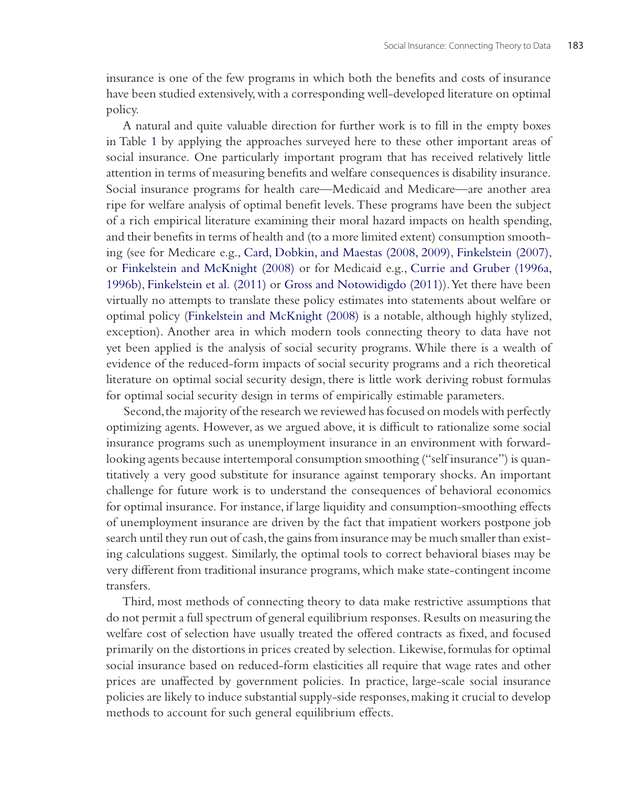insurance is one of the few programs in which both the benefits and costs of insurance have been studied extensively, with a corresponding well-developed literature on optimal policy.

A natural and quite valuable direction for further work is to fill in the empty boxes in Table [1](#page-73-0) by applying the approaches surveyed here to these other important areas of social insurance. One particularly important program that has received relatively little attention in terms of measuring benefits and welfare consequences is disability insurance. Social insurance programs for health care—Medicaid and Medicare—are another area ripe for welfare analysis of optimal benefit levels. These programs have been the subject of a rich empirical literature examining their moral hazard impacts on health spending, and their benefits in terms of health and (to a more limited extent) consumption smoothing (see for Medicare e.g., Card, Dobkin, and Maestas (2008, 2009), [Finkelstein \(2007\),](#page-78-0) or [Finkelstein and McKnight \(2008\)](#page-79-0) or for Medicaid e.g., Currie and Gruber (1996a, 1996b), [Finkelstein et al. \(2011\)](#page-79-1) or [Gross and Notowidigdo \(2011\)\)](#page-79-2). Yet there have been virtually no attempts to translate these policy estimates into statements about welfare or optimal policy [\(Finkelstein and McKnight \(2008\)](#page-79-0) is a notable, although highly stylized, exception). Another area in which modern tools connecting theory to data have not yet been applied is the analysis of social security programs. While there is a wealth of evidence of the reduced-form impacts of social security programs and a rich theoretical literature on optimal social security design, there is little work deriving robust formulas for optimal social security design in terms of empirically estimable parameters.

Second,the majority of the research we reviewed has focused on models with perfectly optimizing agents. However, as we argued above, it is difficult to rationalize some social insurance programs such as unemployment insurance in an environment with forwardlooking agents because intertemporal consumption smoothing ("self insurance") is quantitatively a very good substitute for insurance against temporary shocks. An important challenge for future work is to understand the consequences of behavioral economics for optimal insurance. For instance, if large liquidity and consumption-smoothing effects of unemployment insurance are driven by the fact that impatient workers postpone job search until they run out of cash, the gains from insurance may be much smaller than existing calculations suggest. Similarly, the optimal tools to correct behavioral biases may be very different from traditional insurance programs, which make state-contingent income transfers.

Third, most methods of connecting theory to data make restrictive assumptions that do not permit a full spectrum of general equilibrium responses. Results on measuring the welfare cost of selection have usually treated the offered contracts as fixed, and focused primarily on the distortions in prices created by selection. Likewise,formulas for optimal social insurance based on reduced-form elasticities all require that wage rates and other prices are unaffected by government policies. In practice, large-scale social insurance policies are likely to induce substantial supply-side responses,making it crucial to develop methods to account for such general equilibrium effects.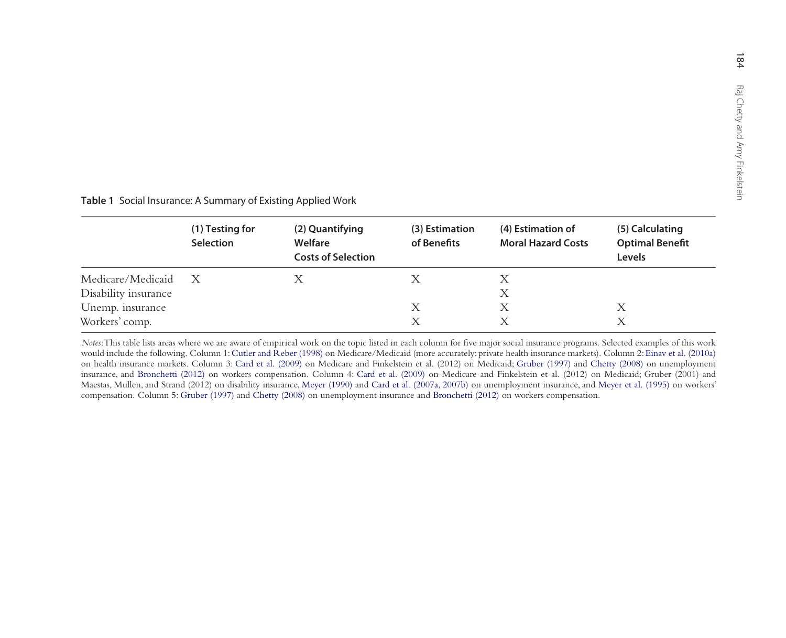لَّهِ<br>Raj Chetty and Amy Series (2014)<br>Table 1 Social Insurance: A Summary of Existing Applied Work<br>Table 1 Social Insurance: A Summary of Existing Applied Work Table 1 Social Insurance: A Summary of Existing Applied Work

|                      | (1) Testing for<br><b>Selection</b> | (2) Quantifying<br>Welfare<br><b>Costs of Selection</b> | (3) Estimation<br>of Benefits | (4) Estimation of<br><b>Moral Hazard Costs</b> | (5) Calculating<br><b>Optimal Benefit</b><br>Levels |
|----------------------|-------------------------------------|---------------------------------------------------------|-------------------------------|------------------------------------------------|-----------------------------------------------------|
| Medicare/Medicaid X  |                                     |                                                         |                               | X                                              |                                                     |
| Disability insurance |                                     |                                                         |                               | X                                              |                                                     |
| Unemp. insurance     |                                     |                                                         | X                             | X                                              | X                                                   |
| Workers' comp.       |                                     |                                                         | Х                             | Х                                              | Х                                                   |

<span id="page-73-0"></span>*Notes*:This table lists areas where we are aware of empirical work on the topic listed in each column for five major social insurance programs. Selected examples of this work would include the following. Column 1:Cutler and Reber [\(1998\)](#page-78-1) on Medicare/Medicaid (more accurately: private health insurance markets). Column 2:Einav et al. [\(2010a\)](#page-78-2) on health insurance markets. Column 3: Card et al. [\(2009\)](#page-76-0) on Medicare and Finkelstein et al. (2012) on Medicaid; Gruber [\(1997\)](#page-79-3) and [Chetty](#page-77-0) (2008) on unemployment insurance, and [Bronchetti](#page-76-1) (2012) on workers compensation. Column 4: Card et al. [\(2009\)](#page-76-0) on Medicare and Finkelstein et al. (2012) on Medicaid; Gruber (2001) and Maestas, Mullen, and Strand (2012) on disability insurance, [Meyer](#page-81-0) (1990) and Card et al. (2007a, 2007b) on unemployment insurance, and [Meyer](#page-81-1) et al. (1995) on workers' compensation. Column 5: Gruber [\(1997\)](#page-79-3) and [Chetty](#page-77-0) (2008) on unemployment insurance and [Bronchetti](#page-76-1) (2012) on workers compensation.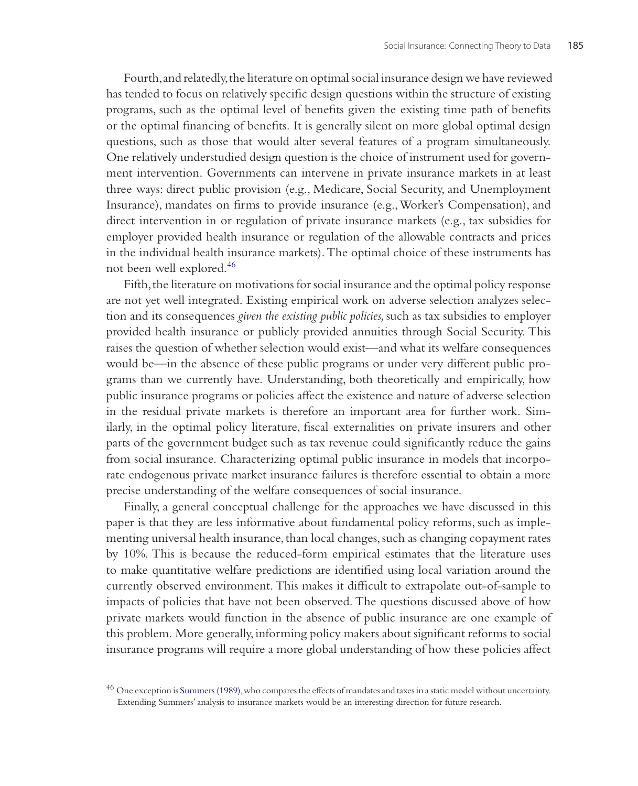Fourth,and relatedly,the literature on optimal social insurance design we have reviewed has tended to focus on relatively specific design questions within the structure of existing programs, such as the optimal level of benefits given the existing time path of benefits or the optimal financing of benefits. It is generally silent on more global optimal design questions, such as those that would alter several features of a program simultaneously. One relatively understudied design question is the choice of instrument used for government intervention. Governments can intervene in private insurance markets in at least three ways: direct public provision (e.g., Medicare, Social Security, and Unemployment Insurance), mandates on firms to provide insurance (e.g.,Worker's Compensation), and direct intervention in or regulation of private insurance markets (e.g., tax subsidies for employer provided health insurance or regulation of the allowable contracts and prices in the individual health insurance markets). The optimal choice of these instruments has not been well explored.[46](#page-74-0)

Fifth, the literature on motivations for social insurance and the optimal policy response are not yet well integrated. Existing empirical work on adverse selection analyzes selection and its consequences *given the existing public policies,* such as tax subsidies to employer provided health insurance or publicly provided annuities through Social Security. This raises the question of whether selection would exist—and what its welfare consequences would be—in the absence of these public programs or under very different public programs than we currently have. Understanding, both theoretically and empirically, how public insurance programs or policies affect the existence and nature of adverse selection in the residual private markets is therefore an important area for further work. Similarly, in the optimal policy literature, fiscal externalities on private insurers and other parts of the government budget such as tax revenue could significantly reduce the gains from social insurance. Characterizing optimal public insurance in models that incorporate endogenous private market insurance failures is therefore essential to obtain a more precise understanding of the welfare consequences of social insurance.

Finally, a general conceptual challenge for the approaches we have discussed in this paper is that they are less informative about fundamental policy reforms, such as implementing universal health insurance, than local changes, such as changing copayment rates by 10%. This is because the reduced-form empirical estimates that the literature uses to make quantitative welfare predictions are identified using local variation around the currently observed environment. This makes it difficult to extrapolate out-of-sample to impacts of policies that have not been observed. The questions discussed above of how private markets would function in the absence of public insurance are one example of this problem. More generally,informing policy makers about significant reforms to social insurance programs will require a more global understanding of how these policies affect

<span id="page-74-0"></span><sup>&</sup>lt;sup>46</sup> One exception is [Summers \(1989\),](#page-82-0) who compares the effects of mandates and taxes in a static model without uncertainty. Extending Summers' analysis to insurance markets would be an interesting direction for future research.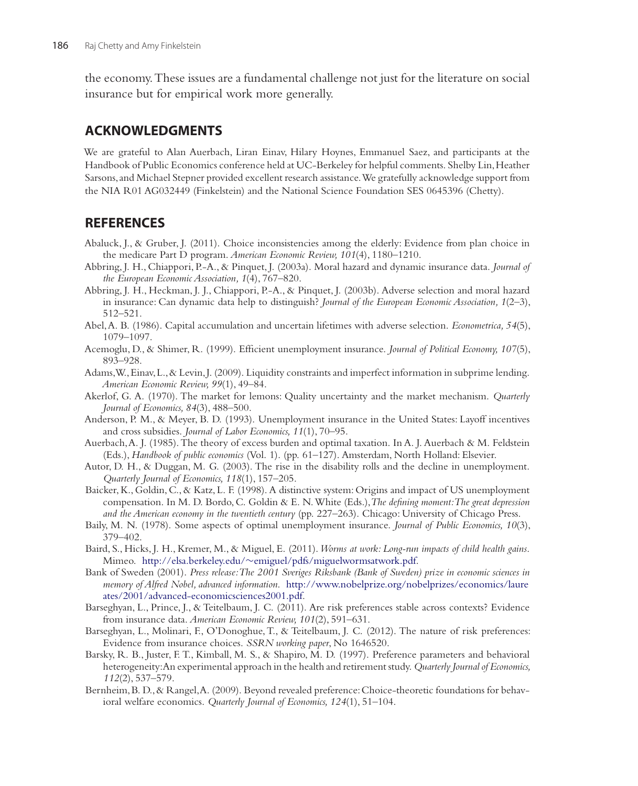the economy.These issues are a fundamental challenge not just for the literature on social insurance but for empirical work more generally.

## **ACKNOWLEDGMENTS**

We are grateful to Alan Auerbach, Liran Einav, Hilary Hoynes, Emmanuel Saez, and participants at the Handbook of Public Economics conference held at UC-Berkeley for helpful comments. Shelby Lin, Heather Sarsons, and Michael Stepner provided excellent research assistance.We gratefully acknowledge support from the NIA R01 AG032449 (Finkelstein) and the National Science Foundation SES 0645396 (Chetty).

## **REFERENCES**

- Abaluck, J., & Gruber, J. (2011). Choice inconsistencies among the elderly: Evidence from plan choice in the medicare Part D program. *American Economic Review, 101*(4), 1180–1210.
- Abbring, J. H., Chiappori, P.-A., & Pinquet, J. (2003a). Moral hazard and dynamic insurance data. *Journal of the European Economic Association, 1*(4), 767–820.
- Abbring, J. H., Heckman, J. J., Chiappori, P.-A., & Pinquet, J. (2003b). Adverse selection and moral hazard in insurance: Can dynamic data help to distinguish? *Journal of the European Economic Association, 1*(2–3), 512–521.
- Abel,A. B. (1986). Capital accumulation and uncertain lifetimes with adverse selection. *Econometrica, 54*(5), 1079–1097.
- Acemoglu, D., & Shimer, R. (1999). Efficient unemployment insurance. *Journal of Political Economy, 107*(5), 893–928.
- Adams,W.,Einav,L.,& Levin, J. (2009). Liquidity constraints and imperfect information in subprime lending. *American Economic Review, 99*(1), 49–84.
- Akerlof, G. A. (1970). The market for lemons: Quality uncertainty and the market mechanism. *Quarterly Journal of Economics, 84*(3), 488–500.
- Anderson, P. M., & Meyer, B. D. (1993). Unemployment insurance in the United States: Layoff incentives and cross subsidies. *Journal of Labor Economics, 11*(1), 70–95.
- Auerbach,A. J. (1985).The theory of excess burden and optimal taxation. In A. J. Auerbach & M. Feldstein (Eds.), *Handbook of public economics* (Vol. 1). (pp. 61–127). Amsterdam, North Holland: Elsevier.
- Autor, D. H., & Duggan, M. G. (2003). The rise in the disability rolls and the decline in unemployment. *Quarterly Journal of Economics, 118*(1), 157–205.
- Baicker, K., Goldin, C., & Katz, L. F. (1998). A distinctive system: Origins and impact of US unemployment compensation. In M. D. Bordo, C. Goldin & E. N.White (Eds.),*The defining moment:The great depression and the American economy in the twentieth century* (pp. 227–263). Chicago: University of Chicago Press.
- Baily, M. N. (1978). Some aspects of optimal unemployment insurance. *Journal of Public Economics, 10*(3), 379–402.
- Baird, S., Hicks, J. H., Kremer, M., & Miguel, E. (2011).*Worms at work: Long-run impacts of child health gains*. Mimeo. http://elsa.berkeley.edu/∼[emiguel/pdfs/miguelwormsatwork.pdf.](http://elsa.berkeley.edu/\relax ${\sim }/)emiguel/pdfs/miguelwormsatwork.pdf)
- Bank of Sweden (2001). *Press release:The 2001 Sveriges Riksbank (Bank of Sweden) prize in economic sciences in memory of Alfred Nobel, advanced information*. http://www.nobelprize.org/nobelprizes/economics/laure ates/2001/advanced-economicsciences2001.pdf.
- Barseghyan, L., Prince, J., & Teitelbaum, J. C. (2011). Are risk preferences stable across contexts? Evidence from insurance data. *American Economic Review, 101*(2), 591–631.
- Barseghyan, L., Molinari, F., O'Donoghue, T., & Teitelbaum, J. C. (2012). The nature of risk preferences: Evidence from insurance choices. *SSRN working paper*, No 1646520.
- Barsky, R. B., Juster, F. T., Kimball, M. S., & Shapiro, M. D. (1997). Preference parameters and behavioral heterogeneity:An experimental approach in the health and retirement study. *Quarterly Journal of Economics, 112*(2), 537–579.
- Bernheim,B. D.,& Rangel,A. (2009). Beyond revealed preference:Choice-theoretic foundations for behavioral welfare economics. *Quarterly Journal of Economics, 124*(1), 51–104.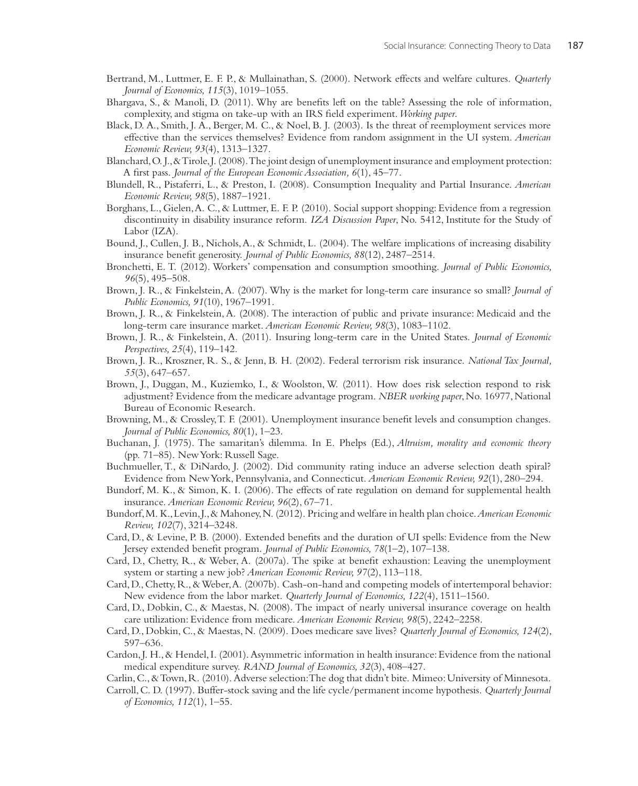- <span id="page-76-1"></span><span id="page-76-0"></span>Bertrand, M., Luttmer, E. F. P., & Mullainathan, S. (2000). Network effects and welfare cultures. *Quarterly Journal of Economics, 115*(3), 1019–1055.
- Bhargava, S., & Manoli, D. (2011). Why are benefits left on the table? Assessing the role of information, complexity, and stigma on take-up with an IRS field experiment.*Working paper*.
- Black, D. A., Smith, J. A., Berger, M. C., & Noel, B. J. (2003). Is the threat of reemployment services more effective than the services themselves? Evidence from random assignment in the UI system. *American Economic Review, 93*(4), 1313–1327.
- Blanchard,O. J.,&Tirole, J. (2008).The joint design of unemployment insurance and employment protection: A first pass. *Journal of the European Economic Association, 6*(1), 45–77.
- Blundell, R., Pistaferri, L., & Preston, I. (2008). Consumption Inequality and Partial Insurance. *American Economic Review, 98*(5), 1887–1921.
- Borghans, L., Gielen,A. C., & Luttmer, E. F. P. (2010). Social support shopping: Evidence from a regression discontinuity in disability insurance reform. *IZA Discussion Paper*, No. 5412, Institute for the Study of Labor (IZA).
- Bound, J., Cullen, J. B., Nichols,A., & Schmidt, L. (2004). The welfare implications of increasing disability insurance benefit generosity. *Journal of Public Economics, 88*(12), 2487–2514.
- Bronchetti, E. T. (2012). Workers' compensation and consumption smoothing. *Journal of Public Economics, 96*(5), 495–508.
- Brown, J. R., & Finkelstein,A. (2007). Why is the market for long-term care insurance so small? *Journal of Public Economics, 91*(10), 1967–1991.
- Brown, J. R., & Finkelstein, A. (2008). The interaction of public and private insurance: Medicaid and the long-term care insurance market. *American Economic Review, 98*(3), 1083–1102.
- Brown, J. R., & Finkelstein, A. (2011). Insuring long-term care in the United States. *Journal of Economic Perspectives, 25*(4), 119–142.
- Brown, J. R., Kroszner, R. S., & Jenn, B. H. (2002). Federal terrorism risk insurance. *National Tax Journal, 55*(3), 647–657.
- Brown, J., Duggan, M., Kuziemko, I., & Woolston, W. (2011). How does risk selection respond to risk adjustment? Evidence from the medicare advantage program. *NBER working paper*,No. 16977,National Bureau of Economic Research.
- Browning, M., & Crossley,T. F. (2001). Unemployment insurance benefit levels and consumption changes. *Journal of Public Economics, 80*(1), 1–23.
- Buchanan, J. (1975). The samaritan's dilemma. In E. Phelps (Ed.), *Altruism, morality and economic theory* (pp. 71–85). NewYork: Russell Sage.
- Buchmueller, T., & DiNardo, J. (2002). Did community rating induce an adverse selection death spiral? Evidence from NewYork, Pennsylvania, and Connecticut. *American Economic Review, 92*(1), 280–294.
- Bundorf, M. K., & Simon, K. I. (2006). The effects of rate regulation on demand for supplemental health insurance. *American Economic Review, 96*(2), 67–71.
- Bundorf,M. K.,Levin, J.,& Mahoney,N. (2012). Pricing and welfare in health plan choice.*American Economic Review, 102*(7), 3214–3248.
- Card, D., & Levine, P. B. (2000). Extended benefits and the duration of UI spells: Evidence from the New Jersey extended benefit program. *Journal of Public Economics, 78*(1–2), 107–138.
- Card, D., Chetty, R., & Weber, A. (2007a). The spike at benefit exhaustion: Leaving the unemployment system or starting a new job? *American Economic Review, 97*(2), 113–118.
- Card, D., Chetty, R., &Weber,A. (2007b). Cash-on-hand and competing models of intertemporal behavior: New evidence from the labor market. *Quarterly Journal of Economics, 122*(4), 1511–1560.
- Card, D., Dobkin, C., & Maestas, N. (2008). The impact of nearly universal insurance coverage on health care utilization: Evidence from medicare. *American Economic Review, 98*(5), 2242–2258.
- Card, D., Dobkin, C., & Maestas, N. (2009). Does medicare save lives? *Quarterly Journal of Economics, 124*(2), 597–636.
- Cardon, J. H., & Hendel, I. (2001). Asymmetric information in health insurance: Evidence from the national medical expenditure survey. *RAND Journal of Economics, 32*(3), 408–427.
- Carlin, C., &Town, R. (2010). Adverse selection:The dog that didn't bite. Mimeo: University of Minnesota.
- Carroll, C. D. (1997). Buffer-stock saving and the life cycle/permanent income hypothesis. *Quarterly Journal of Economics, 112*(1), 1–55.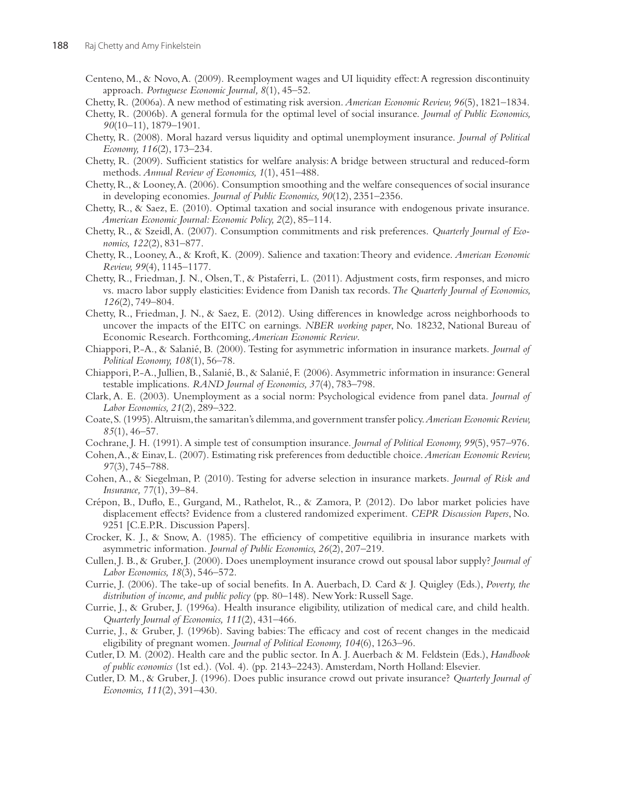- <span id="page-77-0"></span>Centeno, M., & Novo,A. (2009). Reemployment wages and UI liquidity effect:A regression discontinuity approach. *Portuguese Economic Journal, 8*(1), 45–52.
- Chetty, R. (2006a). A new method of estimating risk aversion.*American Economic Review, 96*(5), 1821–1834.
- Chetty, R. (2006b). A general formula for the optimal level of social insurance. *Journal of Public Economics, 90*(10–11), 1879–1901.
- Chetty, R. (2008). Moral hazard versus liquidity and optimal unemployment insurance. *Journal of Political Economy, 116*(2), 173–234.
- Chetty, R. (2009). Sufficient statistics for welfare analysis: A bridge between structural and reduced-form methods. *Annual Review of Economics, 1*(1), 451–488.
- Chetty, R., & Looney,A. (2006). Consumption smoothing and the welfare consequences of social insurance in developing economies. *Journal of Public Economics, 90*(12), 2351–2356.
- Chetty, R., & Saez, E. (2010). Optimal taxation and social insurance with endogenous private insurance. *American Economic Journal: Economic Policy, 2*(2), 85–114.
- Chetty, R., & Szeidl,A. (2007). Consumption commitments and risk preferences. *Quarterly Journal of Economics, 122*(2), 831–877.
- Chetty, R., Looney,A., & Kroft, K. (2009). Salience and taxation:Theory and evidence. *American Economic Review, 99*(4), 1145–1177.
- Chetty, R., Friedman, J. N., Olsen,T., & Pistaferri, L. (2011). Adjustment costs, firm responses, and micro vs. macro labor supply elasticities: Evidence from Danish tax records.*The Quarterly Journal of Economics, 126*(2), 749–804.
- Chetty, R., Friedman, J. N., & Saez, E. (2012). Using differences in knowledge across neighborhoods to uncover the impacts of the EITC on earnings. *NBER working paper*, No. 18232, National Bureau of Economic Research. Forthcoming,*American Economic Review*.
- Chiappori, P.-A., & Salanié, B. (2000). Testing for asymmetric information in insurance markets. *Journal of Political Economy, 108*(1), 56–78.
- Chiappori, P.-A., Jullien, B., Salanié, B., & Salanié, F. (2006). Asymmetric information in insurance: General testable implications. *RAND Journal of Economics, 37*(4), 783–798.
- Clark, A. E. (2003). Unemployment as a social norm: Psychological evidence from panel data. *Journal of Labor Economics, 21*(2), 289–322.
- Coate,S. (1995).Altruism,the samaritan's dilemma,and government transfer policy.*American Economic Review, 85*(1), 46–57.
- Cochrane, J. H. (1991). A simple test of consumption insurance. *Journal of Political Economy, 99*(5), 957–976.
- Cohen,A., & Einav, L. (2007). Estimating risk preferences from deductible choice.*American Economic Review, 97*(3), 745–788.
- Cohen, A., & Siegelman, P. (2010). Testing for adverse selection in insurance markets. *Journal of Risk and Insurance, 77*(1), 39–84.
- Crépon, B., Duflo, E., Gurgand, M., Rathelot, R., & Zamora, P. (2012). Do labor market policies have displacement effects? Evidence from a clustered randomized experiment. *CEPR Discussion Papers*, No. 9251 [C.E.P.R. Discussion Papers].
- Crocker, K. J., & Snow, A. (1985). The efficiency of competitive equilibria in insurance markets with asymmetric information. *Journal of Public Economics, 26*(2), 207–219.
- Cullen, J. B., & Gruber, J. (2000). Does unemployment insurance crowd out spousal labor supply? *Journal of Labor Economics, 18*(3), 546–572.
- Currie, J. (2006). The take-up of social benefits. In A. Auerbach, D. Card & J. Quigley (Eds.), *Poverty, the distribution of income, and public policy* (pp. 80–148). NewYork: Russell Sage.
- Currie, J., & Gruber, J. (1996a). Health insurance eligibility, utilization of medical care, and child health. *Quarterly Journal of Economics, 111*(2), 431–466.
- Currie, J., & Gruber, J. (1996b). Saving babies: The efficacy and cost of recent changes in the medicaid eligibility of pregnant women. *Journal of Political Economy, 104*(6), 1263–96.
- Cutler, D. M. (2002). Health care and the public sector. In A. J. Auerbach & M. Feldstein (Eds.), *Handbook of public economics* (1st ed.). (Vol. 4). (pp. 2143–2243). Amsterdam, North Holland: Elsevier.
- Cutler, D. M., & Gruber, J. (1996). Does public insurance crowd out private insurance? *Quarterly Journal of Economics, 111*(2), 391–430.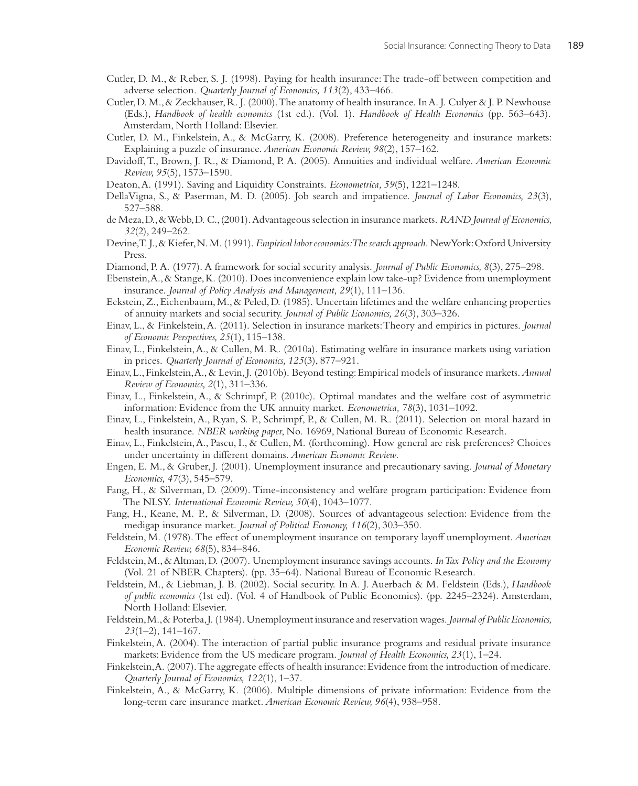- <span id="page-78-2"></span><span id="page-78-1"></span>Cutler, D. M., & Reber, S. J. (1998). Paying for health insurance:The trade-off between competition and adverse selection. *Quarterly Journal of Economics, 113*(2), 433–466.
- Cutler,D. M.,& Zeckhauser,R. J. (2000).The anatomy of health insurance. InA. J. Culyer & J. P. Newhouse (Eds.), *Handbook of health economics* (1st ed.). (Vol. 1). *Handbook of Health Economics* (pp. 563–643). Amsterdam, North Holland: Elsevier.
- Cutler, D. M., Finkelstein, A., & McGarry, K. (2008). Preference heterogeneity and insurance markets: Explaining a puzzle of insurance. *American Economic Review, 98*(2), 157–162.
- Davidoff,T., Brown, J. R., & Diamond, P. A. (2005). Annuities and individual welfare. *American Economic Review, 95*(5), 1573–1590.
- Deaton,A. (1991). Saving and Liquidity Constraints. *Econometrica, 59*(5), 1221–1248.
- DellaVigna, S., & Paserman, M. D. (2005). Job search and impatience. *Journal of Labor Economics, 23*(3), 527–588.
- de Meza,D.,&Webb,D. C., (2001).Advantageous selection in insurance markets. *RAND Journal of Economics, 32*(2), 249–262.
- Devine,T. J.,& Kiefer,N. M. (1991). *Empirical labor economics:The search approach*. NewYork:Oxford University Press.
- Diamond, P. A. (1977). A framework for social security analysis. *Journal of Public Economics, 8*(3), 275–298.
- Ebenstein,A.,& Stange,K. (2010). Does inconvenience explain low take-up? Evidence from unemployment insurance. *Journal of Policy Analysis and Management, 29*(1), 111–136.
- Eckstein, Z., Eichenbaum,M., & Peled, D. (1985). Uncertain lifetimes and the welfare enhancing properties of annuity markets and social security. *Journal of Public Economics, 26*(3), 303–326.
- Einav, L., & Finkelstein,A. (2011). Selection in insurance markets:Theory and empirics in pictures. *Journal of Economic Perspectives, 25*(1), 115–138.
- Einav, L., Finkelstein,A., & Cullen, M. R. (2010a). Estimating welfare in insurance markets using variation in prices. *Quarterly Journal of Economics, 125*(3), 877–921.
- Einav, L., Finkelstein,A., & Levin, J. (2010b). Beyond testing: Empirical models of insurance markets.*Annual Review of Economics, 2*(1), 311–336.
- Einav, L., Finkelstein, A., & Schrimpf, P. (2010c). Optimal mandates and the welfare cost of asymmetric information: Evidence from the UK annuity market. *Econometrica, 78*(3), 1031–1092.
- Einav, L., Finkelstein, A., Ryan, S. P., Schrimpf, P., & Cullen, M. R. (2011). Selection on moral hazard in health insurance. *NBER working paper*, No. 16969, National Bureau of Economic Research.
- Einav, L., Finkelstein,A., Pascu, I., & Cullen, M. (forthcoming). How general are risk preferences? Choices under uncertainty in different domains. *American Economic Review*.
- Engen, E. M., & Gruber, J. (2001). Unemployment insurance and precautionary saving. *Journal of Monetary Economics, 47*(3), 545–579.
- Fang, H., & Silverman, D. (2009). Time-inconsistency and welfare program participation: Evidence from The NLSY. *International Economic Review, 50*(4), 1043–1077.
- Fang, H., Keane, M. P., & Silverman, D. (2008). Sources of advantageous selection: Evidence from the medigap insurance market. *Journal of Political Economy, 116*(2), 303–350.
- Feldstein, M. (1978). The effect of unemployment insurance on temporary layoff unemployment. *American Economic Review, 68*(5), 834–846.
- Feldstein,M., & Altman,D. (2007). Unemployment insurance savings accounts. *InTax Policy and the Economy* (Vol. 21 of NBER Chapters). (pp. 35–64). National Bureau of Economic Research.
- Feldstein, M., & Liebman, J. B. (2002). Social security. In A. J. Auerbach & M. Feldstein (Eds.), *Handbook of public economics* (1st ed). (Vol. 4 of Handbook of Public Economics). (pp. 2245–2324). Amsterdam, North Holland: Elsevier.
- Feldstein,M.,& Poterba,J. (1984). Unemployment insurance and reservation wages. *Journal of Public Economics, 23*(1–2), 141–167.
- Finkelstein, A. (2004). The interaction of partial public insurance programs and residual private insurance markets: Evidence from the US medicare program. *Journal of Health Economics, 23*(1), 1–24.
- <span id="page-78-0"></span>Finkelstein,A. (2007).The aggregate effects of health insurance:Evidence from the introduction of medicare. *Quarterly Journal of Economics, 122*(1), 1–37.
- Finkelstein, A., & McGarry, K. (2006). Multiple dimensions of private information: Evidence from the long-term care insurance market. *American Economic Review, 96*(4), 938–958.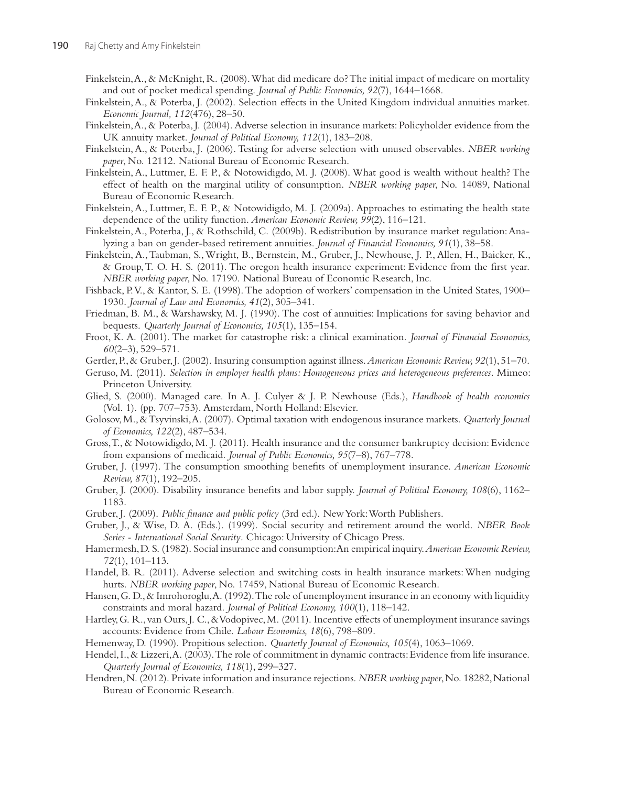- <span id="page-79-3"></span><span id="page-79-0"></span>Finkelstein,A., & McKnight, R. (2008).What did medicare do?The initial impact of medicare on mortality and out of pocket medical spending. *Journal of Public Economics, 92*(7), 1644–1668.
- Finkelstein,A., & Poterba, J. (2002). Selection effects in the United Kingdom individual annuities market. *Economic Journal, 112*(476), 28–50.
- Finkelstein,A., & Poterba, J. (2004). Adverse selection in insurance markets: Policyholder evidence from the UK annuity market. *Journal of Political Economy, 112*(1), 183–208.
- Finkelstein,A., & Poterba, J. (2006). Testing for adverse selection with unused observables. *NBER working paper*, No. 12112. National Bureau of Economic Research.
- Finkelstein, A., Luttmer, E. F. P., & Notowidigdo, M. J. (2008). What good is wealth without health? The effect of health on the marginal utility of consumption. *NBER working paper*, No. 14089, National Bureau of Economic Research.
- Finkelstein, A., Luttmer, E. F. P., & Notowidigdo, M. J. (2009a). Approaches to estimating the health state dependence of the utility function. *American Economic Review, 99*(2), 116–121.
- Finkelstein,A., Poterba, J., & Rothschild, C. (2009b). Redistribution by insurance market regulation:Analyzing a ban on gender-based retirement annuities. *Journal of Financial Economics, 91*(1), 38–58.
- <span id="page-79-1"></span>Finkelstein, A.,Taubman, S.,Wright, B., Bernstein, M., Gruber, J., Newhouse, J. P., Allen, H., Baicker, K., & Group,T. O. H. S. (2011). The oregon health insurance experiment: Evidence from the first year. *NBER working paper*, No. 17190. National Bureau of Economic Research, Inc.
- Fishback, P.V., & Kantor, S. E. (1998). The adoption of workers' compensation in the United States, 1900– 1930. *Journal of Law and Economics, 41*(2), 305–341.
- Friedman, B. M., & Warshawsky, M. J. (1990). The cost of annuities: Implications for saving behavior and bequests. *Quarterly Journal of Economics, 105*(1), 135–154.
- Froot, K. A. (2001). The market for catastrophe risk: a clinical examination. *Journal of Financial Economics, 60*(2–3), 529–571.
- Gertler, P.,& Gruber, J. (2002). Insuring consumption against illness.*American Economic Review, 92*(1),51–70.
- Geruso, M. (2011). *Selection in employer health plans: Homogeneous prices and heterogeneous preferences*. Mimeo: Princeton University.
- Glied, S. (2000). Managed care. In A. J. Culyer & J. P. Newhouse (Eds.), *Handbook of health economics* (Vol. 1). (pp. 707–753). Amsterdam, North Holland: Elsevier.
- Golosov,M., &Tsyvinski,A. (2007). Optimal taxation with endogenous insurance markets. *Quarterly Journal of Economics, 122*(2), 487–534.
- <span id="page-79-2"></span>Gross,T., & Notowidigdo, M. J. (2011). Health insurance and the consumer bankruptcy decision: Evidence from expansions of medicaid. *Journal of Public Economics, 95*(7–8), 767–778.
- Gruber, J. (1997). The consumption smoothing benefits of unemployment insurance. *American Economic Review, 87*(1), 192–205.
- Gruber, J. (2000). Disability insurance benefits and labor supply. *Journal of Political Economy, 108*(6), 1162– 1183.
- Gruber, J. (2009). *Public finance and public policy* (3rd ed.). NewYork:Worth Publishers.
- Gruber, J., & Wise, D. A. (Eds.). (1999). Social security and retirement around the world. *NBER Book Series - International Social Security*. Chicago: University of Chicago Press.
- Hamermesh,D. S. (1982). Social insurance and consumption:An empirical inquiry.*American Economic Review, 72*(1), 101–113.
- Handel, B. R. (2011). Adverse selection and switching costs in health insurance markets: When nudging hurts. *NBER working paper*, No. 17459, National Bureau of Economic Research.
- Hansen,G. D.,& Imrohoroglu,A. (1992).The role of unemployment insurance in an economy with liquidity constraints and moral hazard. *Journal of Political Economy, 100*(1), 118–142.
- Hartley,G. R.,van Ours, J. C.,&Vodopivec,M. (2011). Incentive effects of unemployment insurance savings accounts: Evidence from Chile. *Labour Economics, 18*(6), 798–809.
- Hemenway, D. (1990). Propitious selection. *Quarterly Journal of Economics, 105*(4), 1063–1069.
- Hendel, I., & Lizzeri, A. (2003). The role of commitment in dynamic contracts: Evidence from life insurance. *Quarterly Journal of Economics, 118*(1), 299–327.
- Hendren,N. (2012). Private information and insurance rejections. *NBER working paper*,No. 18282,National Bureau of Economic Research.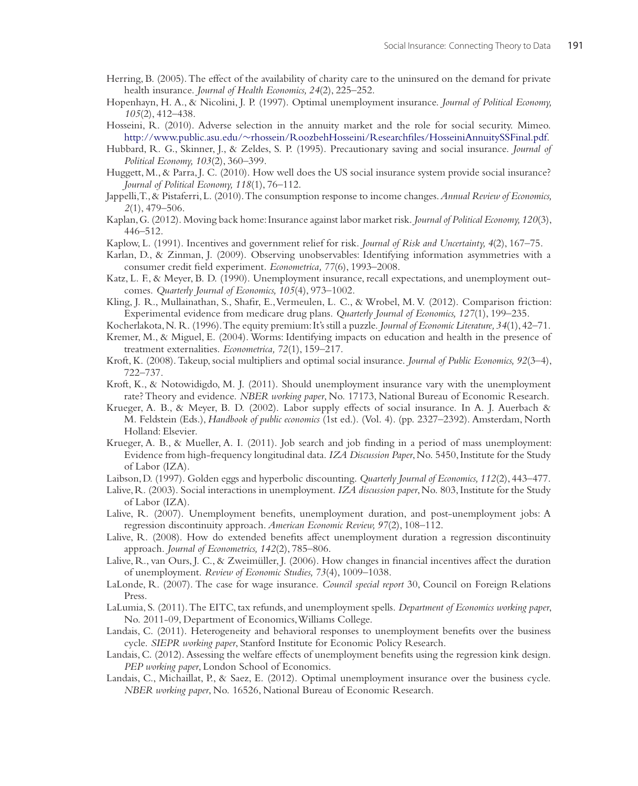- Herring, B. (2005). The effect of the availability of charity care to the uninsured on the demand for private health insurance. *Journal of Health Economics, 24*(2), 225–252.
- Hopenhayn, H. A., & Nicolini, J. P. (1997). Optimal unemployment insurance. *Journal of Political Economy, 105*(2), 412–438.
- Hosseini, R. (2010). Adverse selection in the annuity market and the role for social security. Mimeo. http://www.public.asu.edu/∼[rhossein/RoozbehHosseini/Researchfiles/HosseiniAnnuitySSFinal.pdf.](http://www.public.asu.edu/${\sim }$rhossein/RoozbehHosseini/Researchfiles/HosseiniAnnuitySSFinal.pdf)
- Hubbard, R. G., Skinner, J., & Zeldes, S. P. (1995). Precautionary saving and social insurance. *Journal of Political Economy, 103*(2), 360–399.
- Huggett, M., & Parra, J. C. (2010). How well does the US social insurance system provide social insurance? *Journal of Political Economy, 118*(1), 76–112.
- Jappelli,T.,& Pistaferri, L. (2010).The consumption response to income changes.*Annual Review of Economics, 2*(1), 479–506.
- Kaplan,G. (2012). Moving back home: Insurance against labor market risk. *Journal of Political Economy,120*(3), 446–512.
- Kaplow, L. (1991). Incentives and government relief for risk. *Journal of Risk and Uncertainty, 4*(2), 167–75.
- Karlan, D., & Zinman, J. (2009). Observing unobservables: Identifying information asymmetries with a consumer credit field experiment. *Econometrica, 77*(6), 1993–2008.
- Katz, L. F., & Meyer, B. D. (1990). Unemployment insurance, recall expectations, and unemployment outcomes. *Quarterly Journal of Economics, 105*(4), 973–1002.
- Kling, J. R., Mullainathan, S., Shafir, E.,Vermeulen, L. C., & Wrobel, M. V. (2012). Comparison friction: Experimental evidence from medicare drug plans. *Quarterly Journal of Economics, 127*(1), 199–235.
- Kocherlakota,N. R. (1996).The equity premium: It's still a puzzle. *Journal of Economic Literature,34*(1),42–71.
- Kremer, M., & Miguel, E. (2004). Worms: Identifying impacts on education and health in the presence of treatment externalities. *Econometrica, 72*(1), 159–217.
- Kroft, K. (2008). Takeup, social multipliers and optimal social insurance. *Journal of Public Economics, 92*(3–4), 722–737.
- Kroft, K., & Notowidigdo, M. J. (2011). Should unemployment insurance vary with the unemployment rate? Theory and evidence. *NBER working paper*, No. 17173, National Bureau of Economic Research.
- Krueger, A. B., & Meyer, B. D. (2002). Labor supply effects of social insurance. In A. J. Auerbach & M. Feldstein (Eds.), *Handbook of public economics* (1st ed.). (Vol. 4). (pp. 2327–2392). Amsterdam, North Holland: Elsevier.
- Krueger, A. B., & Mueller, A. I. (2011). Job search and job finding in a period of mass unemployment: Evidence from high-frequency longitudinal data. *IZA Discussion Paper*,No. 5450, Institute for the Study of Labor (IZA).
- Laibson, D. (1997). Golden eggs and hyperbolic discounting. *Quarterly Journal of Economics, 112*(2), 443–477.
- Lalive,R. (2003). Social interactions in unemployment. *IZA discussion paper*,No. 803, Institute for the Study of Labor (IZA).
- Lalive, R. (2007). Unemployment benefits, unemployment duration, and post-unemployment jobs: A regression discontinuity approach. *American Economic Review, 97*(2), 108–112.
- Lalive, R. (2008). How do extended benefits affect unemployment duration a regression discontinuity approach. *Journal of Econometrics, 142*(2), 785–806.
- Lalive, R., van Ours, J. C., & Zweimüller, J. (2006). How changes in financial incentives affect the duration of unemployment. *Review of Economic Studies, 73*(4), 1009–1038.
- LaLonde, R. (2007). The case for wage insurance. *Council special report* 30, Council on Foreign Relations Press.
- LaLumia, S. (2011).The EITC, tax refunds, and unemployment spells. *Department of Economics working paper*, No. 2011-09, Department of Economics,Williams College.
- Landais, C. (2011). Heterogeneity and behavioral responses to unemployment benefits over the business cycle. *SIEPR working paper*, Stanford Institute for Economic Policy Research.
- Landais, C. (2012). Assessing the welfare effects of unemployment benefits using the regression kink design. *PEP working paper*, London School of Economics.
- Landais, C., Michaillat, P., & Saez, E. (2012). Optimal unemployment insurance over the business cycle. *NBER working paper*, No. 16526, National Bureau of Economic Research.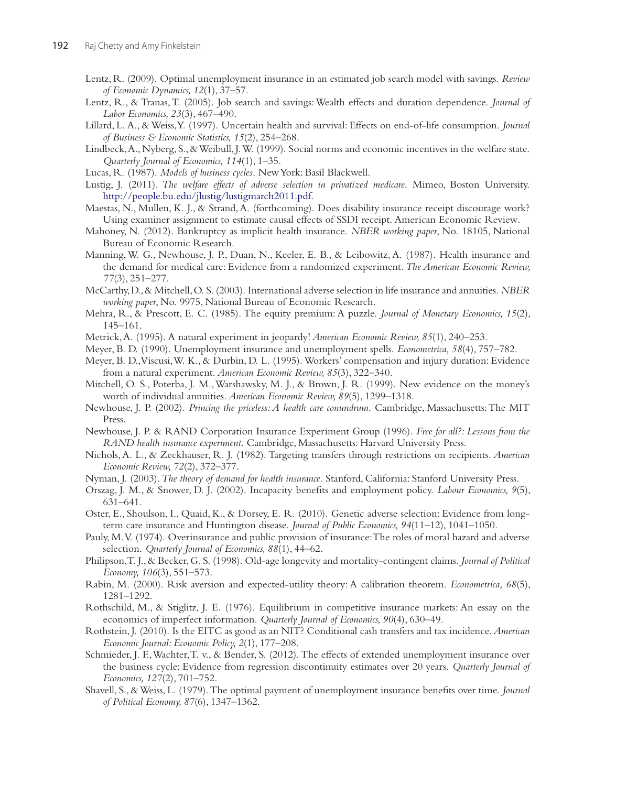- <span id="page-81-1"></span><span id="page-81-0"></span>Lentz, R. (2009). Optimal unemployment insurance in an estimated job search model with savings. *Review of Economic Dynamics, 12*(1), 37–57.
- Lentz, R., & Tranas,T. (2005). Job search and savings:Wealth effects and duration dependence. *Journal of Labor Economics, 23*(3), 467–490.
- Lillard, L. A., &Weiss,Y. (1997). Uncertain health and survival: Effects on end-of-life consumption. *Journal of Business & Economic Statistics, 15*(2), 254–268.
- Lindbeck, A., Nyberg, S., & Weibull, J. W. (1999). Social norms and economic incentives in the welfare state. *Quarterly Journal of Economics, 114*(1), 1–35.
- Lucas, R. (1987). *Models of business cycles*. NewYork: Basil Blackwell.
- Lustig, J. (2011). *The welfare effects of adverse selection in privatized medicare*. Mimeo, Boston University. [http://people.bu.edu/jlustig/lustigmarch2011.pdf.](http://people.bu.edu/jlustig/lustigmarch2011.pdf)
- Maestas, N., Mullen, K. J., & Strand,A. (forthcoming). Does disability insurance receipt discourage work? Using examiner assignment to estimate causal effects of SSDI receipt. American Economic Review.
- Mahoney, N. (2012). Bankruptcy as implicit health insurance. *NBER working paper*, No. 18105, National Bureau of Economic Research.
- Manning,W. G., Newhouse, J. P., Duan, N., Keeler, E. B., & Leibowitz, A. (1987). Health insurance and the demand for medical care: Evidence from a randomized experiment.*The American Economic Review, 77*(3), 251–277.
- McCarthy,D.,& Mitchell,O. S. (2003). International adverse selection in life insurance and annuities. *NBER working paper*, No. 9975, National Bureau of Economic Research.
- Mehra, R., & Prescott, E. C. (1985). The equity premium: A puzzle. *Journal of Monetary Economics, 15*(2), 145–161.
- Metrick,A. (1995). A natural experiment in jeopardy! *American Economic Review, 85*(1), 240–253.
- Meyer, B. D. (1990). Unemployment insurance and unemployment spells. *Econometrica, 58*(4), 757–782.
- Meyer, B. D.,Viscusi,W. K., & Durbin, D. L. (1995).Workers' compensation and injury duration: Evidence from a natural experiment. *American Economic Review, 85*(3), 322–340.
- Mitchell, O. S., Poterba, J. M.,Warshawsky, M. J., & Brown, J. R. (1999). New evidence on the money's worth of individual annuities. *American Economic Review, 89*(5), 1299–1318.
- Newhouse, J. P. (2002). *Princing the priceless: A health care conundrum*. Cambridge, Massachusetts:The MIT Press.
- Newhouse, J. P. & RAND Corporation Insurance Experiment Group (1996). *Free for all?: Lessons from the RAND health insurance experiment*. Cambridge, Massachusetts: Harvard University Press.
- Nichols, A. L., & Zeckhauser, R. J. (1982). Targeting transfers through restrictions on recipients. *American Economic Review, 72*(2), 372–377.
- Nyman, J. (2003).*The theory of demand for health insurance*. Stanford, California: Stanford University Press.
- Orszag, J. M., & Snower, D. J. (2002). Incapacity benefits and employment policy. *Labour Economics, 9*(5), 631–641.
- Oster, E., Shoulson, I., Quaid, K., & Dorsey, E. R. (2010). Genetic adverse selection: Evidence from longterm care insurance and Huntington disease. *Journal of Public Economics, 94*(11–12), 1041–1050.
- Pauly,M.V. (1974). Overinsurance and public provision of insurance:The roles of moral hazard and adverse selection. *Quarterly Journal of Economics, 88*(1), 44–62.
- Philipson,T. J., & Becker,G. S. (1998). Old-age longevity and mortality-contingent claims. *Journal of Political Economy, 106*(3), 551–573.
- Rabin, M. (2000). Risk aversion and expected-utility theory: A calibration theorem. *Econometrica, 68*(5), 1281–1292.
- Rothschild, M., & Stiglitz, J. E. (1976). Equilibrium in competitive insurance markets: An essay on the economics of imperfect information. *Quarterly Journal of Economics, 90*(4), 630–49.
- Rothstein, J. (2010). Is the EITC as good as an NIT? Conditional cash transfers and tax incidence.*American Economic Journal: Economic Policy, 2*(1), 177–208.
- Schmieder, J. F.,Wachter,T. v., & Bender, S. (2012). The effects of extended unemployment insurance over the business cycle: Evidence from regression discontinuity estimates over 20 years. *Quarterly Journal of Economics, 127*(2), 701–752.
- Shavell, S., &Weiss, L. (1979). The optimal payment of unemployment insurance benefits over time. *Journal of Political Economy, 87*(6), 1347–1362.